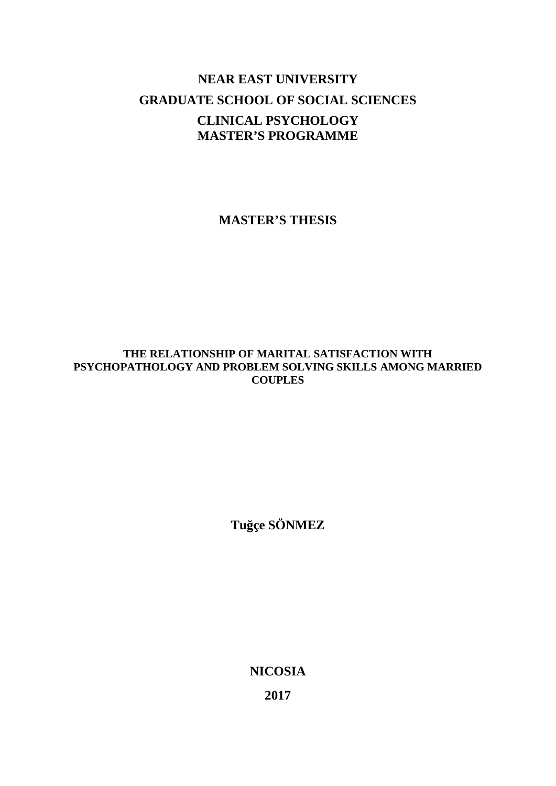# **NEAR EAST UNIVERSITY GRADUATE SCHOOL OF SOCIAL SCIENCES CLINICAL PSYCHOLOGY MASTER'S PROGRAMME**

**MASTER'S THESIS**

# **THE RELATIONSHIP OF MARITAL SATISFACTION WITH PSYCHOPATHOLOGY AND PROBLEM SOLVING SKILLS AMONG MARRIED COUPLES**

**Tuğçe SÖNMEZ**

**NICOSIA**

**2017**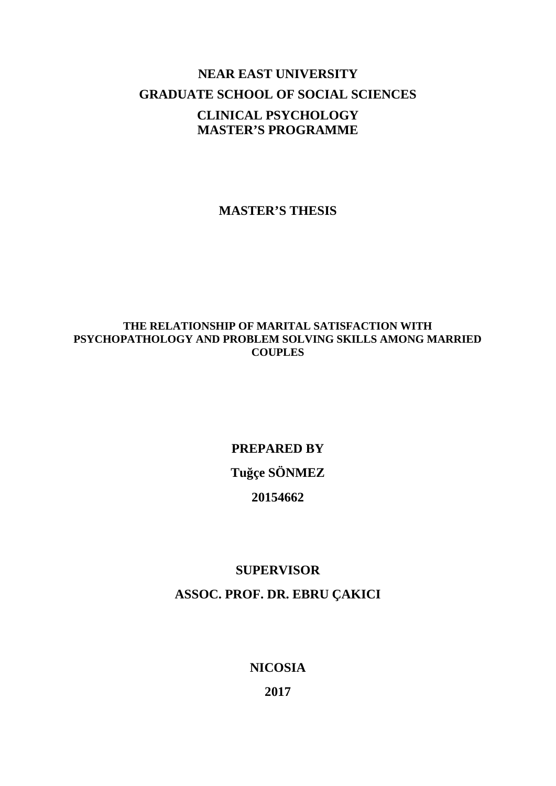# **NEAR EAST UNIVERSITY GRADUATE SCHOOL OF SOCIAL SCIENCES CLINICAL PSYCHOLOGY MASTER'S PROGRAMME**

**MASTER'S THESIS**

# **THE RELATIONSHIP OF MARITAL SATISFACTION WITH PSYCHOPATHOLOGY AND PROBLEM SOLVING SKILLS AMONG MARRIED COUPLES**

# **PREPARED BY Tuğçe SÖNMEZ 20154662**

# **SUPERVISOR ASSOC. PROF. DR. EBRU ÇAKICI**

**NICOSIA**

**2017**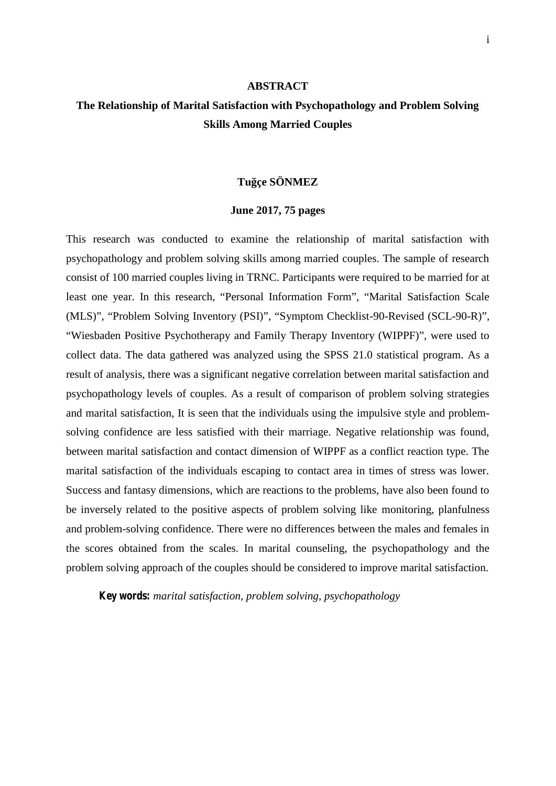#### **ABSTRACT**

# **The Relationship of Marital Satisfaction with Psychopathology and Problem Solving Skills Among Married Couples**

### **Tuğçe SÖNMEZ**

#### **June 2017, 75 pages**

This research was conducted to examine the relationship of marital satisfaction with psychopathology and problem solving skills among married couples. The sample of research consist of 100 married couples living in TRNC. Participants were required to be married for at least one year. In this research, "Personal Information Form", "Marital Satisfaction Scale (MLS)", "Problem Solving Inventory (PSI)", "Symptom Checklist-90-Revised (SCL-90-R)", "Wiesbaden Positive Psychotherapy and Family Therapy Inventory (WIPPF)", were used to collect data. The data gathered was analyzed using the SPSS 21.0 statistical program. As a result of analysis, there was a significant negative correlation between marital satisfaction and psychopathology levels of couples. As a result of comparison of problem solving strategies and marital satisfaction, It is seen that the individuals using the impulsive style and problem solving confidence are less satisfied with their marriage. Negative relationship was found, between marital satisfaction and contact dimension of WIPPF as a conflict reaction type. The marital satisfaction of the individuals escaping to contact area in times of stress was lower. Success and fantasy dimensions, which are reactions to the problems, have also been found to be inversely related to the positive aspects of problem solving like monitoring, planfulness and problem-solving confidence. There were no differences between the males and females in the scores obtained from the scales. In marital counseling, the psychopathology and the problem solving approach of the couples should be considered to improve marital satisfaction.

*Key words: marital satisfaction, problem solving, psychopathology*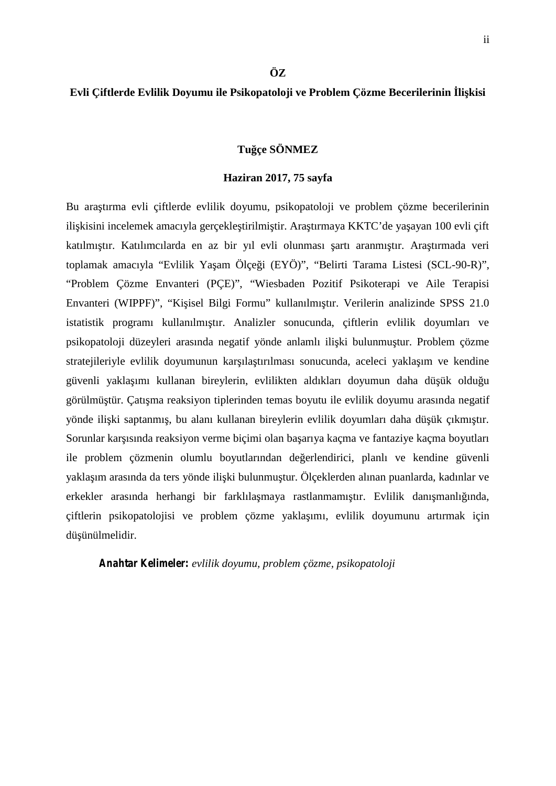# **ÖZ**

# **Evli Çiftlerde Evlilik Doyumu ile Psikopatoloji ve Problem Çözme Becerilerinin İlişkisi**

# **Tuğçe SÖNMEZ**

## **Haziran 2017, 75 sayfa**

Bu ara tırma evli çiftlerde evlilik doyumu, psikopatoloji ve problem çözme becerilerinin ili kisini incelemek amacıyla gerçekle tirilmi tir. Ara tırmaya KKTC'de ya ayan 100 evli çift katılmı tır. Katılımcılarda en az bir yıl evli olunması artı aranmı tır. Ara tırmada veri toplamak amacıyla "Evlilik Ya am Ölçe i (EYÖ)", "Belirti Tarama Listesi (SCL-90-R)", "Problem Çözme Envanteri (PÇE)", "Wiesbaden Pozitif Psikoterapi ve Aile Terapisi Envanteri (WIPPF)", "Ki isel Bilgi Formu" kullanılmı tır. Verilerin analizinde SPSS 21.0 istatistik programı kullanılmıtır. Analizler sonucunda, çiftlerin evlilik doyumları ve psikopatoloji düzeyleri arasında negatif yönde anlamlı ili ki bulunmu tur. Problem çözme stratejileriyle evlilik doyumunun kar ıla tırılması sonucunda, aceleci yakla im ve kendine güvenli yakla ımı kullanan bireylerin, evlilikten aldıkları doyumun daha dü ük oldu u görülmü tür. Çatı ma reaksiyon tiplerinden temas boyutu ile evlilik doyumu arasında negatif yönde ili ki saptanmı, bu alanı kullanan bireylerin evlilik doyumları daha dü ük çıkmı tır. Sorunlar kar ısında reaksiyon verme biçimi olan ba arıya kaçma ve fantaziye kaçma boyutları ile problem çözmenin olumlu boyutlarından de erlendirici, planlı ve kendine güvenli yakla im arasında da ters yönde ili ki bulunmu tur. Ölçeklerden alınan puanlarda, kadınlar ve erkekler arasında herhangi bir farklıla maya rastlanmamı tır. Evlilik danı manlı ında, çiftlerin psikopatolojisi ve problem çözme yaklaşımı, evlilik doyumunu artırmak için dü ünülmelidir.

*Anahtar Kelimeler: evlilik doyumu, problem çözme, psikopatoloji*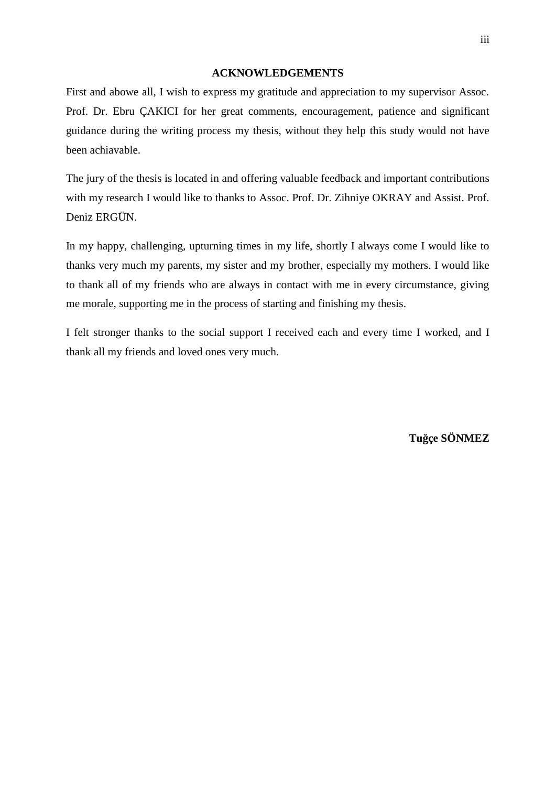#### **ACKNOWLEDGEMENTS**

First and abowe all, I wish to express my gratitude and appreciation to my supervisor Assoc. Prof. Dr. Ebru ÇAKICI for her great comments, encouragement, patience and significant guidance during the writing process my thesis, without they help this study would not have been achiavable.

The jury of the thesis is located in and offering valuable feedback and important contributions with my research I would like to thanks to Assoc. Prof. Dr. Zihniye OKRAY and Assist. Prof. Deniz ERGÜN.

In my happy, challenging, upturning times in my life, shortly I always come I would like to thanks very much my parents, my sister and my brother, especially my mothers. I would like to thank all of my friends who are always in contact with me in every circumstance, giving me morale, supporting me in the process of starting and finishing my thesis.

I felt stronger thanks to the social support I received each and every time I worked, and I thank all my friends and loved ones very much.

**Tuğçe SÖNMEZ**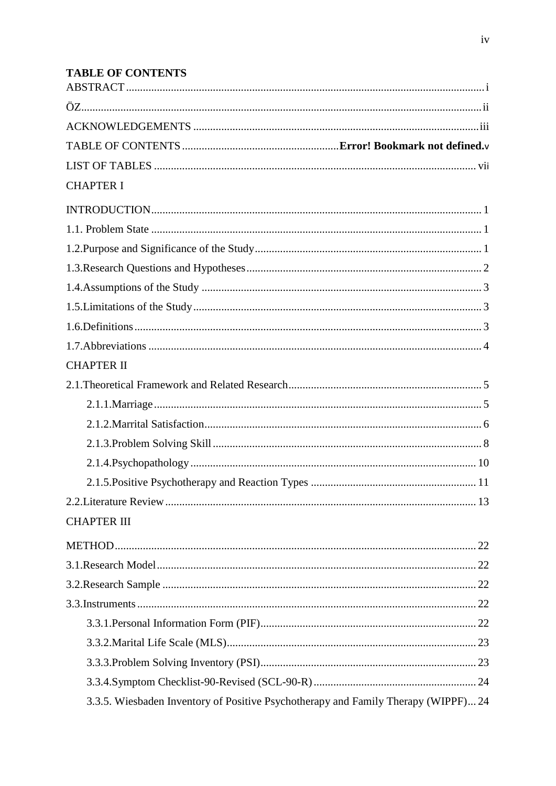# **TABLE OF CONTENTS**

| <b>CHAPTER I</b>                                                                   |  |
|------------------------------------------------------------------------------------|--|
|                                                                                    |  |
|                                                                                    |  |
|                                                                                    |  |
|                                                                                    |  |
|                                                                                    |  |
|                                                                                    |  |
|                                                                                    |  |
|                                                                                    |  |
| <b>CHAPTER II</b>                                                                  |  |
|                                                                                    |  |
|                                                                                    |  |
|                                                                                    |  |
|                                                                                    |  |
|                                                                                    |  |
|                                                                                    |  |
|                                                                                    |  |
| <b>CHAPTER III</b>                                                                 |  |
|                                                                                    |  |
|                                                                                    |  |
|                                                                                    |  |
|                                                                                    |  |
|                                                                                    |  |
|                                                                                    |  |
|                                                                                    |  |
|                                                                                    |  |
| 3.3.5. Wiesbaden Inventory of Positive Psychotherapy and Family Therapy (WIPPF) 24 |  |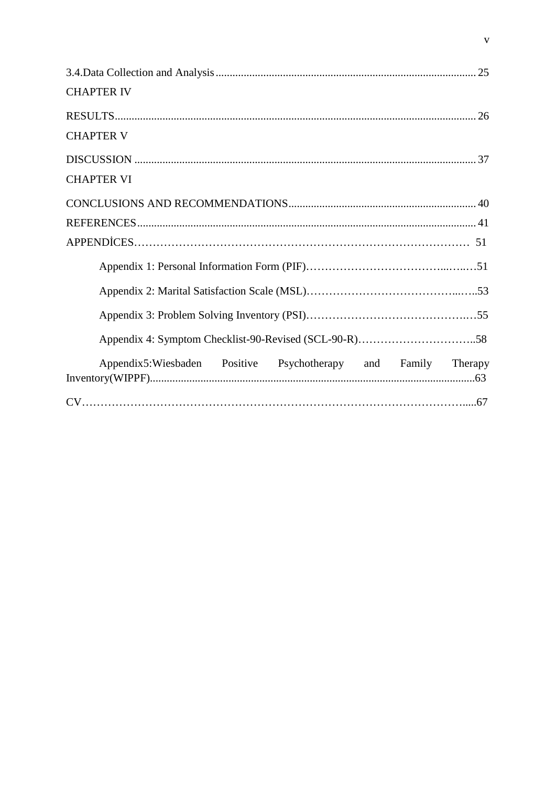| <b>CHAPTER IV</b>                                                |
|------------------------------------------------------------------|
|                                                                  |
| <b>CHAPTER V</b>                                                 |
|                                                                  |
| <b>CHAPTER VI</b>                                                |
|                                                                  |
|                                                                  |
|                                                                  |
|                                                                  |
|                                                                  |
|                                                                  |
|                                                                  |
| Appendix5:Wiesbaden Positive Psychotherapy and Family<br>Therapy |
|                                                                  |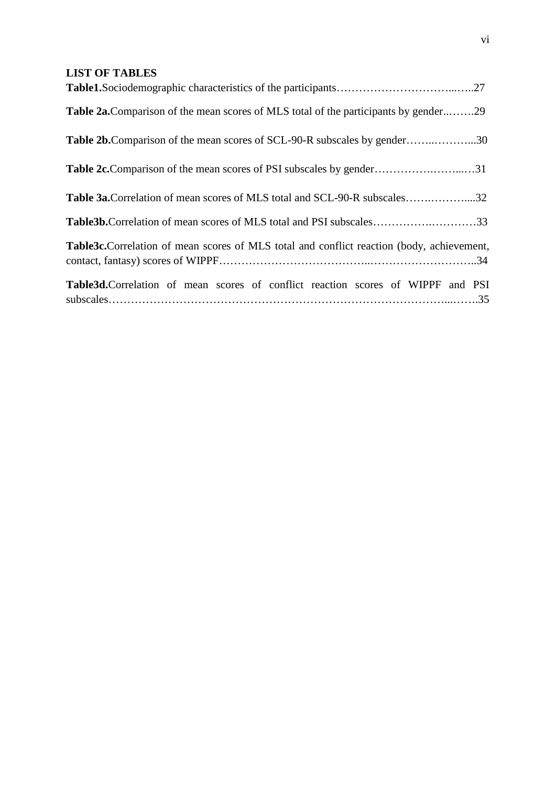# **LIST OF TABLES**

| <b>Table 2a.</b> Comparison of the mean scores of MLS total of the participants by gender29       |  |
|---------------------------------------------------------------------------------------------------|--|
| <b>Table 2b.</b> Comparison of the mean scores of SCL-90-R subscales by gender30                  |  |
|                                                                                                   |  |
| <b>Table 3a. Correlation of mean scores of MLS total and SCL-90-R subscales32</b>                 |  |
| Table3b.Correlation of mean scores of MLS total and PSI subscales33                               |  |
| <b>Table3c.</b> Correlation of mean scores of MLS total and conflict reaction (body, achievement, |  |
| Table3d.Correlation of mean scores of conflict reaction scores of WIPPF and PSI                   |  |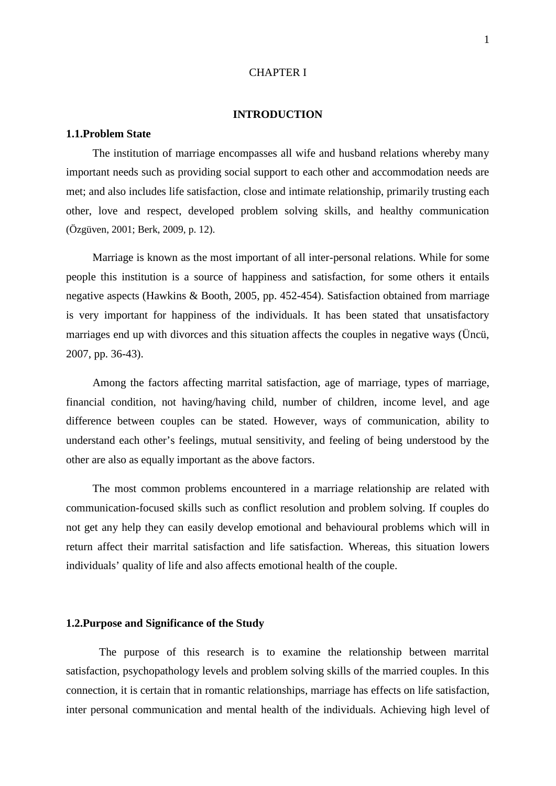#### CHAPTER I

#### **INTRODUCTION**

#### **1.1.Problem State**

The institution of marriage encompasses all wife and husband relations whereby many important needs such as providing social support to each other and accommodation needs are met; and also includes life satisfaction, close and intimate relationship, primarily trusting each other, love and respect, developed problem solving skills, and healthy communication (Özgüven, 2001; Berk, 2009, p. 12).

Marriage is known as the most important of all inter-personal relations. While for some people this institution is a source of happiness and satisfaction, for some others it entails negative aspects (Hawkins & Booth, 2005, pp. 452-454). Satisfaction obtained from marriage is very important for happiness of the individuals. It has been stated that unsatisfactory marriages end up with divorces and this situation affects the couples in negative ways (Üncü, 2007, pp. 36-43).

Among the factors affecting marrital satisfaction, age of marriage, types of marriage, financial condition, not having/having child, number of children, income level, and age difference between couples can be stated. However, ways of communication, ability to understand each other's feelings, mutual sensitivity, and feeling of being understood by the other are also as equally important as the above factors.

The most common problems encountered in a marriage relationship are related with communication-focused skills such as conflict resolution and problem solving. If couples do not get any help they can easily develop emotional and behavioural problems which will in return affect their marrital satisfaction and life satisfaction. Whereas, this situation lowers individuals' quality of life and also affects emotional health of the couple.

### **1.2.Purpose and Significance of the Study**

The purpose of this research is to examine the relationship between marrital satisfaction, psychopathology levels and problem solving skills of the married couples. In this connection, it is certain that in romantic relationships, marriage has effects on life satisfaction, inter personal communication and mental health of the individuals. Achieving high level of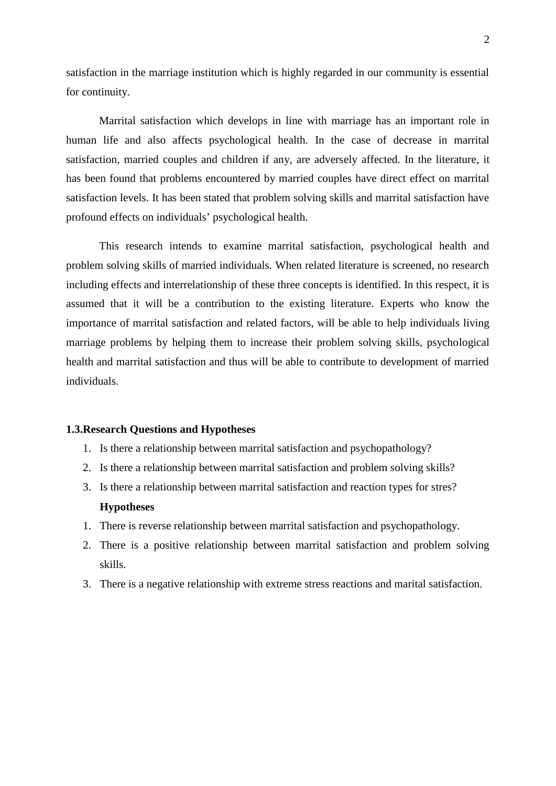satisfaction in the marriage institution which is highly regarded in our community is essential for continuity.

Marrital satisfaction which develops in line with marriage has an important role in human life and also affects psychological health. In the case of decrease in marrital satisfaction*,* married couples and children if any, are adversely affected. In the literature, it has been found that problems encountered by married couples have direct effect on marrital satisfaction levels. It has been stated that problem solving skills and marrital satisfaction have profound effects on individuals' psychological health.

This research intends to examine marrital satisfaction, psychological health and problem solving skills of married individuals. When related literature is screened, no research including effects and interrelationship of these three concepts is identified. In this respect, it is assumed that it will be a contribution to the existing literature. Experts who know the importance of marrital satisfaction and related factors, will be able to help individuals living marriage problems by helping them to increase their problem solving skills, psychological health and marrital satisfaction and thus will be able to contribute to development of married individuals.

#### **1.3.Research Questions and Hypotheses**

- 1. Is there a relationship between marrital satisfaction and psychopathology?
- 2. Is there a relationship between marrital satisfaction and problem solving skills?
- 3. Is there a relationship between marrital satisfaction and reaction types for stres? **Hypotheses**
- 1. There is reverse relationship between marrital satisfaction and psychopathology.
- 2. There is a positive relationship between marrital satisfaction and problem solving skills.
- 3. There is a negative relationship with extreme stress reactions and marital satisfaction.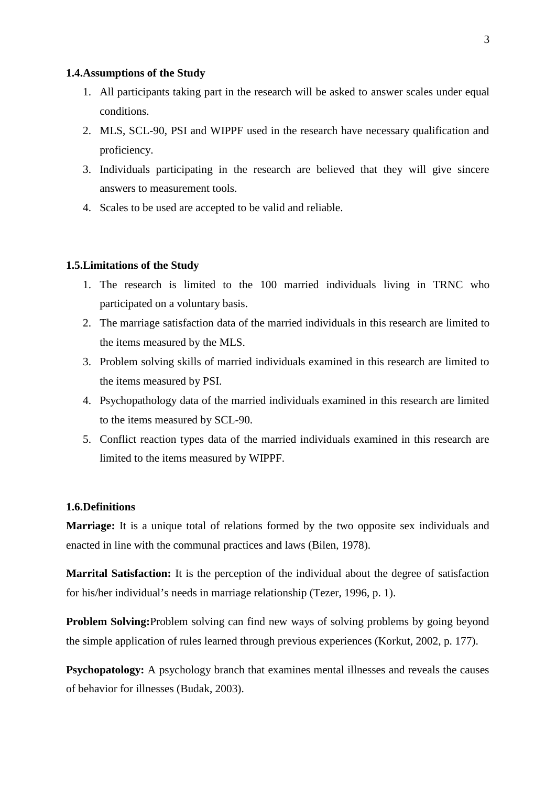#### **1.4.Assumptions of the Study**

- 1. All participants taking part in the research will be asked to answer scales under equal conditions.
- 2. MLS, SCL-90, PSI and WIPPF used in the research have necessary qualification and proficiency.
- 3. Individuals participating in the research are believed that they will give sincere answers to measurement tools.
- 4. Scales to be used are accepted to be valid and reliable.

### **1.5.Limitations of the Study**

- 1. The research is limited to the 100 married individuals living in TRNC who participated on a voluntary basis.
- 2. The marriage satisfaction data of the married individuals in this research are limited to the items measured by the MLS.
- 3. Problem solving skills of married individuals examined in this research are limited to the items measured by PSI.
- 4. Psychopathology data of the married individuals examined in this research are limited to the items measured by SCL-90.
- 5. Conflict reaction types data of the married individuals examined in this research are limited to the items measured by WIPPF.

## **1.6.Definitions**

**Marriage:** It is a unique total of relations formed by the two opposite sex individuals and enacted in line with the communal practices and laws (Bilen, 1978).

**Marrital Satisfaction:** It is the perception of the individual about the degree of satisfaction for his/her individual's needs in marriage relationship (Tezer, 1996, p. 1).

**Problem Solving:**Problem solving can find new ways of solving problems by going beyond the simple application of rules learned through previous experiences (Korkut, 2002, p. 177).

**Psychopatology:** A psychology branch that examines mental illnesses and reveals the causes of behavior for illnesses (Budak, 2003).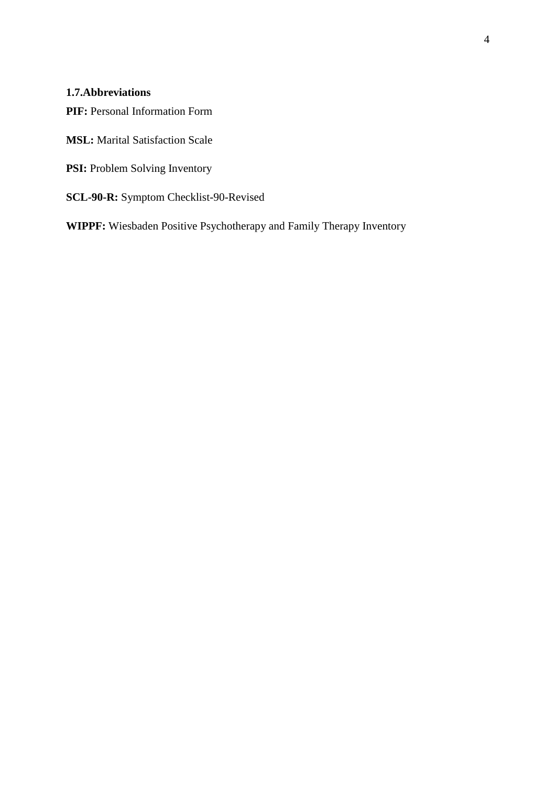# **1.7.Abbreviations**

**PIF:** Personal Information Form

**MSL:** Marital Satisfaction Scale

- **PSI:** Problem Solving Inventory
- **SCL-90-R:** Symptom Checklist-90-Revised

**WIPPF:** Wiesbaden Positive Psychotherapy and Family Therapy Inventory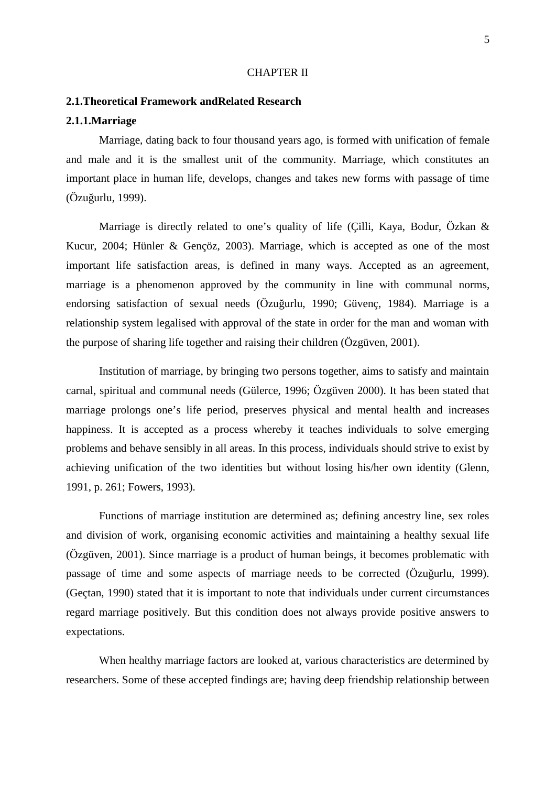#### CHAPTER II

## **2.1.Theoretical Framework andRelated Research**

## **2.1.1.Marriage**

Marriage, dating back to four thousand years ago, is formed with unification of female and male and it is the smallest unit of the community. Marriage, which constitutes an important place in human life, develops, changes and takes new forms with passage of time  $(Özu$  urlu, 1999).

Marriage is directly related to one's quality of life (Çilli, Kaya, Bodur, Özkan & Kucur, 2004; Hünler & Gençöz, 2003). Marriage, which is accepted as one of the most important life satisfaction areas, is defined in many ways. Accepted as an agreement, marriage is a phenomenon approved by the community in line with communal norms, endorsing satisfaction of sexual needs (Özu urlu, 1990; Güvenç, 1984). Marriage is a relationship system legalised with approval of the state in order for the man and woman with the purpose of sharing life together and raising their children (Özgüven, 2001).

Institution of marriage, by bringing two persons together, aims to satisfy and maintain carnal, spiritual and communal needs (Gülerce, 1996; Özgüven 2000). It has been stated that marriage prolongs one's life period, preserves physical and mental health and increases happiness. It is accepted as a process whereby it teaches individuals to solve emerging problems and behave sensibly in all areas. In this process, individuals should strive to exist by achieving unification of the two identities but without losing his/her own identity (Glenn, 1991, p. 261; Fowers, 1993).

Functions of marriage institution are determined as; defining ancestry line, sex roles and division of work, organising economic activities and maintaining a healthy sexual life (Özgüven, 2001). Since marriage is a product of human beings, it becomes problematic with passage of time and some aspects of marriage needs to be corrected (Özuğurlu, 1999). (Geçtan, 1990) stated that it is important to note that individuals under current circumstances regard marriage positively. But this condition does not always provide positive answers to expectations.

When healthy marriage factors are looked at, various characteristics are determined by researchers. Some of these accepted findings are; having deep friendship relationship between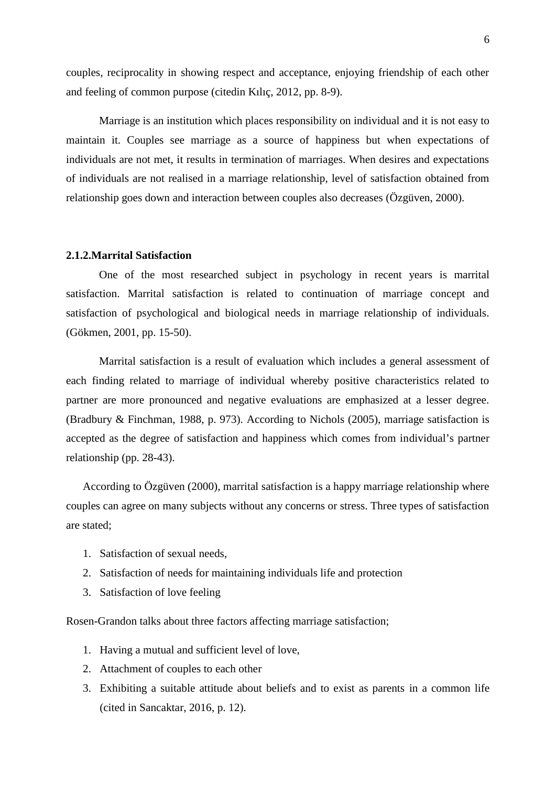couples, reciprocality in showing respect and acceptance, enjoying friendship of each other and feeling of common purpose (citedin Kılıç, 2012, pp. 8-9).

Marriage is an institution which places responsibility on individual and it is not easy to maintain it. Couples see marriage as a source of happiness but when expectations of individuals are not met, it results in termination of marriages. When desires and expectations of individuals are not realised in a marriage relationship, level of satisfaction obtained from relationship goes down and interaction between couples also decreases (Özgüven, 2000).

#### **2.1.2.Marrital Satisfaction**

One of the most researched subject in psychology in recent years is marrital satisfaction. Marrital satisfaction is related to continuation of marriage concept and satisfaction of psychological and biological needs in marriage relationship of individuals. (Gökmen, 2001, pp. 15-50).

Marrital satisfaction is a result of evaluation which includes a general assessment of each finding related to marriage of individual whereby positive characteristics related to partner are more pronounced and negative evaluations are emphasized at a lesser degree. (Bradbury & Finchman, 1988, p. 973). According to Nichols (2005), marriage satisfaction is accepted as the degree of satisfaction and happiness which comes from individual's partner relationship (pp. 28-43).

According to Özgüven (2000), marrital satisfaction is a happy marriage relationship where couples can agree on many subjects without any concerns or stress. Three types of satisfaction are stated;

- 1. Satisfaction of sexual needs,
- 2. Satisfaction of needs for maintaining individuals life and protection
- 3. Satisfaction of love feeling

Rosen-Grandon talks about three factors affecting marriage satisfaction;

- 1. Having a mutual and sufficient level of love,
- 2. Attachment of couples to each other
- 3. Exhibiting a suitable attitude about beliefs and to exist as parents in a common life (cited in Sancaktar, 2016, p. 12).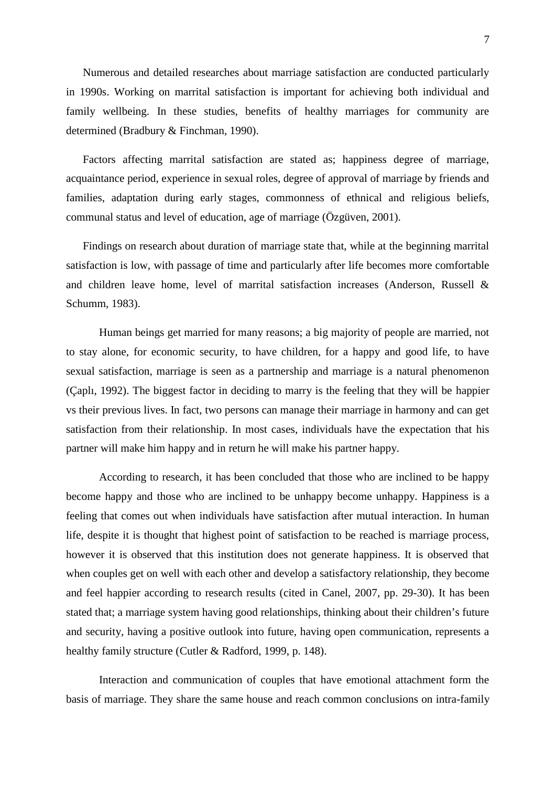Numerous and detailed researches about marriage satisfaction are conducted particularly in 1990s. Working on marrital satisfaction is important for achieving both individual and family wellbeing. In these studies, benefits of healthy marriages for community are determined (Bradbury & Finchman, 1990).

Factors affecting marrital satisfaction are stated as; happiness degree of marriage, acquaintance period, experience in sexual roles, degree of approval of marriage by friends and families, adaptation during early stages, commonness of ethnical and religious beliefs, communal status and level of education, age of marriage (Özgüven, 2001).

Findings on research about duration of marriage state that, while at the beginning marrital satisfaction is low, with passage of time and particularly after life becomes more comfortable and children leave home, level of marrital satisfaction increases (Anderson, Russell & Schumm, 1983).

Human beings get married for many reasons; a big majority of people are married, not to stay alone, for economic security, to have children, for a happy and good life, to have sexual satisfaction, marriage is seen as a partnership and marriage is a natural phenomenon (Çaplı, 1992). The biggest factor in deciding to marry is the feeling that they will be happier vs their previous lives. In fact, two persons can manage their marriage in harmony and can get satisfaction from their relationship. In most cases, individuals have the expectation that his partner will make him happy and in return he will make his partner happy.

According to research, it has been concluded that those who are inclined to be happy become happy and those who are inclined to be unhappy become unhappy. Happiness is a feeling that comes out when individuals have satisfaction after mutual interaction. In human life, despite it is thought that highest point of satisfaction to be reached is marriage process, however it is observed that this institution does not generate happiness. It is observed that when couples get on well with each other and develop a satisfactory relationship, they become and feel happier according to research results (cited in Canel, 2007, pp. 29-30). It has been stated that; a marriage system having good relationships, thinking about their children's future and security, having a positive outlook into future, having open communication, represents a healthy family structure (Cutler & Radford, 1999, p. 148).

Interaction and communication of couples that have emotional attachment form the basis of marriage. They share the same house and reach common conclusions on intra-family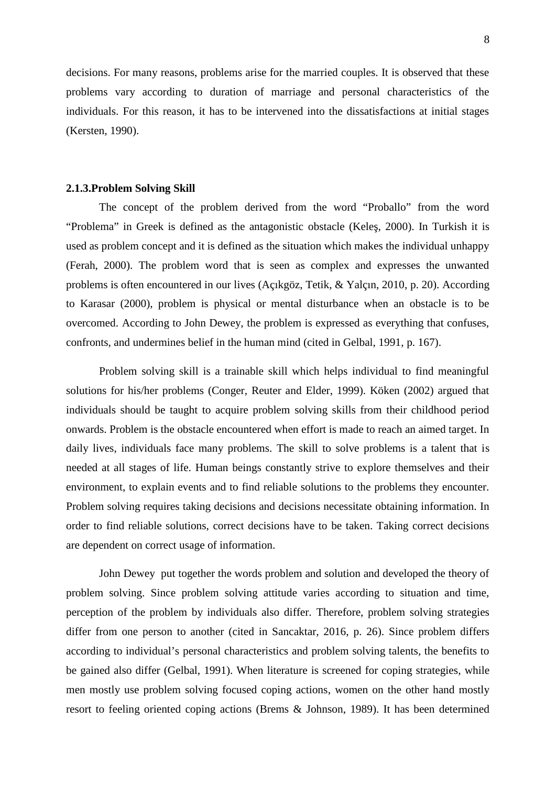decisions. For many reasons, problems arise for the married couples. It is observed that these problems vary according to duration of marriage and personal characteristics of the individuals. For this reason, it has to be intervened into the dissatisfactions at initial stages (Kersten, 1990).

#### **2.1.3.Problem Solving Skill**

The concept of the problem derived from the word "Proballo" from the word "Problema" in Greek is defined as the antagonistic obstacle (Kele, 2000). In Turkish it is used as problem concept and it is defined as the situation which makes the individual unhappy (Ferah, 2000). The problem word that is seen as complex and expresses the unwanted problems is often encountered in our lives (Açıkgöz, Tetik, & Yalçın, 2010, p. 20). According to Karasar (2000), problem is physical or mental disturbance when an obstacle is to be overcomed. According to John Dewey, the problem is expressed as everything that confuses, confronts, and undermines belief in the human mind (cited in Gelbal, 1991, p. 167).

Problem solving skill is a trainable skill which helps individual to find meaningful solutions for his/her problems (Conger, Reuter and Elder, 1999). Köken (2002) argued that individuals should be taught to acquire problem solving skills from their childhood period onwards. Problem is the obstacle encountered when effort is made to reach an aimed target. In daily lives, individuals face many problems. The skill to solve problems is a talent that is needed at all stages of life. Human beings constantly strive to explore themselves and their environment, to explain events and to find reliable solutions to the problems they encounter. Problem solving requires taking decisions and decisions necessitate obtaining information. In order to find reliable solutions, correct decisions have to be taken. Taking correct decisions are dependent on correct usage of information.

John Dewey put together the words problem and solution and developed the theory of problem solving. Since problem solving attitude varies according to situation and time, perception of the problem by individuals also differ. Therefore, problem solving strategies differ from one person to another (cited in Sancaktar, 2016, p. 26). Since problem differs according to individual's personal characteristics and problem solving talents, the benefits to be gained also differ (Gelbal, 1991). When literature is screened for coping strategies, while men mostly use problem solving focused coping actions, women on the other hand mostly resort to feeling oriented coping actions (Brems & Johnson, 1989). It has been determined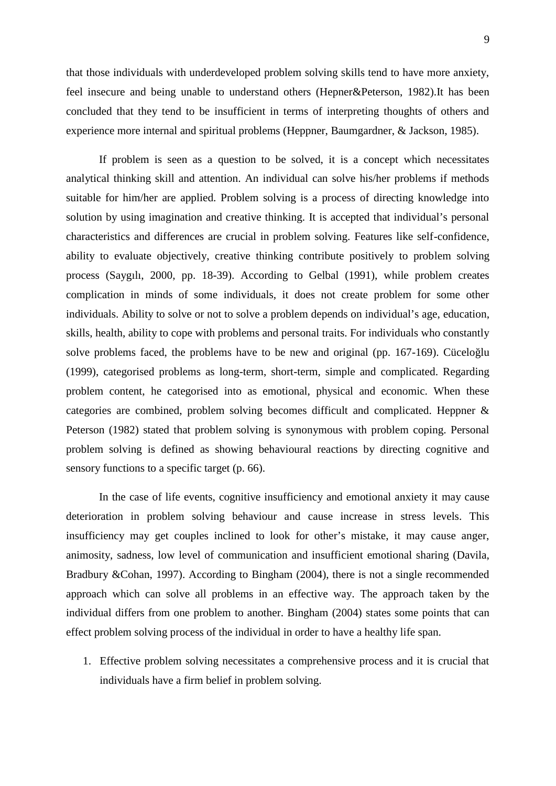9

that those individuals with underdeveloped problem solving skills tend to have more anxiety, feel insecure and being unable to understand others (Hepner&Peterson, 1982).It has been concluded that they tend to be insufficient in terms of interpreting thoughts of others and experience more internal and spiritual problems (Heppner, Baumgardner, & Jackson, 1985).

If problem is seen as a question to be solved, it is a concept which necessitates analytical thinking skill and attention. An individual can solve his/her problems if methods suitable for him/her are applied. Problem solving is a process of directing knowledge into solution by using imagination and creative thinking. It is accepted that individual's personal characteristics and differences are crucial in problem solving. Features like self-confidence, ability to evaluate objectively, creative thinking contribute positively to problem solving process (Saygılı, 2000, pp. 18-39). According to Gelbal (1991), while problem creates complication in minds of some individuals, it does not create problem for some other individuals. Ability to solve or not to solve a problem depends on individual's age, education, skills, health, ability to cope with problems and personal traits. For individuals who constantly solve problems faced, the problems have to be new and original (pp.  $167-169$ ). Cücelo lu (1999), categorised problems as long-term, short-term, simple and complicated. Regarding problem content, he categorised into as emotional, physical and economic. When these categories are combined, problem solving becomes difficult and complicated. Heppner & Peterson (1982) stated that problem solving is synonymous with problem coping. Personal problem solving is defined as showing behavioural reactions by directing cognitive and sensory functions to a specific target (p. 66).

In the case of life events, cognitive insufficiency and emotional anxiety it may cause deterioration in problem solving behaviour and cause increase in stress levels. This insufficiency may get couples inclined to look for other's mistake, it may cause anger, animosity, sadness, low level of communication and insufficient emotional sharing (Davila, Bradbury &Cohan, 1997). According to Bingham (2004), there is not a single recommended approach which can solve all problems in an effective way. The approach taken by the individual differs from one problem to another. Bingham (2004) states some points that can effect problem solving process of the individual in order to have a healthy life span.

1. Effective problem solving necessitates a comprehensive process and it is crucial that individuals have a firm belief in problem solving.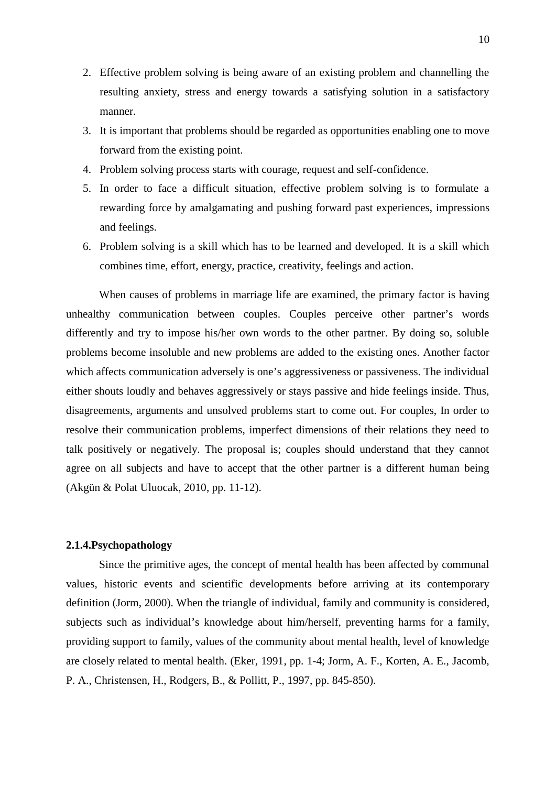- 2. Effective problem solving is being aware of an existing problem and channelling the resulting anxiety, stress and energy towards a satisfying solution in a satisfactory manner.
- 3. It is important that problems should be regarded as opportunities enabling one to move forward from the existing point.
- 4. Problem solving process starts with courage, request and self-confidence.
- 5. In order to face a difficult situation, effective problem solving is to formulate a rewarding force by amalgamating and pushing forward past experiences, impressions and feelings.
- 6. Problem solving is a skill which has to be learned and developed. It is a skill which combines time, effort, energy, practice, creativity, feelings and action.

When causes of problems in marriage life are examined, the primary factor is having unhealthy communication between couples. Couples perceive other partner's words differently and try to impose his/her own words to the other partner. By doing so, soluble problems become insoluble and new problems are added to the existing ones. Another factor which affects communication adversely is one's aggressiveness or passiveness. The individual either shouts loudly and behaves aggressively or stays passive and hide feelings inside. Thus, disagreements, arguments and unsolved problems start to come out. For couples, In order to resolve their communication problems, imperfect dimensions of their relations they need to talk positively or negatively. The proposal is; couples should understand that they cannot agree on all subjects and have to accept that the other partner is a different human being (Akgün & Polat Uluocak, 2010, pp. 11-12).

### **2.1.4.Psychopathology**

Since the primitive ages, the concept of mental health has been affected by communal values, historic events and scientific developments before arriving at its contemporary definition (Jorm, 2000). When the triangle of individual, family and community is considered, subjects such as individual's knowledge about him/herself, preventing harms for a family, providing support to family, values of the community about mental health, level of knowledge are closely related to mental health. (Eker, 1991, pp. 1-4; Jorm, A. F., Korten, A. E., Jacomb, P. A., Christensen, H., Rodgers, B., & Pollitt, P., 1997, pp. 845-850).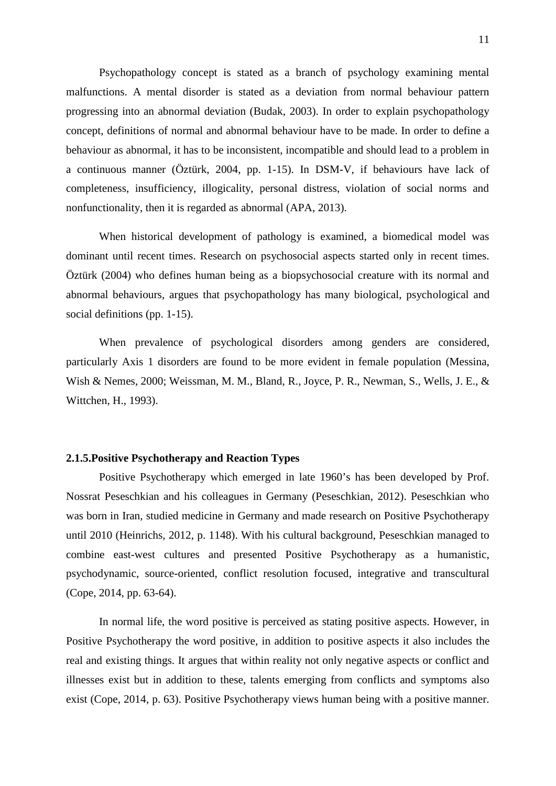Psychopathology concept is stated as a branch of psychology examining mental malfunctions. A mental disorder is stated as a deviation from normal behaviour pattern progressing into an abnormal deviation (Budak, 2003). In order to explain psychopathology concept, definitions of normal and abnormal behaviour have to be made. In order to define a behaviour as abnormal, it has to be inconsistent, incompatible and should lead to a problem in a continuous manner (Öztürk, 2004, pp. 1-15). In DSM-V, if behaviours have lack of completeness, insufficiency, illogicality, personal distress, violation of social norms and nonfunctionality, then it is regarded as abnormal (APA, 2013).

When historical development of pathology is examined, a biomedical model was dominant until recent times. Research on psychosocial aspects started only in recent times. Öztürk (2004) who defines human being as a biopsychosocial creature with its normal and abnormal behaviours, argues that psychopathology has many biological, psychological and social definitions (pp. 1-15).

When prevalence of psychological disorders among genders are considered, particularly Axis 1 disorders are found to be more evident in female population (Messina, Wish & Nemes, 2000; Weissman, M. M., Bland, R., Joyce, P. R., Newman, S., Wells, J. E., & Wittchen, H., 1993).

#### **2.1.5.Positive Psychotherapy and Reaction Types**

Positive Psychotherapy which emerged in late 1960's has been developed by Prof. Nossrat Peseschkian and his colleagues in Germany (Peseschkian, 2012). Peseschkian who was born in Iran, studied medicine in Germany and made research on Positive Psychotherapy until 2010 (Heinrichs, 2012, p. 1148). With his cultural background, Peseschkian managed to combine east-west cultures and presented Positive Psychotherapy as a humanistic, psychodynamic, source-oriented, conflict resolution focused, integrative and transcultural (Cope, 2014, pp. 63-64).

In normal life, the word positive is perceived as stating positive aspects. However, in Positive Psychotherapy the word positive, in addition to positive aspects it also includes the real and existing things. It argues that within reality not only negative aspects or conflict and illnesses exist but in addition to these, talents emerging from conflicts and symptoms also exist (Cope, 2014, p. 63). Positive Psychotherapy views human being with a positive manner.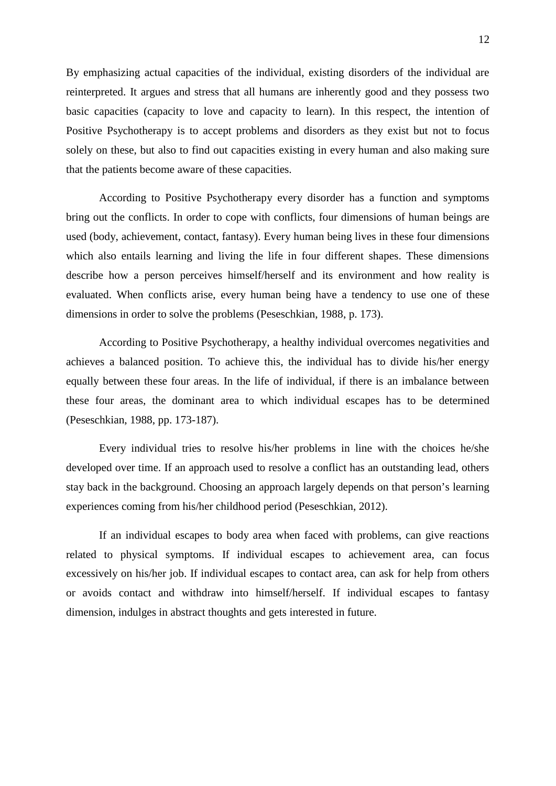By emphasizing actual capacities of the individual, existing disorders of the individual are reinterpreted. It argues and stress that all humans are inherently good and they possess two basic capacities (capacity to love and capacity to learn). In this respect, the intention of Positive Psychotherapy is to accept problems and disorders as they exist but not to focus solely on these, but also to find out capacities existing in every human and also making sure that the patients become aware of these capacities.

According to Positive Psychotherapy every disorder has a function and symptoms bring out the conflicts. In order to cope with conflicts, four dimensions of human beings are used (body, achievement, contact, fantasy). Every human being lives in these four dimensions which also entails learning and living the life in four different shapes. These dimensions describe how a person perceives himself/herself and its environment and how reality is evaluated. When conflicts arise, every human being have a tendency to use one of these dimensions in order to solve the problems (Peseschkian, 1988, p. 173).

According to Positive Psychotherapy, a healthy individual overcomes negativities and achieves a balanced position. To achieve this, the individual has to divide his/her energy equally between these four areas. In the life of individual, if there is an imbalance between these four areas, the dominant area to which individual escapes has to be determined (Peseschkian, 1988, pp. 173-187).

Every individual tries to resolve his/her problems in line with the choices he/she developed over time. If an approach used to resolve a conflict has an outstanding lead, others stay back in the background. Choosing an approach largely depends on that person's learning experiences coming from his/her childhood period (Peseschkian, 2012).

If an individual escapes to body area when faced with problems, can give reactions related to physical symptoms. If individual escapes to achievement area, can focus excessively on his/her job. If individual escapes to contact area, can ask for help from others or avoids contact and withdraw into himself/herself. If individual escapes to fantasy dimension, indulges in abstract thoughts and gets interested in future.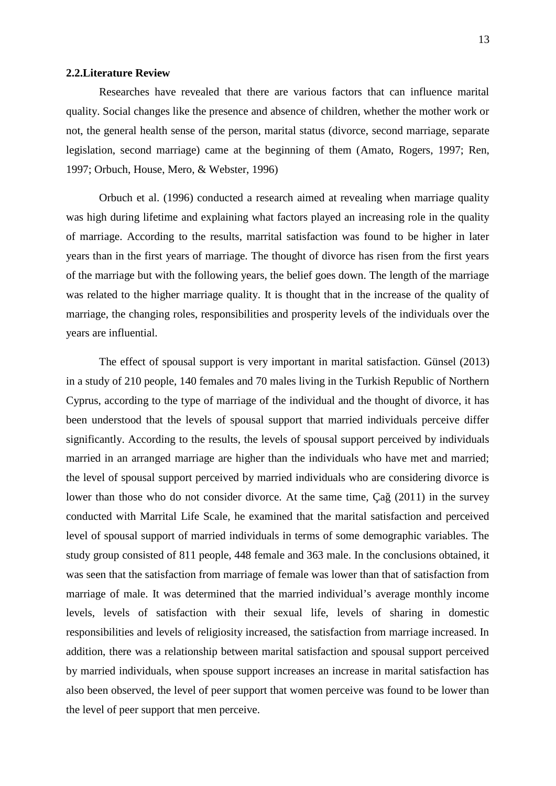#### **2.2.Literature Review**

Researches have revealed that there are various factors that can influence marital quality. Social changes like the presence and absence of children, whether the mother work or not, the general health sense of the person, marital status (divorce, second marriage, separate legislation, second marriage) came at the beginning of them (Amato, Rogers, 1997; Ren, 1997; Orbuch, House, Mero, & Webster, 1996)

Orbuch et al. (1996) conducted a research aimed at revealing when marriage quality was high during lifetime and explaining what factors played an increasing role in the quality of marriage. According to the results, marrital satisfaction was found to be higher in later years than in the first years of marriage. The thought of divorce has risen from the first years of the marriage but with the following years, the belief goes down. The length of the marriage was related to the higher marriage quality. It is thought that in the increase of the quality of marriage, the changing roles, responsibilities and prosperity levels of the individuals over the years are influential.

The effect of spousal support is very important in marital satisfaction. Günsel (2013) in a study of 210 people, 140 females and 70 males living in the Turkish Republic of Northern Cyprus, according to the type of marriage of the individual and the thought of divorce, it has been understood that the levels of spousal support that married individuals perceive differ significantly. According to the results, the levels of spousal support perceived by individuals married in an arranged marriage are higher than the individuals who have met and married; the level of spousal support perceived by married individuals who are considering divorce is lower than those who do not consider divorce. At the same time, Ça (2011) in the survey conducted with Marrital Life Scale, he examined that the marital satisfaction and perceived level of spousal support of married individuals in terms of some demographic variables. The study group consisted of 811 people, 448 female and 363 male. In the conclusions obtained, it was seen that the satisfaction from marriage of female was lower than that of satisfaction from marriage of male. It was determined that the married individual's average monthly income levels, levels of satisfaction with their sexual life, levels of sharing in domestic responsibilities and levels of religiosity increased, the satisfaction from marriage increased. In addition, there was a relationship between marital satisfaction and spousal support perceived by married individuals, when spouse support increases an increase in marital satisfaction has also been observed, the level of peer support that women perceive was found to be lower than the level of peer support that men perceive.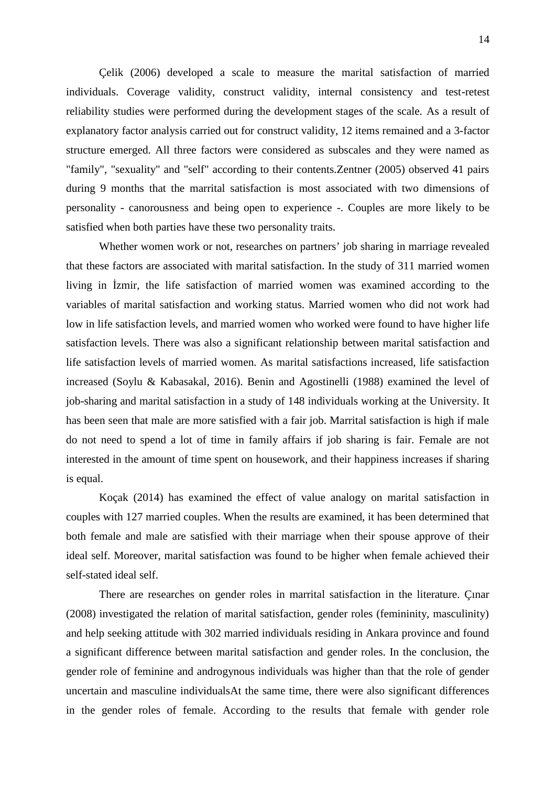Çelik (2006) developed a scale to measure the marital satisfaction of married individuals. Coverage validity, construct validity, internal consistency and test-retest reliability studies were performed during the development stages of the scale. As a result of explanatory factor analysis carried out for construct validity, 12 items remained and a 3-factor structure emerged. All three factors were considered as subscales and they were named as "family", "sexuality" and "self" according to their contents.Zentner (2005) observed 41 pairs during 9 months that the marrital satisfaction is most associated with two dimensions of personality - canorousness and being open to experience -. Couples are more likely to be satisfied when both parties have these two personality traits.

Whether women work or not, researches on partners' job sharing in marriage revealed that these factors are associated with marital satisfaction. In the study of 311 married women living in zmir, the life satisfaction of married women was examined according to the variables of marital satisfaction and working status. Married women who did not work had low in life satisfaction levels, and married women who worked were found to have higher life satisfaction levels. There was also a significant relationship between marital satisfaction and life satisfaction levels of married women. As marital satisfactions increased, life satisfaction increased (Soylu & Kabasakal, 2016). Benin and Agostinelli (1988) examined the level of job-sharing and marital satisfaction in a study of 148 individuals working at the University. It has been seen that male are more satisfied with a fair job. Marrital satisfaction is high if male do not need to spend a lot of time in family affairs if job sharing is fair. Female are not interested in the amount of time spent on housework, and their happiness increases if sharing is equal.

Koçak (2014) has examined the effect of value analogy on marital satisfaction in couples with 127 married couples. When the results are examined, it has been determined that both female and male are satisfied with their marriage when their spouse approve of their ideal self. Moreover, marital satisfaction was found to be higher when female achieved their self-stated ideal self.

There are researches on gender roles in marrital satisfaction in the literature. Çınar (2008) investigated the relation of marital satisfaction, gender roles (femininity, masculinity) and help seeking attitude with 302 married individuals residing in Ankara province and found a significant difference between marital satisfaction and gender roles. In the conclusion, the gender role of feminine and androgynous individuals was higher than that the role of gender uncertain and masculine individualsAt the same time, there were also significant differences in the gender roles of female. According to the results that female with gender role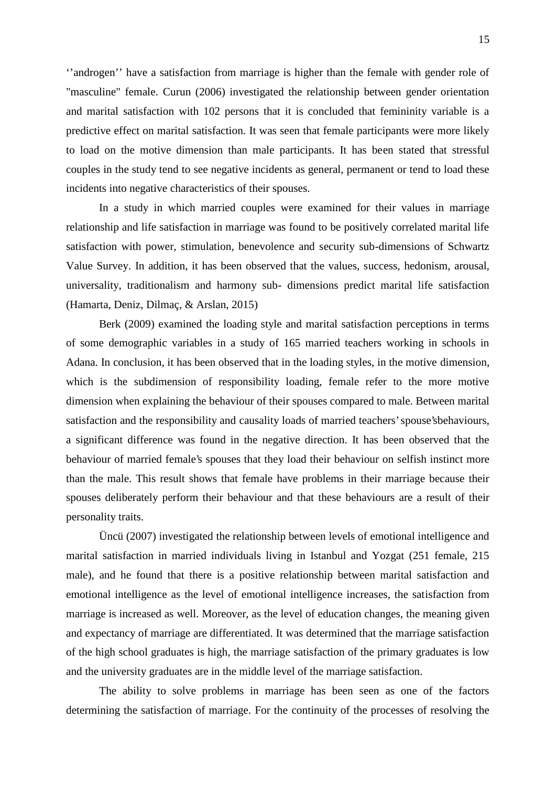''androgen'' have a satisfaction from marriage is higher than the female with gender role of "masculine" female. Curun (2006) investigated the relationship between gender orientation and marital satisfaction with 102 persons that it is concluded that femininity variable is a predictive effect on marital satisfaction. It was seen that female participants were more likely to load on the motive dimension than male participants. It has been stated that stressful couples in the study tend to see negative incidents as general, permanent or tend to load these incidents into negative characteristics of their spouses.

In a study in which married couples were examined for their values in marriage relationship and life satisfaction in marriage was found to be positively correlated marital life satisfaction with power, stimulation, benevolence and security sub-dimensions of Schwartz Value Survey. In addition, it has been observed that the values, success, hedonism, arousal, universality, traditionalism and harmony sub- dimensions predict marital life satisfaction (Hamarta, Deniz, Dilmaç, & Arslan, 2015)

Berk (2009) examined the loading style and marital satisfaction perceptions in terms of some demographic variables in a study of 165 married teachers working in schools in Adana. In conclusion, it has been observed that in the loading styles, in the motive dimension, which is the subdimension of responsibility loading, female refer to the more motive dimension when explaining the behaviour of their spouses compared to male. Between marital satisfaction and the responsibility and causality loads of married teachers' spouse'sbehaviours, a significant difference was found in the negative direction. It has been observed that the behaviour of married female's spouses that they load their behaviour on selfish instinct more than the male. This result shows that female have problems in their marriage because their spouses deliberately perform their behaviour and that these behaviours are a result of their personality traits.

Üncü (2007) investigated the relationship between levels of emotional intelligence and marital satisfaction in married individuals living in Istanbul and Yozgat (251 female, 215 male), and he found that there is a positive relationship between marital satisfaction and emotional intelligence as the level of emotional intelligence increases, the satisfaction from marriage is increased as well. Moreover, as the level of education changes, the meaning given and expectancy of marriage are differentiated. It was determined that the marriage satisfaction of the high school graduates is high, the marriage satisfaction of the primary graduates is low and the university graduates are in the middle level of the marriage satisfaction.

The ability to solve problems in marriage has been seen as one of the factors determining the satisfaction of marriage. For the continuity of the processes of resolving the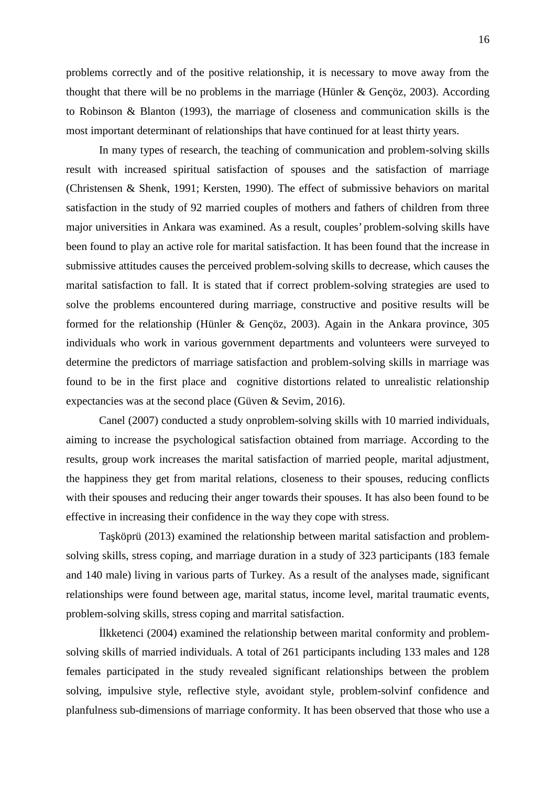problems correctly and of the positive relationship, it is necessary to move away from the thought that there will be no problems in the marriage (Hünler & Gençöz, 2003). According to Robinson & Blanton (1993), the marriage of closeness and communication skills is the most important determinant of relationships that have continued for at least thirty years.

In many types of research, the teaching of communication and problem-solving skills result with increased spiritual satisfaction of spouses and the satisfaction of marriage (Christensen & Shenk, 1991; Kersten, 1990). The effect of submissive behaviors on marital satisfaction in the study of 92 married couples of mothers and fathers of children from three major universities in Ankara was examined. As a result, couples' problem-solving skills have been found to play an active role for marital satisfaction. It has been found that the increase in submissive attitudes causes the perceived problem-solving skills to decrease, which causes the marital satisfaction to fall. It is stated that if correct problem-solving strategies are used to solve the problems encountered during marriage, constructive and positive results will be formed for the relationship (Hünler & Gençöz, 2003). Again in the Ankara province, 305 individuals who work in various government departments and volunteers were surveyed to determine the predictors of marriage satisfaction and problem-solving skills in marriage was found to be in the first place and cognitive distortions related to unrealistic relationship expectancies was at the second place (Güven & Sevim, 2016).

Canel (2007) conducted a study onproblem-solving skills with 10 married individuals, aiming to increase the psychological satisfaction obtained from marriage. According to the results, group work increases the marital satisfaction of married people, marital adjustment, the happiness they get from marital relations, closeness to their spouses, reducing conflicts with their spouses and reducing their anger towards their spouses. It has also been found to be effective in increasing their confidence in the way they cope with stress.

Ta köprü (2013) examined the relationship between marital satisfaction and problemsolving skills, stress coping, and marriage duration in a study of 323 participants (183 female and 140 male) living in various parts of Turkey. As a result of the analyses made, significant relationships were found between age, marital status, income level, marital traumatic events, problem-solving skills, stress coping and marrital satisfaction.

lkketenci (2004) examined the relationship between marital conformity and problem solving skills of married individuals. A total of 261 participants including 133 males and 128 females participated in the study revealed significant relationships between the problem solving, impulsive style, reflective style, avoidant style, problem-solvinf confidence and planfulness sub-dimensions of marriage conformity. It has been observed that those who use a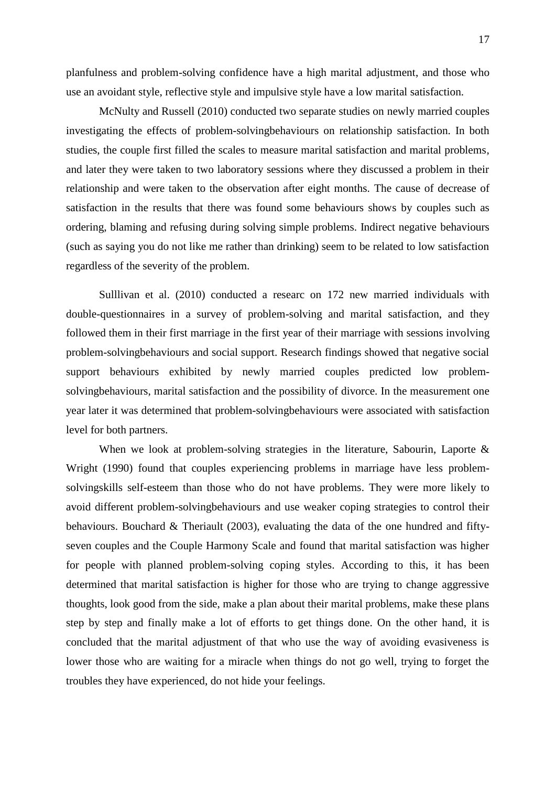planfulness and problem-solving confidence have a high marital adjustment, and those who use an avoidant style, reflective style and impulsive style have a low marital satisfaction.

McNulty and Russell (2010) conducted two separate studies on newly married couples investigating the effects of problem-solvingbehaviours on relationship satisfaction. In both studies, the couple first filled the scales to measure marital satisfaction and marital problems, and later they were taken to two laboratory sessions where they discussed a problem in their relationship and were taken to the observation after eight months. The cause of decrease of satisfaction in the results that there was found some behaviours shows by couples such as ordering, blaming and refusing during solving simple problems. Indirect negative behaviours (such as saying you do not like me rather than drinking) seem to be related to low satisfaction regardless of the severity of the problem.

Sulllivan et al. (2010) conducted a researc on 172 new married individuals with double-questionnaires in a survey of problem-solving and marital satisfaction, and they followed them in their first marriage in the first year of their marriage with sessions involving problem-solvingbehaviours and social support. Research findings showed that negative social support behaviours exhibited by newly married couples predicted low problem solvingbehaviours, marital satisfaction and the possibility of divorce. In the measurement one year later it was determined that problem-solvingbehaviours were associated with satisfaction level for both partners.

When we look at problem-solving strategies in the literature, Sabourin, Laporte & Wright (1990) found that couples experiencing problems in marriage have less problem solvingskills self-esteem than those who do not have problems. They were more likely to avoid different problem-solvingbehaviours and use weaker coping strategies to control their behaviours. Bouchard & Theriault (2003), evaluating the data of the one hundred and fifty seven couples and the Couple Harmony Scale and found that marital satisfaction was higher for people with planned problem-solving coping styles. According to this, it has been determined that marital satisfaction is higher for those who are trying to change aggressive thoughts, look good from the side, make a plan about their marital problems, make these plans step by step and finally make a lot of efforts to get things done. On the other hand, it is concluded that the marital adjustment of that who use the way of avoiding evasiveness is lower those who are waiting for a miracle when things do not go well, trying to forget the troubles they have experienced, do not hide your feelings.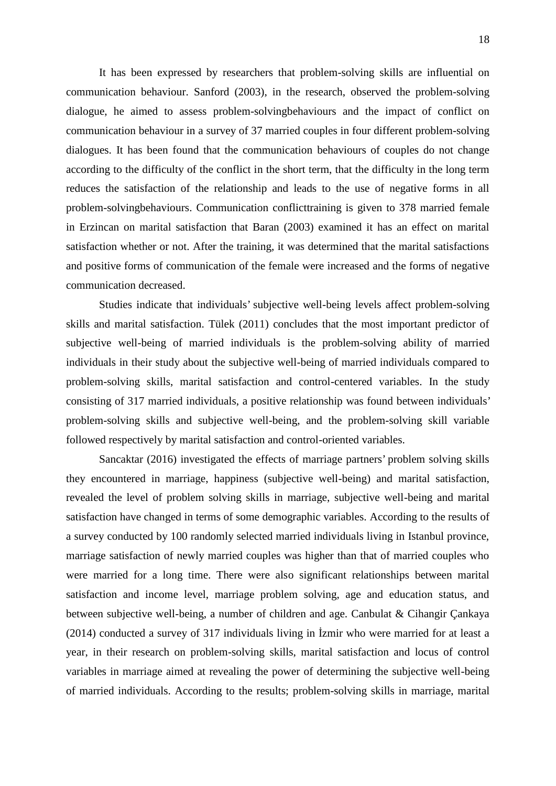It has been expressed by researchers that problem-solving skills are influential on communication behaviour. Sanford (2003), in the research, observed the problem-solving dialogue, he aimed to assess problem-solvingbehaviours and the impact of conflict on communication behaviour in a survey of 37 married couples in four different problem-solving dialogues. It has been found that the communication behaviours of couples do not change according to the difficulty of the conflict in the short term, that the difficulty in the long term reduces the satisfaction of the relationship and leads to the use of negative forms in all problem-solvingbehaviours. Communication conflicttraining is given to 378 married female in Erzincan on marital satisfaction that Baran (2003) examined it has an effect on marital satisfaction whether or not. After the training, it was determined that the marital satisfactions and positive forms of communication of the female were increased and the forms of negative communication decreased.

Studies indicate that individuals' subjective well-being levels affect problem-solving skills and marital satisfaction. Tülek (2011) concludes that the most important predictor of subjective well-being of married individuals is the problem-solving ability of married individuals in their study about the subjective well-being of married individuals compared to problem-solving skills, marital satisfaction and control-centered variables. In the study consisting of 317 married individuals, a positive relationship was found between individuals' problem-solving skills and subjective well-being, and the problem-solving skill variable followed respectively by marital satisfaction and control-oriented variables.

Sancaktar (2016) investigated the effects of marriage partners' problem solving skills they encountered in marriage, happiness (subjective well-being) and marital satisfaction, revealed the level of problem solving skills in marriage, subjective well-being and marital satisfaction have changed in terms of some demographic variables. According to the results of a survey conducted by 100 randomly selected married individuals living in Istanbul province, marriage satisfaction of newly married couples was higher than that of married couples who were married for a long time. There were also significant relationships between marital satisfaction and income level, marriage problem solving, age and education status, and between subjective well-being, a number of children and age. Canbulat & Cihangir Çankaya  $(2014)$  conducted a survey of 317 individuals living in zmir who were married for at least a year, in their research on problem-solving skills, marital satisfaction and locus of control variables in marriage aimed at revealing the power of determining the subjective well-being of married individuals. According to the results; problem-solving skills in marriage, marital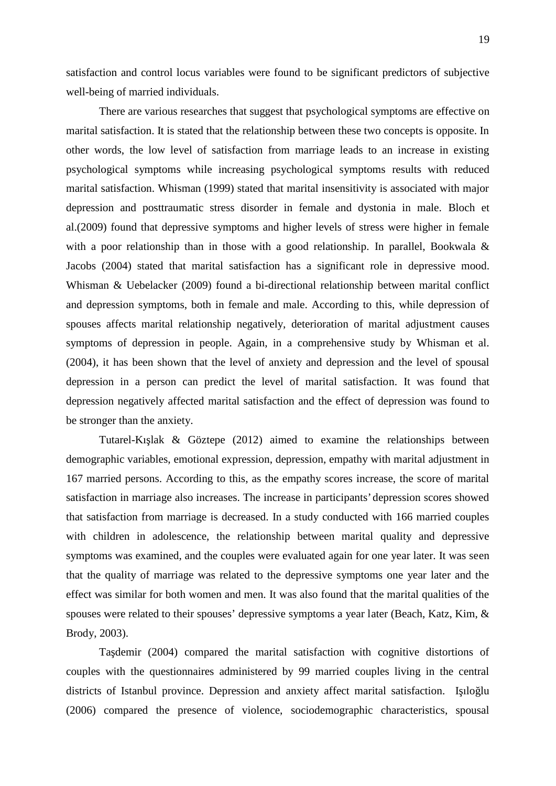satisfaction and control locus variables were found to be significant predictors of subjective well-being of married individuals.

There are various researches that suggest that psychological symptoms are effective on marital satisfaction. It is stated that the relationship between these two concepts is opposite. In other words, the low level of satisfaction from marriage leads to an increase in existing psychological symptoms while increasing psychological symptoms results with reduced marital satisfaction. Whisman (1999) stated that marital insensitivity is associated with major depression and posttraumatic stress disorder in female and dystonia in male. Bloch et al.(2009) found that depressive symptoms and higher levels of stress were higher in female with a poor relationship than in those with a good relationship. In parallel, Bookwala & Jacobs (2004) stated that marital satisfaction has a significant role in depressive mood. Whisman & Uebelacker (2009) found a bi-directional relationship between marital conflict and depression symptoms, both in female and male. According to this, while depression of spouses affects marital relationship negatively, deterioration of marital adjustment causes symptoms of depression in people. Again, in a comprehensive study by Whisman et al. (2004), it has been shown that the level of anxiety and depression and the level of spousal depression in a person can predict the level of marital satisfaction. It was found that depression negatively affected marital satisfaction and the effect of depression was found to be stronger than the anxiety.

Tutarel-K<sub>1</sub> lak  $\&$  Göztepe (2012) aimed to examine the relationships between demographic variables, emotional expression, depression, empathy with marital adjustment in 167 married persons. According to this, as the empathy scores increase, the score of marital satisfaction in marriage also increases. The increase in participants' depression scores showed that satisfaction from marriage is decreased. In a study conducted with 166 married couples with children in adolescence, the relationship between marital quality and depressive symptoms was examined, and the couples were evaluated again for one year later. It was seen that the quality of marriage was related to the depressive symptoms one year later and the effect was similar for both women and men. It was also found that the marital qualities of the spouses were related to their spouses' depressive symptoms a year later (Beach, Katz, Kim, & Brody, 2003).

Ta demir (2004) compared the marital satisfaction with cognitive distortions of couples with the questionnaires administered by 99 married couples living in the central districts of Istanbul province. Depression and anxiety affect marital satisfaction. I ilo lu (2006) compared the presence of violence, sociodemographic characteristics, spousal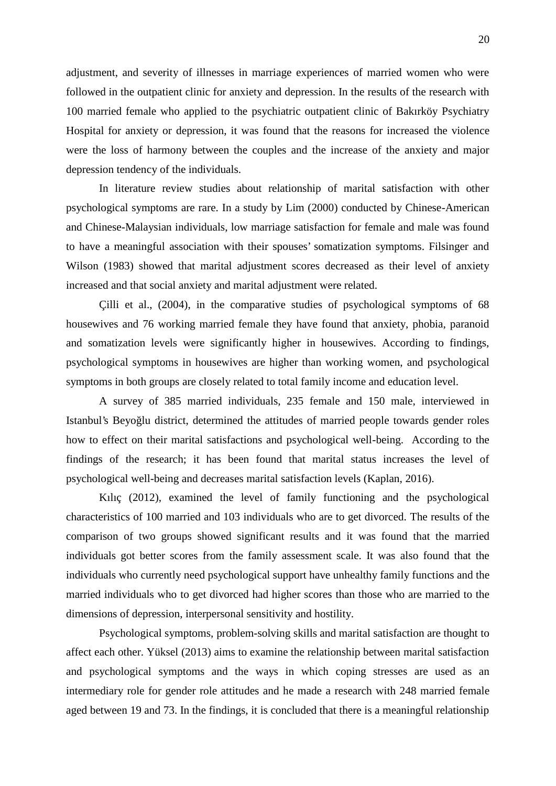adjustment, and severity of illnesses in marriage experiences of married women who were followed in the outpatient clinic for anxiety and depression. In the results of the research with 100 married female who applied to the psychiatric outpatient clinic of Bakırköy Psychiatry Hospital for anxiety or depression, it was found that the reasons for increased the violence were the loss of harmony between the couples and the increase of the anxiety and major depression tendency of the individuals.

In literature review studies about relationship of marital satisfaction with other psychological symptoms are rare. In a study by Lim (2000) conducted by Chinese-American and Chinese-Malaysian individuals, low marriage satisfaction for female and male was found to have a meaningful association with their spouses' somatization symptoms. Filsinger and Wilson (1983) showed that marital adjustment scores decreased as their level of anxiety increased and that social anxiety and marital adjustment were related.

Çilli et al., (2004), in the comparative studies of psychological symptoms of 68 housewives and 76 working married female they have found that anxiety, phobia, paranoid and somatization levels were significantly higher in housewives. According to findings, psychological symptoms in housewives are higher than working women, and psychological symptoms in both groups are closely related to total family income and education level.

A survey of 385 married individuals, 235 female and 150 male, interviewed in Istanbul's Beyo lu district, determined the attitudes of married people towards gender roles how to effect on their marital satisfactions and psychological well-being. According to the findings of the research; it has been found that marital status increases the level of psychological well-being and decreases marital satisfaction levels (Kaplan, 2016).

Kılıç (2012), examined the level of family functioning and the psychological characteristics of 100 married and 103 individuals who are to get divorced. The results of the comparison of two groups showed significant results and it was found that the married individuals got better scores from the family assessment scale. It was also found that the individuals who currently need psychological support have unhealthy family functions and the married individuals who to get divorced had higher scores than those who are married to the dimensions of depression, interpersonal sensitivity and hostility.

Psychological symptoms, problem-solving skills and marital satisfaction are thought to affect each other. Yüksel (2013) aims to examine the relationship between marital satisfaction and psychological symptoms and the ways in which coping stresses are used as an intermediary role for gender role attitudes and he made a research with 248 married female aged between 19 and 73. In the findings, it is concluded that there is a meaningful relationship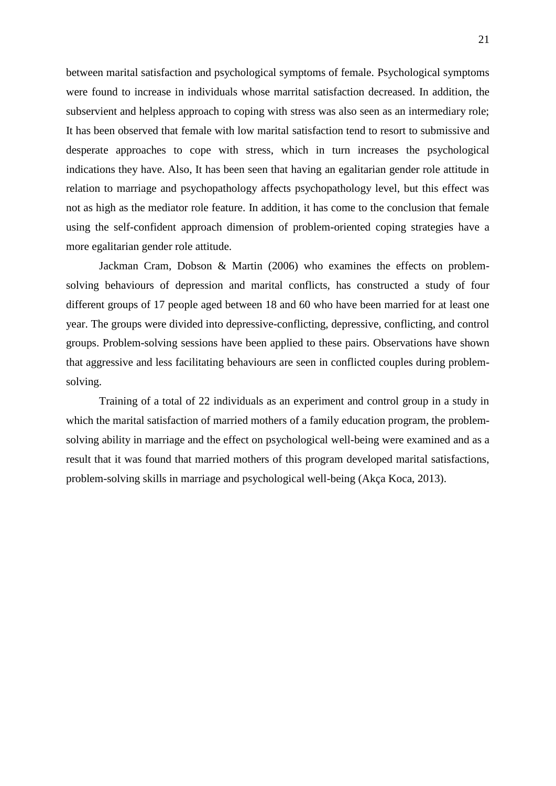between marital satisfaction and psychological symptoms of female. Psychological symptoms were found to increase in individuals whose marrital satisfaction decreased. In addition, the subservient and helpless approach to coping with stress was also seen as an intermediary role; It has been observed that female with low marital satisfaction tend to resort to submissive and desperate approaches to cope with stress, which in turn increases the psychological indications they have. Also, It has been seen that having an egalitarian gender role attitude in relation to marriage and psychopathology affects psychopathology level, but this effect was not as high as the mediator role feature. In addition, it has come to the conclusion that female using the self-confident approach dimension of problem-oriented coping strategies have a more egalitarian gender role attitude.

Jackman Cram, Dobson & Martin (2006) who examines the effects on problem solving behaviours of depression and marital conflicts, has constructed a study of four different groups of 17 people aged between 18 and 60 who have been married for at least one year. The groups were divided into depressive-conflicting, depressive, conflicting, and control groups. Problem-solving sessions have been applied to these pairs. Observations have shown that aggressive and less facilitating behaviours are seen in conflicted couples during problem solving.<br>Training of a total of 22 individuals as an experiment and control group in a study in

which the marital satisfaction of married mothers of a family education program, the problem solving ability in marriage and the effect on psychological well-being were examined and as a result that it was found that married mothers of this program developed marital satisfactions, problem-solving skills in marriage and psychological well-being (Akça Koca, 2013).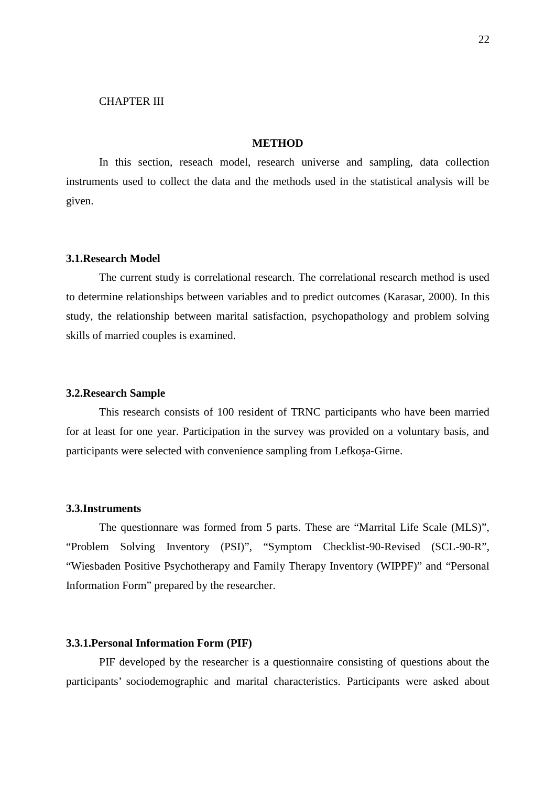### CHAPTER III

#### **METHOD**

In this section, reseach model, research universe and sampling, data collection instruments used to collect the data and the methods used in the statistical analysis will be given.

#### **3.1.Research Model**

The current study is correlational research. The correlational research method is used to determine relationships between variables and to predict outcomes (Karasar, 2000). In this study, the relationship between marital satisfaction, psychopathology and problem solving skills of married couples is examined.

#### **3.2.Research Sample**

This research consists of 100 resident of TRNC participants who have been married for at least for one year. Participation in the survey was provided on a voluntary basis, and participants were selected with convenience sampling from Lefko a-Girne.

### **3.3.Instruments**

The questionnare was formed from 5 parts. These are "Marrital Life Scale (MLS)", "Problem Solving Inventory (PSI)", "Symptom Checklist-90-Revised (SCL-90-R", "Wiesbaden Positive Psychotherapy and Family Therapy Inventory (WIPPF)" and "Personal Information Form" prepared by the researcher.

### **3.3.1.Personal Information Form (PIF)**

PIF developed by the researcher is a questionnaire consisting of questions about the participants' sociodemographic and marital characteristics. Participants were asked about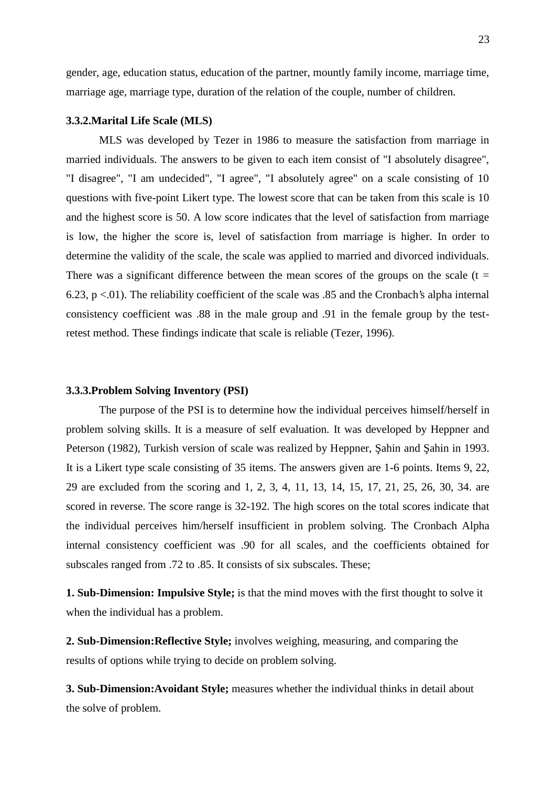gender, age, education status, education of the partner, mountly family income, marriage time, marriage age, marriage type, duration of the relation of the couple, number of children.

#### **3.3.2.Marital Life Scale (MLS)**

MLS was developed by Tezer in 1986 to measure the satisfaction from marriage in married individuals. The answers to be given to each item consist of "I absolutely disagree", "I disagree", "I am undecided", "I agree", "I absolutely agree" on a scale consisting of 10 questions with five-point Likert type. The lowest score that can be taken from this scale is 10 and the highest score is 50. A low score indicates that the level of satisfaction from marriage is low, the higher the score is, level of satisfaction from marriage is higher. In order to determine the validity of the scale, the scale was applied to married and divorced individuals. There was a significant difference between the mean scores of the groups on the scale ( $t =$ 6.23,  $p < 01$ ). The reliability coefficient of the scale was 0.85 and the Cronbach's alpha internal consistency coefficient was .88 in the male group and .91 in the female group by the testretest method. These findings indicate that scale is reliable (Tezer, 1996).

#### **3.3.3.Problem Solving Inventory (PSI)**

The purpose of the PSI is to determine how the individual perceives himself/herself in problem solving skills. It is a measure of self evaluation. It was developed by Heppner and Peterson (1982), Turkish version of scale was realized by Heppner, ahin and ahin in 1993. It is a Likert type scale consisting of 35 items. The answers given are 1-6 points. Items 9, 22, 29 are excluded from the scoring and 1, 2, 3, 4, 11, 13, 14, 15, 17, 21, 25, 26, 30, 34. are scored in reverse. The score range is 32-192. The high scores on the total scores indicate that the individual perceives him/herself insufficient in problem solving. The Cronbach Alpha internal consistency coefficient was .90 for all scales, and the coefficients obtained for subscales ranged from .72 to .85. It consists of six subscales. These;

**1. Sub-Dimension: Impulsive Style;** is that the mind moves with the first thought to solve it when the individual has a problem.

**2. Sub-Dimension:Reflective Style;** involves weighing, measuring, and comparing the results of options while trying to decide on problem solving.

**3. Sub-Dimension:Avoidant Style;** measures whether the individual thinks in detail about the solve of problem.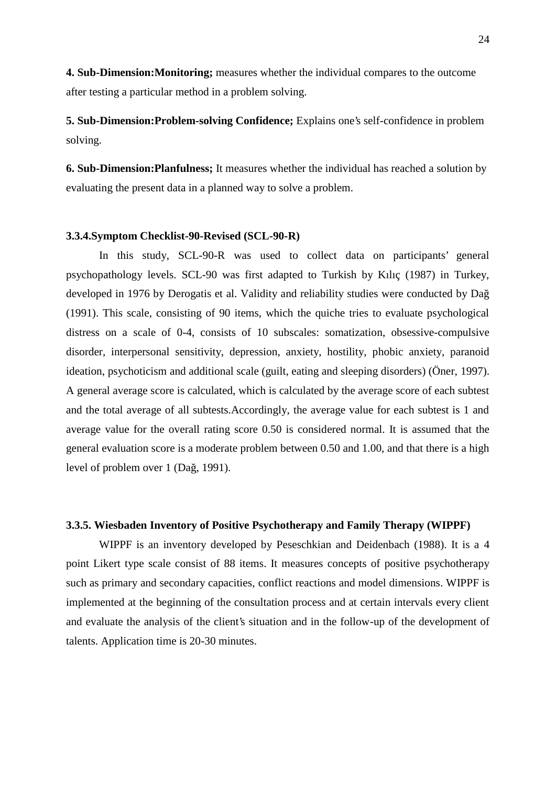**4. Sub-Dimension:Monitoring;** measures whether the individual compares to the outcome after testing a particular method in a problem solving.

**5. Sub-Dimension:Problem-solving Confidence;** Explains one's self-confidence in problem solving.

**6. Sub-Dimension:Planfulness;** It measures whether the individual has reached a solution by evaluating the present data in a planned way to solve a problem.

#### **3.3.4.Symptom Checklist-90-Revised (SCL-90-R)**

In this study, SCL-90-R was used to collect data on participants' general psychopathology levels. SCL-90 was first adapted to Turkish by Kılıç (1987) in Turkey, developed in 1976 by Derogatis et al. Validity and reliability studies were conducted by Da (1991). This scale, consisting of 90 items, which the quiche tries to evaluate psychological distress on a scale of 0-4, consists of 10 subscales: somatization, obsessive-compulsive disorder, interpersonal sensitivity, depression, anxiety, hostility, phobic anxiety, paranoid ideation, psychoticism and additional scale (guilt, eating and sleeping disorders) (Öner, 1997). A general average score is calculated, which is calculated by the average score of each subtest and the total average of all subtests.Accordingly, the average value for each subtest is 1 and average value for the overall rating score 0.50 is considered normal. It is assumed that the general evaluation score is a moderate problem between 0.50 and 1.00, and that there is a high level of problem over 1 (Da, 1991).

### **3.3.5. Wiesbaden Inventory of Positive Psychotherapy and Family Therapy (WIPPF)**

WIPPF is an inventory developed by Peseschkian and Deidenbach (1988). It is a 4 point Likert type scale consist of 88 items. It measures concepts of positive psychotherapy such as primary and secondary capacities, conflict reactions and model dimensions. WIPPF is implemented at the beginning of the consultation process and at certain intervals every client and evaluate the analysis of the client's situation and in the follow-up of the development of talents. Application time is 20-30 minutes.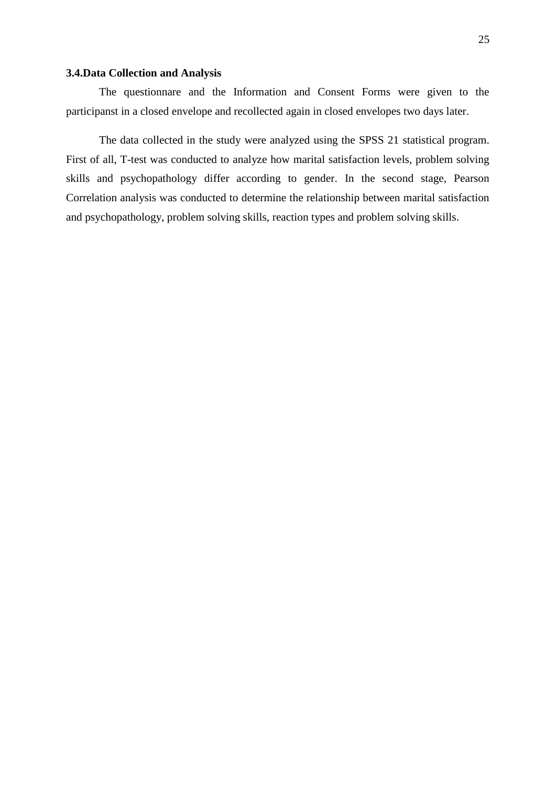### **3.4.Data Collection and Analysis**

The questionnare and the Information and Consent Forms were given to the participanst in a closed envelope and recollected again in closed envelopes two days later.

The data collected in the study were analyzed using the SPSS 21 statistical program. First of all, T-test was conducted to analyze how marital satisfaction levels, problem solving skills and psychopathology differ according to gender. In the second stage, Pearson Correlation analysis was conducted to determine the relationship between marital satisfaction and psychopathology, problem solving skills, reaction types and problem solving skills.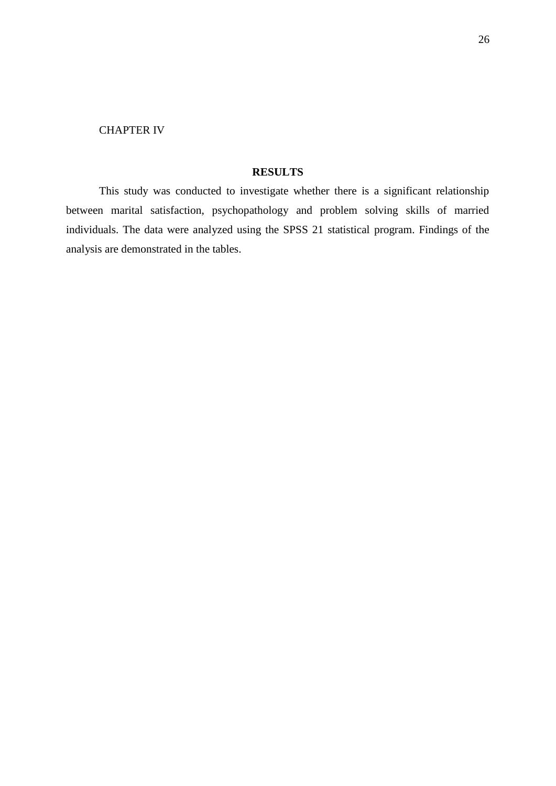# CHAPTER IV

# **RESULTS**

This study was conducted to investigate whether there is a significant relationship between marital satisfaction, psychopathology and problem solving skills of married individuals. The data were analyzed using the SPSS 21 statistical program. Findings of the analysis are demonstrated in the tables.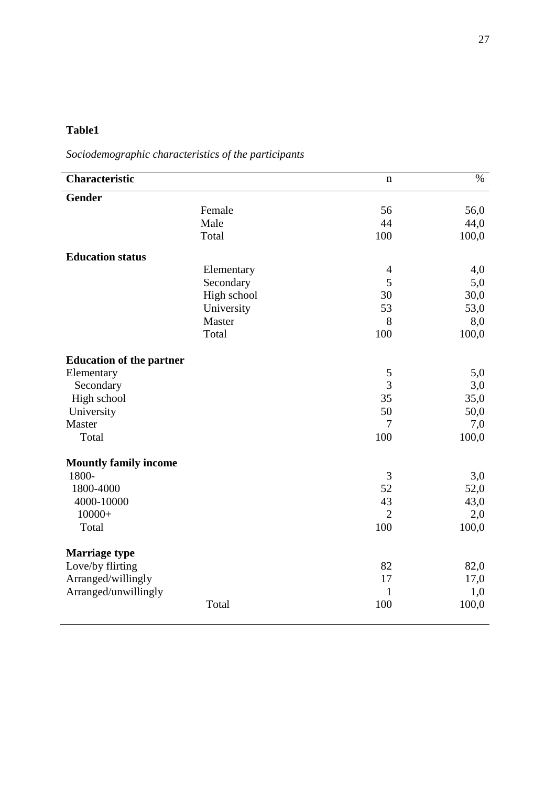# **Table1**

*Sociodemographic characteristics of the participants*

| <b>Characteristic</b>           | $\mathbf n$       | $\%$  |
|---------------------------------|-------------------|-------|
| <b>Gender</b>                   |                   |       |
| Female                          | 56                | 56,0  |
| Male                            | 44                | 44,0  |
| Total                           | 100               | 100,0 |
| <b>Education status</b>         |                   |       |
| Elementary                      | $\overline{4}$    | 4,0   |
| Secondary                       | 5                 | 5,0   |
|                                 | High school<br>30 | 30,0  |
| University                      | 53                | 53,0  |
| Master                          | 8                 | 8,0   |
| Total                           | 100               | 100,0 |
| <b>Education of the partner</b> |                   |       |
| Elementary                      | 5                 | 5,0   |
| Secondary                       | $\overline{3}$    | 3,0   |
| High school                     | 35                | 35,0  |
| University                      | 50                | 50,0  |
| Master                          | $\overline{7}$    | 7,0   |
| Total                           | 100               | 100,0 |
| <b>Mountly family income</b>    |                   |       |
| 1800-                           | 3                 | 3,0   |
| 1800-4000                       | 52                | 52,0  |
| 4000-10000                      | 43                | 43,0  |
| $10000+$                        | $\overline{2}$    | 2,0   |
| Total                           | 100               | 100,0 |
| <b>Marriage type</b>            |                   |       |
| Love/by flirting                | 82                | 82,0  |
| Arranged/willingly              | 17                | 17,0  |
| Arranged/unwillingly            | $\mathbf{1}$      | 1,0   |
| Total                           | 100               | 100,0 |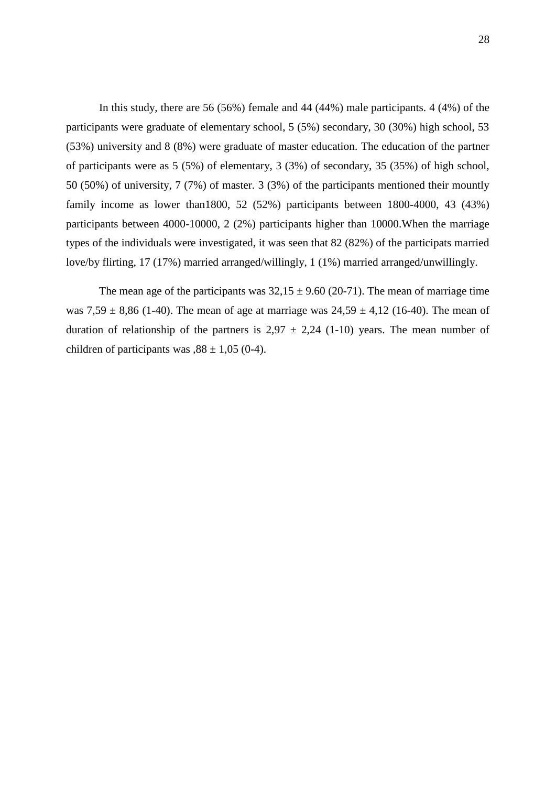In this study, there are 56 (56%) female and 44 (44%) male participants. 4 (4%) of the participants were graduate of elementary school, 5 (5%) secondary, 30 (30%) high school, 53 (53%) university and 8 (8%) were graduate of master education. The education of the partner of participants were as 5 (5%) of elementary, 3 (3%) of secondary, 35 (35%) of high school, 50 (50%) of university, 7 (7%) of master. 3 (3%) of the participants mentioned their mountly family income as lower than1800, 52 (52%) participants between 1800-4000, 43 (43%) participants between 4000-10000, 2 (2%) participants higher than 10000.When the marriage types of the individuals were investigated, it was seen that 82 (82%) of the participats married love/by flirting, 17 (17%) married arranged/willingly, 1 (1%) married arranged/unwillingly.

The mean age of the participants was  $32,15 \pm 9.60$  (20-71). The mean of marriage time was  $7,59 \pm 8,86$  (1-40). The mean of age at marriage was  $24,59 \pm 4,12$  (16-40). The mean of duration of relationship of the partners is  $2.97 \pm 2.24$  (1-10) years. The mean number of children of participants was  $0.88 \pm 1.05$  (0-4).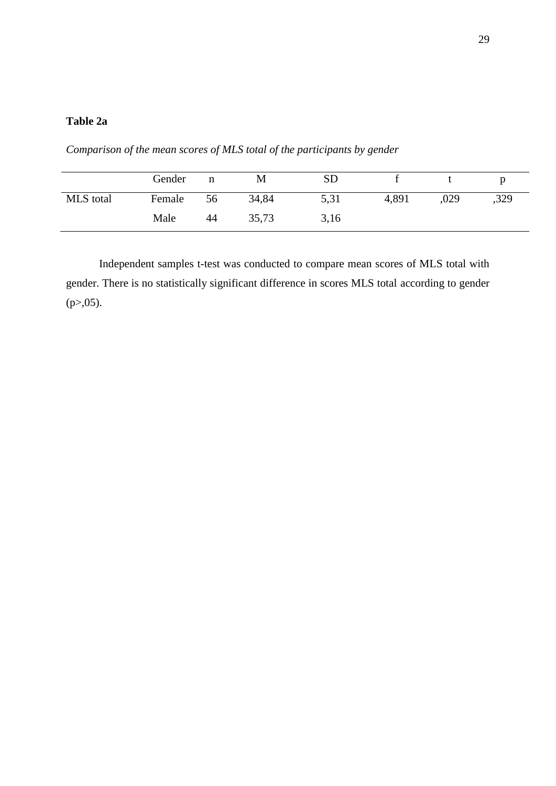## **Table 2a**

*Comparison of the mean scores of MLS total of the participants by gender*

|           | Gender | n  | М     | <b>SD</b> |       |      |      |
|-----------|--------|----|-------|-----------|-------|------|------|
| MLS total | Female | 56 | 34,84 | 5,31      | 4,891 | ,029 | ,329 |
|           | Male   | 44 | 35,73 | 3,16      |       |      |      |

Independent samples t-test was conducted to compare mean scores of MLS total with gender. There is no statistically significant difference in scores MLS total according to gender  $(p > 0.05)$ .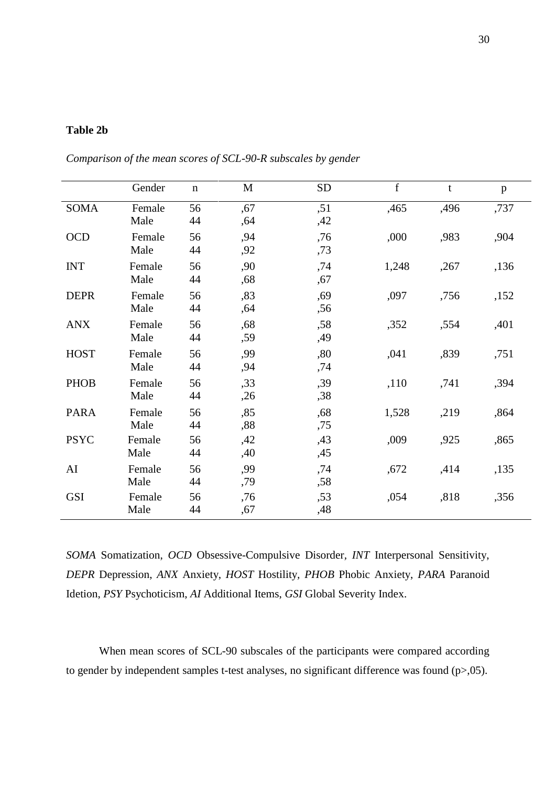### **Table 2b**

|             | Gender         | $\mathbf n$ | M          | <b>SD</b>  | f     | t    | p    |
|-------------|----------------|-------------|------------|------------|-------|------|------|
| <b>SOMA</b> | Female<br>Male | 56<br>44    | ,67<br>,64 | ,51<br>,42 | ,465  | ,496 | ,737 |
| <b>OCD</b>  | Female<br>Male | 56<br>44    | ,94<br>,92 | ,76<br>,73 | ,000  | ,983 | ,904 |
| <b>INT</b>  | Female<br>Male | 56<br>44    | ,90<br>,68 | ,74<br>,67 | 1,248 | ,267 | ,136 |
| <b>DEPR</b> | Female<br>Male | 56<br>44    | ,83<br>,64 | ,69<br>,56 | ,097  | ,756 | ,152 |
| <b>ANX</b>  | Female<br>Male | 56<br>44    | ,68<br>,59 | ,58<br>,49 | ,352  | ,554 | ,401 |
| <b>HOST</b> | Female<br>Male | 56<br>44    | ,99<br>,94 | ,80<br>,74 | ,041  | ,839 | ,751 |
| <b>PHOB</b> | Female<br>Male | 56<br>44    | ,33<br>,26 | ,39<br>,38 | ,110  | ,741 | ,394 |
| <b>PARA</b> | Female<br>Male | 56<br>44    | ,85<br>,88 | ,68<br>,75 | 1,528 | ,219 | ,864 |
| <b>PSYC</b> | Female<br>Male | 56<br>44    | ,42<br>,40 | ,43<br>,45 | ,009  | ,925 | ,865 |
| AI          | Female<br>Male | 56<br>44    | ,99<br>,79 | ,74<br>,58 | ,672  | ,414 | ,135 |
| <b>GSI</b>  | Female<br>Male | 56<br>44    | ,76<br>,67 | ,53<br>,48 | ,054  | ,818 | ,356 |

*Comparison of the mean scores of SCL-90-R subscales by gender*

*SOMA* Somatization, *OCD* Obsessive-Compulsive Disorder*, INT* Interpersonal Sensitivity, *DEPR* Depression, *ANX* Anxiety, *HOST* Hostility*, PHOB* Phobic Anxiety, *PARA* Paranoid Idetion, *PSY* Psychoticism, *AI* Additional Items, *GSI* Global Severity Index.

When mean scores of SCL-90 subscales of the participants were compared according to gender by independent samples t-test analyses, no significant difference was found  $(p>0.05)$ .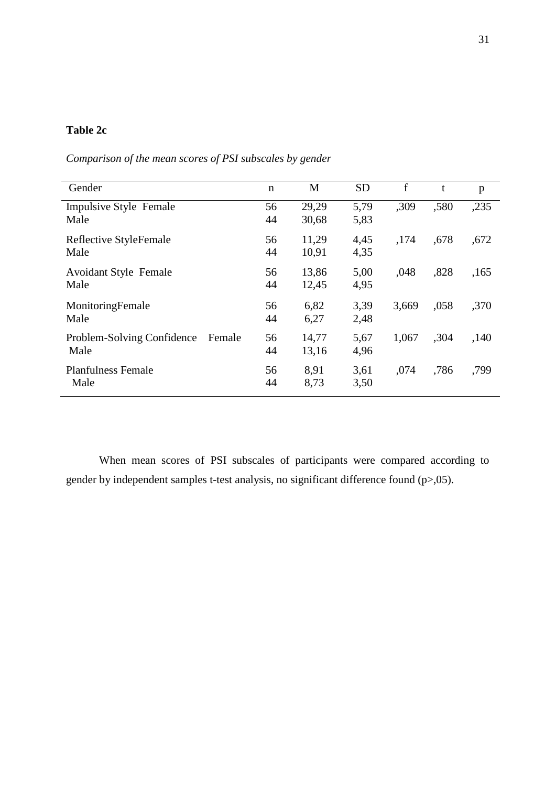## **Table 2c**

| Comparison of the mean scores of PSI subscales by gender |  |  |  |  |
|----------------------------------------------------------|--|--|--|--|
|                                                          |  |  |  |  |

| Gender                               | $\mathbf n$ | M     | <b>SD</b> | f     | t    | p    |
|--------------------------------------|-------------|-------|-----------|-------|------|------|
| <b>Impulsive Style Female</b>        | 56          | 29,29 | 5,79      | ,309  | ,580 | ,235 |
| Male                                 | 44          | 30,68 | 5,83      |       |      |      |
| Reflective StyleFemale               | 56          | 11,29 | 4,45      | ,174  | ,678 | ,672 |
| Male                                 | 44          | 10,91 | 4,35      |       |      |      |
| <b>Avoidant Style Female</b>         | 56          | 13,86 | 5,00      | ,048  | ,828 | ,165 |
| Male                                 | 44          | 12,45 | 4,95      |       |      |      |
| MonitoringFemale                     | 56          | 6,82  | 3,39      | 3,669 | ,058 | ,370 |
| Male                                 | 44          | 6,27  | 2,48      |       |      |      |
| Problem-Solving Confidence<br>Female | 56          | 14,77 | 5,67      | 1,067 | ,304 | ,140 |
| Male                                 | 44          | 13,16 | 4,96      |       |      |      |
| <b>Planfulness Female</b>            | 56          | 8,91  | 3,61      | ,074  | ,786 | ,799 |
| Male                                 | 44          | 8,73  | 3,50      |       |      |      |

When mean scores of PSI subscales of participants were compared according to gender by independent samples t-test analysis, no significant difference found (p>,05).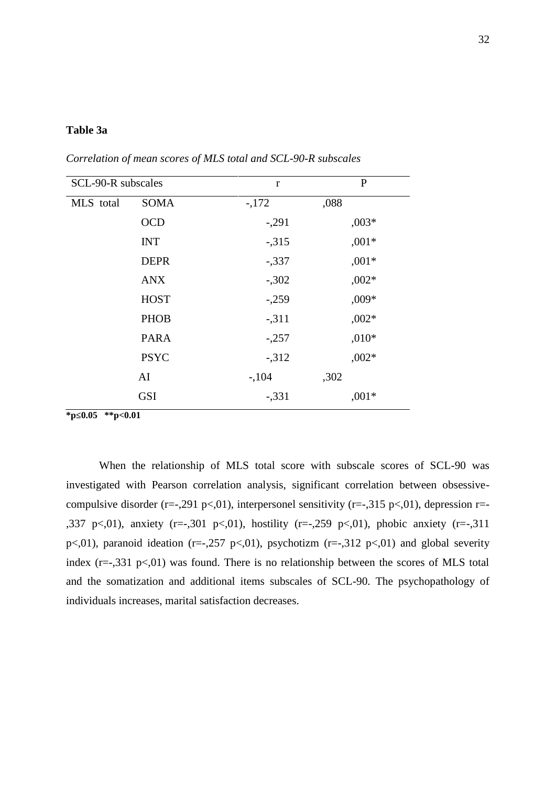#### **Table 3a**

|             | $\mathbf{r}$       | $\mathbf{P}$ |
|-------------|--------------------|--------------|
| <b>SOMA</b> | $-172$             | ,088         |
| <b>OCD</b>  | $-.291$            | $,003*$      |
| <b>INT</b>  | $-315$             | $,001*$      |
| <b>DEPR</b> | $-337$             | $,001*$      |
| <b>ANX</b>  | $-.302$            | $,002*$      |
| <b>HOST</b> | $-.259$            | $,009*$      |
| <b>PHOB</b> | $-311$             | $,002*$      |
| <b>PARA</b> | $-.257$            | $,010*$      |
| <b>PSYC</b> | $-312$             | $,002*$      |
| AI          | $-104$             | ,302         |
| <b>GSI</b>  | $-.331$            | $,001*$      |
|             | SCL-90-R subscales |              |

*Correlation of mean scores of MLS total and SCL-90-R subscales*

**\*p≤0.05 \*\*p<0.01**

When the relationship of MLS total score with subscale scores of SCL-90 was investigated with Pearson correlation analysis, significant correlation between obsessive compulsive disorder (r=-,291 p<,01), interpersonel sensitivity (r=-,315 p<,01), depression r=-,337 p <,01), anxiety (r=-,301 p <,01), hostility (r=-,259 p <,01), phobic anxiety (r=-,311 p<,01), paranoid ideation (r=-,257 p<,01), psychotizm (r=-,312 p<,01) and global severity index  $(r=-,331 \text{ p}\ll0.01)$  was found. There is no relationship between the scores of MLS total and the somatization and additional items subscales of SCL-90. The psychopathology of individuals increases, marital satisfaction decreases.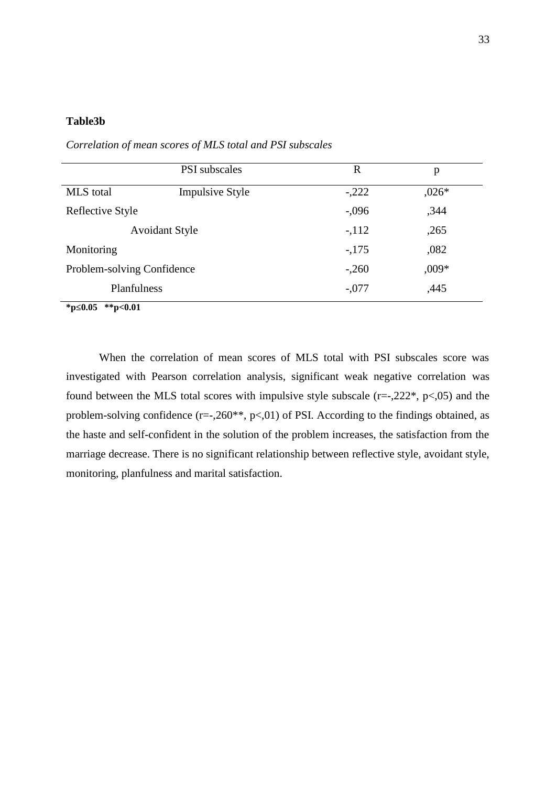#### **Table3b**

|                            | <b>PSI</b> subscales   | R       | p       |
|----------------------------|------------------------|---------|---------|
| <b>MLS</b> total           | <b>Impulsive Style</b> | $-.222$ | $,026*$ |
| Reflective Style           |                        | $-.096$ | ,344    |
|                            | <b>Avoidant Style</b>  | $-112$  | ,265    |
| Monitoring                 |                        | $-175$  | ,082    |
| Problem-solving Confidence |                        | $-.260$ | $,009*$ |
| Planfulness                |                        | $-.077$ | ,445    |

*Correlation of mean scores of MLS total and PSI subscales*

**\*p≤0.05 \*\*p<0.01**

When the correlation of mean scores of MLS total with PSI subscales score was investigated with Pearson correlation analysis, significant weak negative correlation was found between the MLS total scores with impulsive style subscale  $(r=-,222^*, p<,05)$  and the problem-solving confidence  $(r=-,260^{**}, p<,01)$  of PSI. According to the findings obtained, as the haste and self-confident in the solution of the problem increases, the satisfaction from the marriage decrease. There is no significant relationship between reflective style, avoidant style, monitoring, planfulness and marital satisfaction.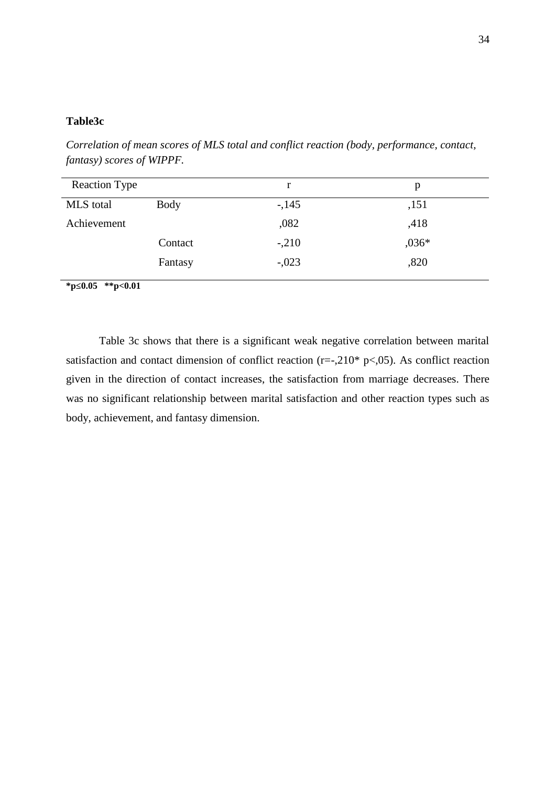#### **Table3c**

Reaction Type r p MLS total Body Achievement Contact Fantasy -,145 ,082 -,210 -,023 ,151 ,418 ,036\* ,820

*Correlation of mean scores of MLS total and conflict reaction (body, performance, contact, fantasy) scores of WIPPF.*

**\*p≤0.05 \*\*p<0.01**

Table 3c shows that there is a significant weak negative correlation between marital satisfaction and contact dimension of conflict reaction (r=-,210\* p<,05). As conflict reaction given in the direction of contact increases, the satisfaction from marriage decreases. There was no significant relationship between marital satisfaction and other reaction types such as body, achievement, and fantasy dimension.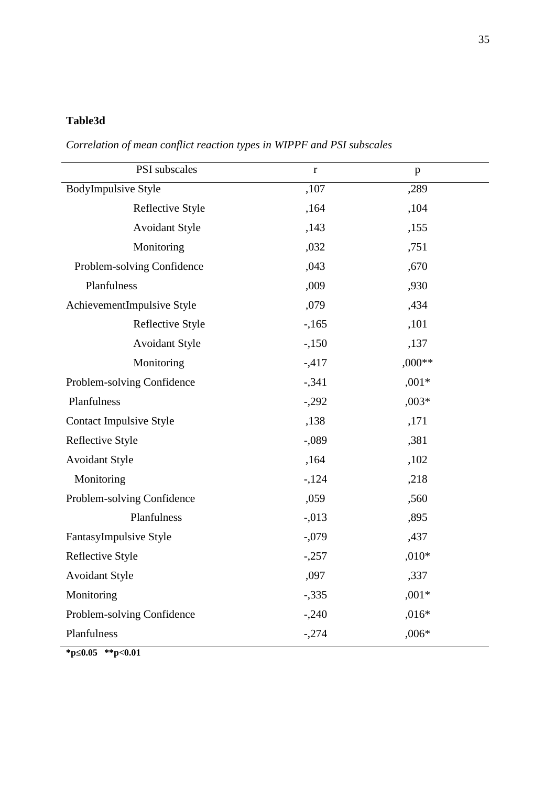## **Table3d**

*Correlation of mean conflict reaction types in WIPPF and PSI subscales*

| PSI subscales                  | $\bf r$  | p        |
|--------------------------------|----------|----------|
| <b>BodyImpulsive Style</b>     | ,107     | ,289     |
| Reflective Style               | ,164     | ,104     |
| <b>Avoidant Style</b>          | ,143     | ,155     |
| Monitoring                     | ,032     | ,751     |
| Problem-solving Confidence     | ,043     | ,670     |
| Planfulness                    | ,009     | ,930     |
| AchievementImpulsive Style     | ,079     | ,434     |
| Reflective Style               | $-165$   | ,101     |
| <b>Avoidant Style</b>          | $-150$   | ,137     |
| Monitoring                     | $-417$   | $,000**$ |
| Problem-solving Confidence     | $-341$   | $,001*$  |
| Planfulness                    | $-.292$  | $,003*$  |
| <b>Contact Impulsive Style</b> | ,138     | ,171     |
| Reflective Style               | $-0.089$ | ,381     |
| <b>Avoidant Style</b>          | ,164     | ,102     |
| Monitoring                     | $-124$   | ,218     |
| Problem-solving Confidence     | ,059     | ,560     |
| Planfulness                    | $-.013$  | ,895     |
| FantasyImpulsive Style         | $-0.079$ | ,437     |
| Reflective Style               | $-.257$  | $,010*$  |
| <b>Avoidant Style</b>          | ,097     | ,337     |
| Monitoring                     | $-.335$  | $,001*$  |
| Problem-solving Confidence     | $-.240$  | $,016*$  |
| Planfulness                    | $-.274$  | $,006*$  |

**\*p≤0.05 \*\*p<0.01**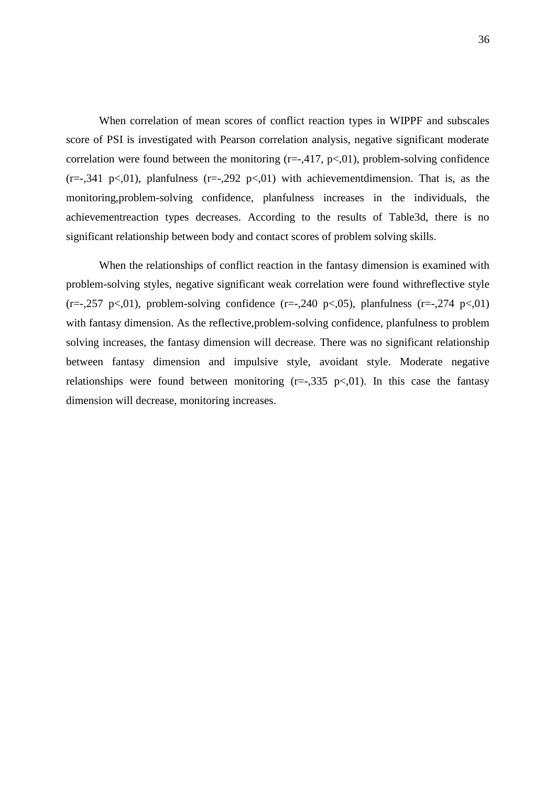When correlation of mean scores of conflict reaction types in WIPPF and subscales score of PSI is investigated with Pearson correlation analysis, negative significant moderate correlation were found between the monitoring  $(r=-,417, p<,01)$ , problem-solving confidence  $(r=-,341 \text{ p} < 0.01)$ , planfulness  $(r=-,292 \text{ p} < 0.01)$  with achievement dimension. That is, as the monitoring,problem-solving confidence, planfulness increases in the individuals, the achievementreaction types decreases. According to the results of Table3d, there is no significant relationship between body and contact scores of problem solving skills.

When the relationships of conflict reaction in the fantasy dimension is examined with problem-solving styles, negative significant weak correlation were found withreflective style  $(r=-0.257 \text{ p} < 0.01)$ , problem-solving confidence  $(r=-0.240 \text{ p} < 0.05)$ , planfulness  $(r=-0.274 \text{ p} < 0.01)$ with fantasy dimension. As the reflective,problem-solving confidence, planfulness to problem solving increases, the fantasy dimension will decrease. There was no significant relationship between fantasy dimension and impulsive style, avoidant style. Moderate negative relationships were found between monitoring  $(r=-0.335 \text{ p} < 0.01)$ . In this case the fantasy dimension will decrease, monitoring increases.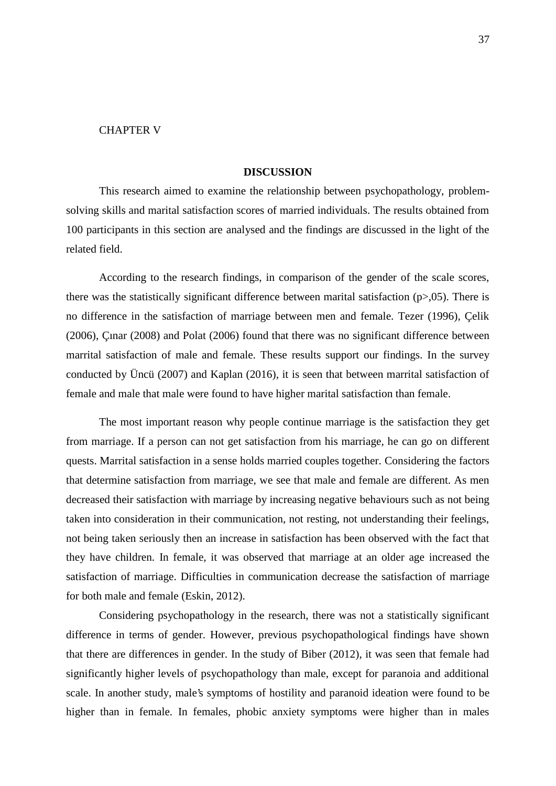#### CHAPTER V

#### **DISCUSSION**

This research aimed to examine the relationship between psychopathology, problem solving skills and marital satisfaction scores of married individuals. The results obtained from 100 participants in this section are analysed and the findings are discussed in the light of the related field.

According to the research findings, in comparison of the gender of the scale scores, there was the statistically significant difference between marital satisfaction  $(p>0.05)$ . There is no difference in the satisfaction of marriage between men and female. Tezer (1996), Çelik (2006), Çınar (2008) and Polat (2006) found that there was no significant difference between marrital satisfaction of male and female. These results support our findings. In the survey conducted by Üncü (2007) and Kaplan (2016), it is seen that between marrital satisfaction of female and male that male were found to have higher marital satisfaction than female.

The most important reason why people continue marriage is the satisfaction they get from marriage. If a person can not get satisfaction from his marriage, he can go on different quests. Marrital satisfaction in a sense holds married couples together. Considering the factors that determine satisfaction from marriage, we see that male and female are different. As men decreased their satisfaction with marriage by increasing negative behaviours such as not being taken into consideration in their communication, not resting, not understanding their feelings, not being taken seriously then an increase in satisfaction has been observed with the fact that they have children. In female, it was observed that marriage at an older age increased the satisfaction of marriage. Difficulties in communication decrease the satisfaction of marriage for both male and female (Eskin, 2012).

Considering psychopathology in the research, there was not a statistically significant difference in terms of gender. However, previous psychopathological findings have shown that there are differences in gender. In the study of Biber (2012), it was seen that female had significantly higher levels of psychopathology than male, except for paranoia and additional scale. In another study, male's symptoms of hostility and paranoid ideation were found to be higher than in female. In females, phobic anxiety symptoms were higher than in males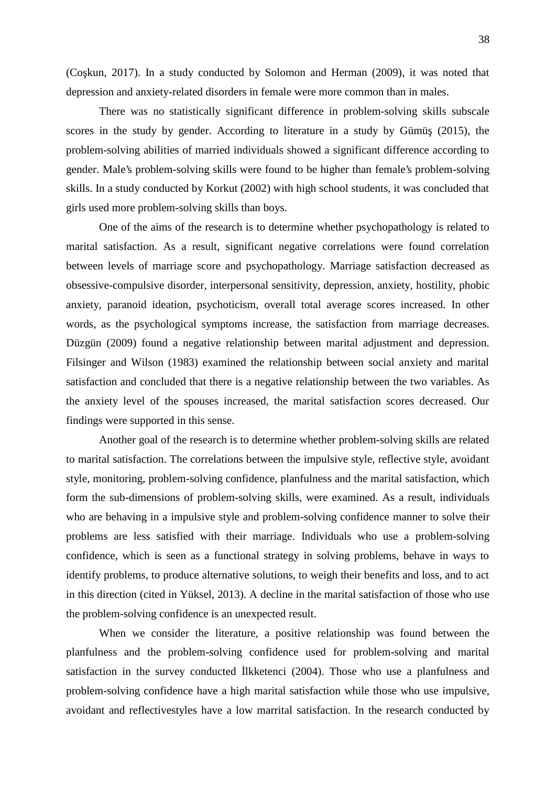38

(Co kun, 2017). In a study conducted by Solomon and Herman  $(2009)$ , it was noted that depression and anxiety-related disorders in female were more common than in males.

There was no statistically significant difference in problem-solving skills subscale scores in the study by gender. According to literature in a study by Gümü  $(2015)$ , the problem-solving abilities of married individuals showed a significant difference according to gender. Male's problem-solving skills were found to be higher than female's problem-solving skills. In a study conducted by Korkut (2002) with high school students, it was concluded that girls used more problem-solving skills than boys.

One of the aims of the research is to determine whether psychopathology is related to marital satisfaction. As a result, significant negative correlations were found correlation between levels of marriage score and psychopathology. Marriage satisfaction decreased as obsessive-compulsive disorder, interpersonal sensitivity, depression, anxiety, hostility, phobic anxiety, paranoid ideation, psychoticism, overall total average scores increased. In other words, as the psychological symptoms increase, the satisfaction from marriage decreases. Düzgün (2009) found a negative relationship between marital adjustment and depression. Filsinger and Wilson (1983) examined the relationship between social anxiety and marital satisfaction and concluded that there is a negative relationship between the two variables. As the anxiety level of the spouses increased, the marital satisfaction scores decreased. Our findings were supported in this sense.

Another goal of the research is to determine whether problem-solving skills are related to marital satisfaction. The correlations between the impulsive style, reflective style, avoidant style, monitoring, problem-solving confidence, planfulness and the marital satisfaction, which form the sub-dimensions of problem-solving skills, were examined. As a result, individuals who are behaving in a impulsive style and problem-solving confidence manner to solve their problems are less satisfied with their marriage. Individuals who use a problem-solving confidence, which is seen as a functional strategy in solving problems, behave in ways to identify problems, to produce alternative solutions, to weigh their benefits and loss, and to act in this direction (cited in Yüksel, 2013). A decline in the marital satisfaction of those who use the problem-solving confidence is an unexpected result.

When we consider the literature, a positive relationship was found between the planfulness and the problem-solving confidence used for problem-solving and marital satisfaction in the survey conducted İlkketenci (2004). Those who use a planfulness and problem-solving confidence have a high marital satisfaction while those who use impulsive, avoidant and reflectivestyles have a low marrital satisfaction. In the research conducted by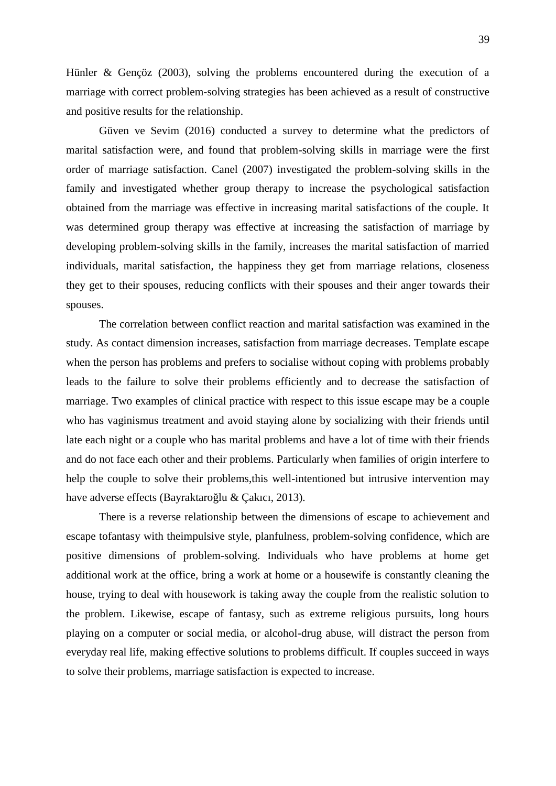Hünler & Gençöz (2003), solving the problems encountered during the execution of a marriage with correct problem-solving strategies has been achieved as a result of constructive and positive results for the relationship.

Güven ve Sevim (2016) conducted a survey to determine what the predictors of marital satisfaction were, and found that problem-solving skills in marriage were the first order of marriage satisfaction. Canel (2007) investigated the problem-solving skills in the family and investigated whether group therapy to increase the psychological satisfaction obtained from the marriage was effective in increasing marital satisfactions of the couple. It was determined group therapy was effective at increasing the satisfaction of marriage by developing problem-solving skills in the family, increases the marital satisfaction of married individuals, marital satisfaction, the happiness they get from marriage relations, closeness they get to their spouses, reducing conflicts with their spouses and their anger towards their spouses.

The correlation between conflict reaction and marital satisfaction was examined in the study. As contact dimension increases, satisfaction from marriage decreases. Template escape when the person has problems and prefers to socialise without coping with problems probably leads to the failure to solve their problems efficiently and to decrease the satisfaction of marriage. Two examples of clinical practice with respect to this issue escape may be a couple who has vaginismus treatment and avoid staying alone by socializing with their friends until late each night or a couple who has marital problems and have a lot of time with their friends and do not face each other and their problems. Particularly when families of origin interfere to help the couple to solve their problems,this well-intentioned but intrusive intervention may have adverse effects (Bayraktaro lu & Çakıcı, 2013).

There is a reverse relationship between the dimensions of escape to achievement and escape tofantasy with theimpulsive style, planfulness, problem-solving confidence, which are positive dimensions of problem-solving. Individuals who have problems at home get additional work at the office, bring a work at home or a housewife is constantly cleaning the house, trying to deal with housework is taking away the couple from the realistic solution to the problem. Likewise, escape of fantasy, such as extreme religious pursuits, long hours playing on a computer or social media, or alcohol-drug abuse, will distract the person from everyday real life, making effective solutions to problems difficult. If couples succeed in ways to solve their problems, marriage satisfaction is expected to increase.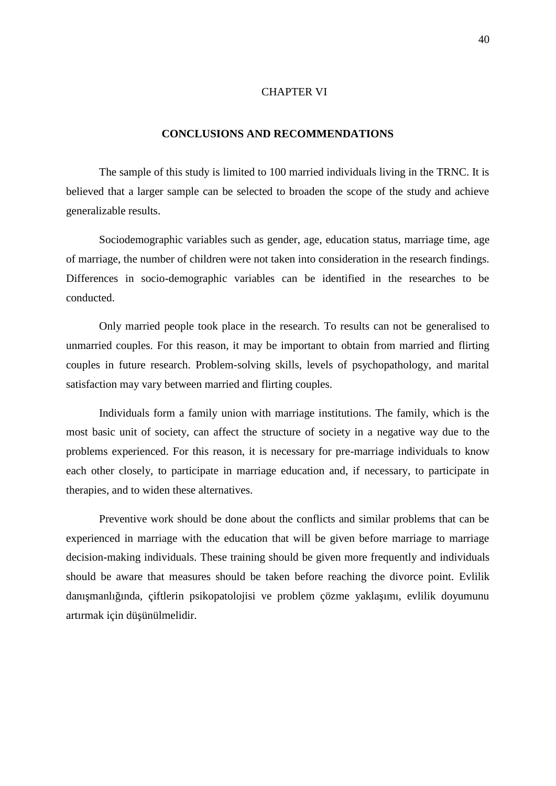#### CHAPTER VI

#### **CONCLUSIONS AND RECOMMENDATIONS**

The sample of this study is limited to 100 married individuals living in the TRNC. It is believed that a larger sample can be selected to broaden the scope of the study and achieve generalizable results.

Sociodemographic variables such as gender, age, education status, marriage time, age of marriage, the number of children were not taken into consideration in the research findings. Differences in socio-demographic variables can be identified in the researches to be conducted.

Only married people took place in the research. To results can not be generalised to unmarried couples. For this reason, it may be important to obtain from married and flirting couples in future research. Problem-solving skills, levels of psychopathology, and marital satisfaction may vary between married and flirting couples.

Individuals form a family union with marriage institutions. The family, which is the most basic unit of society, can affect the structure of society in a negative way due to the problems experienced. For this reason, it is necessary for pre-marriage individuals to know each other closely, to participate in marriage education and, if necessary, to participate in therapies, and to widen these alternatives.

Preventive work should be done about the conflicts and similar problems that can be experienced in marriage with the education that will be given before marriage to marriage decision-making individuals. These training should be given more frequently and individuals should be aware that measures should be taken before reaching the divorce point. Evlilik danı manlı ında, çiftlerin psikopatolojisi ve problem çözme yakla ımı, evlilik doyumunu artırmak için dü ünülmelidir.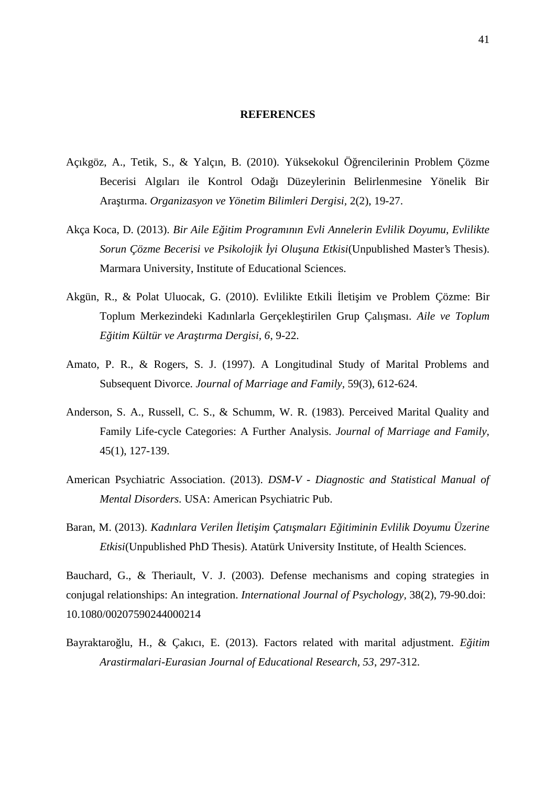#### **REFERENCES**

- Açıkgöz, A., Tetik, S., & Yalçın, B. (2010). Yüksekokul Ö rencilerinin Problem Çözme Becerisi Algıları ile Kontrol Odağı Düzeylerinin Belirlenmesine Yönelik Bir Araştırma. *Organizasyon ve Yönetim Bilimleri Dergisi,* 2(2), 19-27.
- Akça Koca, D. (2013). *Bir Aile Eğitim Programının Evli Annelerin Evlilik Doyumu, Evlilikte Sorun Çözme Becerisi ve Psikolojik yi Olu una Etkisi*(Unpublished Master's Thesis). Marmara University, Institute of Educational Sciences.
- Akgün, R., & Polat Uluocak, G. (2010). Evlilikte Etkili leti im ve Problem Çözme: Bir Toplum Merkezindeki Kadınlarla Gerçekle tirilen Grup Çalı ması. *Aile ve Toplum Eğitim Kültür ve Araştırma Dergisi, 6*, 9-22.
- Amato, P. R., & Rogers, S. J. (1997). A Longitudinal Study of Marital Problems and Subsequent Divorce. *Journal of Marriage and Family,* 59(3), 612-624.
- Anderson, S. A., Russell, C. S., & Schumm, W. R. (1983). Perceived Marital Quality and Family Life-cycle Categories: A Further Analysis. *Journal of Marriage and Family,* 45(1), 127-139.
- American Psychiatric Association. (2013). *DSM-V - Diagnostic and Statistical Manual of Mental Disorders.* USA: American Psychiatric Pub.
- Baran, M. (2013). *Kadınlara Verilen leti im Çatı maları E itiminin Evlilik Doyumu Üzerine Etkisi*(Unpublished PhD Thesis). Atatürk University Institute, of Health Sciences.

Bauchard, G., & Theriault, V. J. (2003). Defense mechanisms and coping strategies in conjugal relationships: An integration. *International Journal of Psychology,* 38(2), 79-90.doi: 10.1080/00207590244000214

Bayraktaro lu, H., & Çakıcı, E. (2013). Factors related with marital adjustment. *E itim Arastirmalari-Eurasian Journal of Educational Research, 53*, 297-312.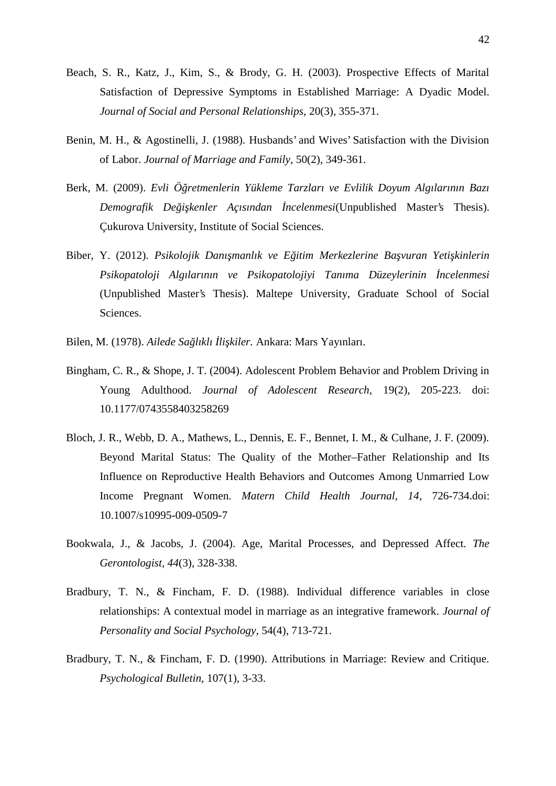- Beach, S. R., Katz, J., Kim, S., & Brody, G. H. (2003). Prospective Effects of Marital Satisfaction of Depressive Symptoms in Established Marriage: A Dyadic Model. *Journal of Social and Personal Relationships,* 20(3), 355-371.
- Benin, M. H., & Agostinelli, J. (1988). Husbands' and Wives' Satisfaction with the Division of Labor. *Journal of Marriage and Family,* 50(2), 349-361.
- Berk, M. (2009). *Evli Öğretmenlerin Yükleme Tarzları ve Evlilik Doyum Algılarının Bazı Demografik Değişkenler Açısından İncelenmesi*(Unpublished Master's Thesis). Çukurova University, Institute of Social Sciences.
- Biber, Y. (2012). *Psikolojik Danı manlık ve E itim Merkezlerine Ba vuran Yeti kinlerin* Psikopatoloji Algılarının ve Psikopatolojiyi Tanıma Düzeylerinin ncelenmesi (Unpublished Master's Thesis). Maltepe University, Graduate School of Social Sciences.
- Bilen, M. (1978). *Ailede Sa lıklı li kiler*. Ankara: Mars Yayınları.
- Bingham, C. R., & Shope, J. T. (2004). Adolescent Problem Behavior and Problem Driving in Young Adulthood. *Journal of Adolescent Research,* 19(2), 205-223. doi: 10.1177/0743558403258269
- Bloch, J. R., Webb, D. A., Mathews, L., Dennis, E. F., Bennet, I. M., & Culhane, J. F. (2009). Beyond Marital Status: The Quality of the Mother–Father Relationship and Its Influence on Reproductive Health Behaviors and Outcomes Among Unmarried Low Income Pregnant Women. *Matern Child Health Journal, 14*, 726-734.doi: 10.1007/s10995-009-0509-7
- Bookwala, J., & Jacobs, J. (2004). Age, Marital Processes, and Depressed Affect. *The Gerontologist, 44*(3), 328-338.
- Bradbury, T. N., & Fincham, F. D. (1988). Individual difference variables in close relationships: A contextual model in marriage as an integrative framework. *Journal of Personality and Social Psychology,* 54(4), 713-721.
- Bradbury, T. N., & Fincham, F. D. (1990). Attributions in Marriage: Review and Critique. *Psychological Bulletin,* 107(1), 3-33.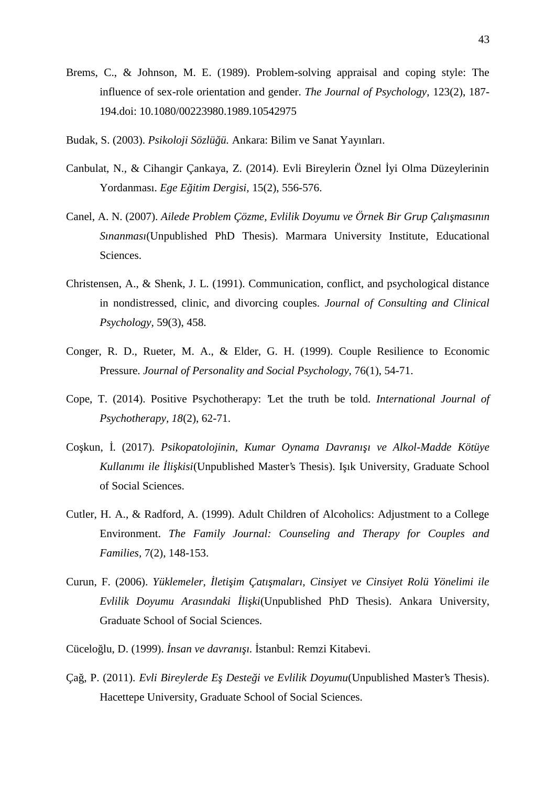- Brems, C., & Johnson, M. E. (1989). Problem-solving appraisal and coping style: The influence of sex-role orientation and gender. *The Journal of Psychology,* 123(2), 187- 194.doi: 10.1080/00223980.1989.10542975
- Budak, S. (2003). *Psikoloji Sözlü ü*. Ankara: Bilim ve Sanat Yayınları.
- Canbulat, N., & Cihangir Çankaya, Z. (2014). Evli Bireylerin Öznel İyi Olma Düzeylerinin Yordanması. *Ege E itim Dergisi*, 15(2), 556-576.
- Canel, A. N. (2007). *Ailede Problem Çözme, Evlilik Doyumu ve Örnek Bir Grup Çalışmasının Sınanması*(Unpublished PhD Thesis). Marmara University Institute, Educational Sciences.
- Christensen, A., & Shenk, J. L. (1991). Communication, conflict, and psychological distance in nondistressed, clinic, and divorcing couples. *Journal of Consulting and Clinical Psychology,* 59(3), 458.
- Conger, R. D., Rueter, M. A., & Elder, G. H. (1999). Couple Resilience to Economic Pressure. *Journal of Personality and Social Psychology,* 76(1), 54-71.
- Cope, T. (2014). Positive Psychotherapy: 'Let the truth be told. *International Journal of Psychotherapy, 18*(2), 62-71.
- Co kun, . (2017). *Psikopatolojinin, Kumar Oynama Davranı ı ve Alkol-Madde Kötüye Kullanımı ile li kisi*(Unpublished Master's Thesis). I<sub>k</sub> University, Graduate School of Social Sciences.
- Cutler, H. A., & Radford, A. (1999). Adult Children of Alcoholics: Adjustment to a College Environment. *The Family Journal: Counseling and Therapy for Couples and Families,* 7(2), 148-153.
- Curun, F. (2006). *Yüklemeler, leti im Çatı maları, Cinsiyet ve Cinsiyet Rolü Yönelimi ile Evlilik Doyumu Arasındaki İlişki*(Unpublished PhD Thesis). Ankara University, Graduate School of Social Sciences.
- Cücelo lu, D. (1999). *Insan ve davranı 1.* stanbul: Remzi Kitabevi.
- Ça, P. (2011). *Evli Bireylerde E Deste i ve Evlilik Doyumu*(Unpublished Master's Thesis). Hacettepe University, Graduate School of Social Sciences.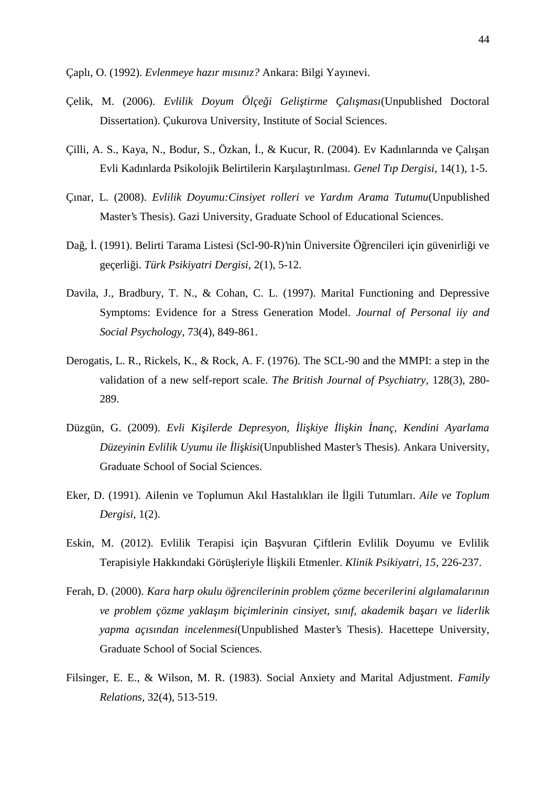Çaplı, O. (1992). *Evlenmeye hazır mısınız?* Ankara: Bilgi Yayınevi.

- Çelik, M. (2006). *Evlilik Doyum Ölçe i Geli tirme Çalı ması*(Unpublished Doctoral Dissertation). Çukurova University, Institute of Social Sciences.
- Çilli, A. S., Kaya, N., Bodur, S., Özkan, ., & Kucur, R. (2004). Ev Kadınlarında ve Çalı an Evli Kadınlarda Psikolojik Belirtilerin Karşılaştırılması. *Genel Tıp Dergisi,* 14(1), 1-5.
- Çınar, L. (2008). *Evlilik Doyumu:Cinsiyet rolleri ve Yardım Arama Tutumu*(Unpublished Master's Thesis). Gazi University, Graduate School of Educational Sciences.
- Da, . (1991). Belirti Tarama Listesi (Scl-90-R)'nin Üniversite Ö rencileri için güvenirli i ve geçerliği. *Türk Psikiyatri Dergisi,* 2(1), 5-12.
- Davila, J., Bradbury, T. N., & Cohan, C. L. (1997). Marital Functioning and Depressive Symptoms: Evidence for a Stress Generation Model. *Journal of Personal iiy and Social Psychology,* 73(4), 849-861.
- Derogatis, L. R., Rickels, K., & Rock, A. F. (1976). The SCL-90 and the MMPI: a step in the validation of a new self-report scale. *The British Journal of Psychiatry,* 128(3), 280- 289.
- Düzgün, G. (2009). *Evli Ki ilerde Depresyon, li kiye li kin nanç, Kendini Ayarlama Düzeyinin Evlilik Uyumu ile li kisi*(Unpublished Master's Thesis). Ankara University, Graduate School of Social Sciences.
- Eker, D. (1991). Ailenin ve Toplumun Akıl Hastalıkları ile 1gili Tutumları. *Aile ve Toplum Dergisi,* 1(2).
- Eskin, M. (2012). Evlilik Terapisi için Başvuran Çiftlerin Evlilik Doyumu ve Evlilik Terapisiyle Hakkındaki Görü leriyle li kili Etmenler. *Klinik Psikiyatri, 15*, 226-237.
- Ferah, D. (2000). *Kara harp okulu ö rencilerinin problem çözme becerilerini algılamalarının ve problem çözme yaklaşım biçimlerinin cinsiyet, sınıf, akademik başarı ve liderlik yapma açısından incelenmesi*(Unpublished Master's Thesis). Hacettepe University, Graduate School of Social Sciences.
- Filsinger, E. E., & Wilson, M. R. (1983). Social Anxiety and Marital Adjustment. *Family Relations,* 32(4), 513-519.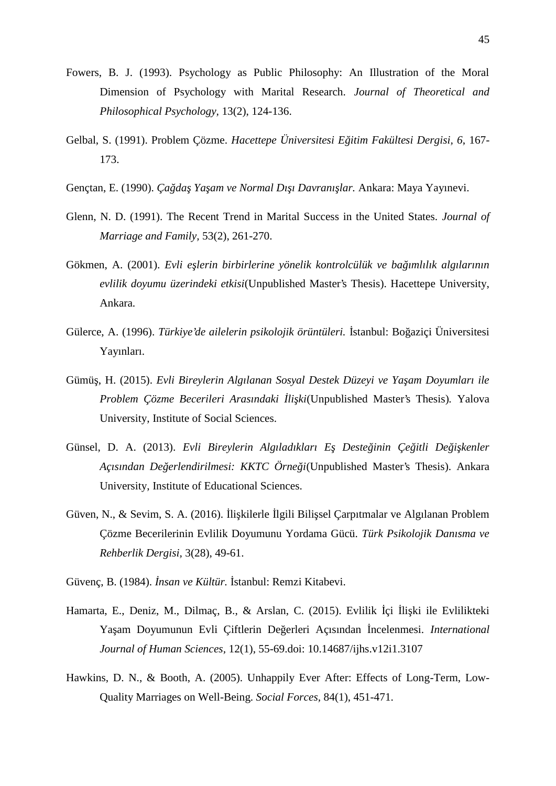- Fowers, B. J. (1993). Psychology as Public Philosophy: An Illustration of the Moral Dimension of Psychology with Marital Research. *Journal of Theoretical and Philosophical Psychology,* 13(2), 124-136.
- Gelbal, S. (1991). Problem Çözme. *Hacettepe Üniversitesi Eğitim Fakültesi Dergisi, 6*, 167- 173.
- Gençtan, E. (1990). *Ça da Ya am ve Normal Dı ı Davranı lar*. Ankara: Maya Yayınevi.
- Glenn, N. D. (1991). The Recent Trend in Marital Success in the United States. *Journal of Marriage and Family,* 53(2), 261-270.
- Gökmen, A. (2001). *Evli e lerin birbirlerine yönelik kontrolcülük ve ba ımlılık algılarının evlilik doyumu üzerindeki etkisi*(Unpublished Master's Thesis). Hacettepe University, Ankara.
- Gülerce, A. (1996). *Türkiye'de ailelerin psikolojik örüntüleri*. stanbul: Bo aziçi Üniversitesi Yayınları.
- Gümü, H. (2015). *Evli Bireylerin Algılanan Sosyal Destek Düzeyi ve Ya am Doyumları ile Problem Çözme Becerileri Arasındaki İlişki*(Unpublished Master's Thesis)*.* Yalova University, Institute of Social Sciences.
- Günsel, D. A. (2013). *Evli Bireylerin Algıladıkları E. Deste inin Çe itli De i kenler Açısından Değerlendirilmesi: KKTC Örneği*(Unpublished Master's Thesis). Ankara University, Institute of Educational Sciences.
- Güven, N., & Sevim, S. A. (2016). li kilerle 1gili Bili sel Çarpıtmalar ve Algılanan Problem Çözme Becerilerinin Evlilik Doyumunu Yordama Gücü. *Türk Psikolojik Danısma ve Rehberlik Dergisi,* 3(28), 49-61.
- Güvenc, B. (1984). *nsan ve Kültür.* stanbul: Remzi Kitabevi.
- Hamarta, E., Deniz, M., Dilmaç, B., & Arslan, C. (2015). Evlilik çi li ki ile Evlilikteki Ya am Doyumunun Evli Çiftlerin De erleri Açısından ncelenmesi. *International Journal of Human Sciences,* 12(1), 55-69.doi: 10.14687/ijhs.v12i1.3107
- Hawkins, D. N., & Booth, A. (2005). Unhappily Ever After: Effects of Long-Term, Low- Quality Marriages on Well-Being. *Social Forces,* 84(1), 451-471.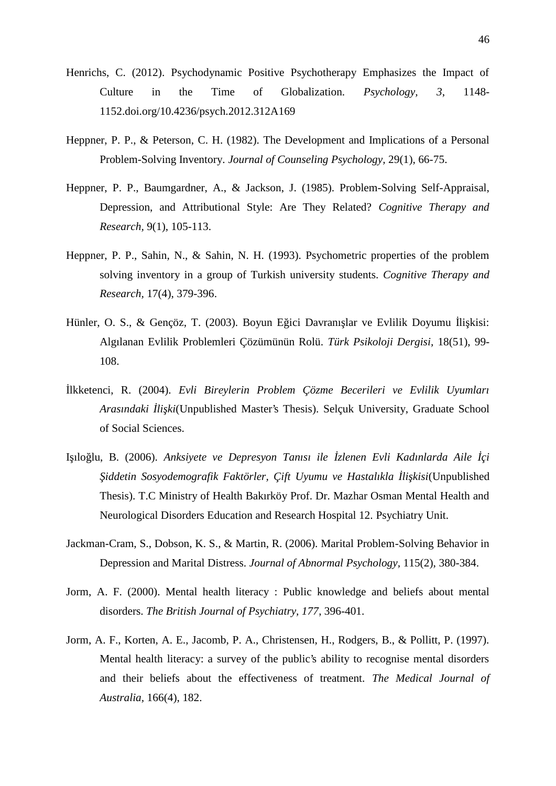- Henrichs, C. (2012). Psychodynamic Positive Psychotherapy Emphasizes the Impact of Culture in the Time of Globalization. *Psychology, 3*, 1148- 1152.doi.org/10.4236/psych.2012.312A169
- Heppner, P. P., & Peterson, C. H. (1982). The Development and Implications of a Personal Problem-Solving Inventory. *Journal of Counseling Psychology,* 29(1), 66-75.
- Heppner, P. P., Baumgardner, A., & Jackson, J. (1985). Problem-Solving Self-Appraisal, Depression, and Attributional Style: Are They Related? *Cognitive Therapy and Research,* 9(1), 105-113.
- Heppner, P. P., Sahin, N., & Sahin, N. H. (1993). Psychometric properties of the problem solving inventory in a group of Turkish university students. *Cognitive Therapy and Research,* 17(4), 379-396.
- Hünler, O. S., & Gençöz, T. (2003). Boyun E ici Davranı lar ve Evlilik Doyumu li kisi: Algılanan Evlilik Problemleri Çözümünün Rolü. *Türk Psikoloji Dergisi,* 18(51), 99- 108.
- İlkketenci, R. (2004). *Evli Bireylerin Problem Çözme Becerileri ve Evlilik Uyumları Arasındaki İlişki*(Unpublished Master's Thesis). Selçuk University, Graduate School of Social Sciences.
- I ilo lu, B. (2006). *Anksiyete ve Depresyon Tanısı ile zlenen Evli Kadınlarda Aile çi iddetin Sosyodemografik Faktörler, Cift Uyumu ve Hastalıkla li kisi*(Unpublished Thesis). T.C Ministry of Health Bakırköy Prof. Dr. Mazhar Osman Mental Health and Neurological Disorders Education and Research Hospital 12. Psychiatry Unit.
- Jackman-Cram, S., Dobson, K. S., & Martin, R. (2006). Marital Problem-Solving Behavior in Depression and Marital Distress. *Journal of Abnormal Psychology,* 115(2), 380-384.
- Jorm, A. F. (2000). Mental health literacy : Public knowledge and beliefs about mental disorders. *The British Journal of Psychiatry, 177*, 396-401.
- Jorm, A. F., Korten, A. E., Jacomb, P. A., Christensen, H., Rodgers, B., & Pollitt, P. (1997). Mental health literacy: a survey of the public's ability to recognise mental disorders and their beliefs about the effectiveness of treatment. *The Medical Journal of Australia,* 166(4), 182.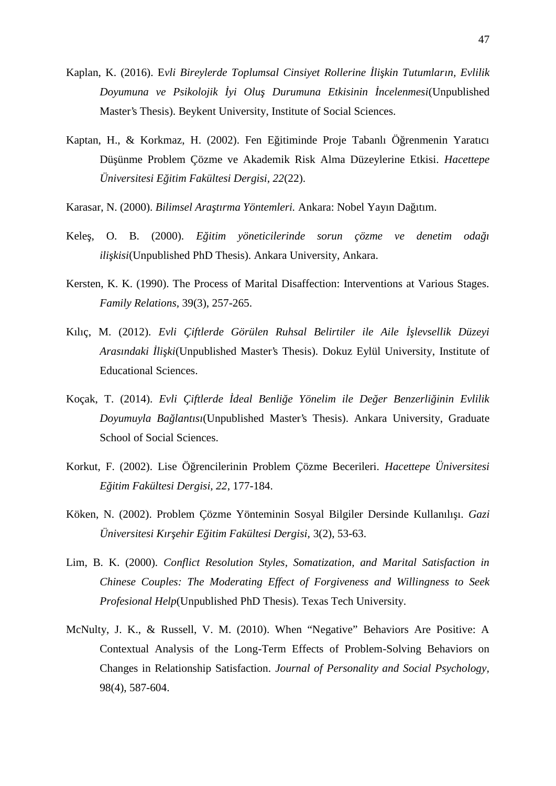- Kaplan, K. (2016). E*vli Bireylerde Toplumsal Cinsiyet Rollerine İlişkin Tutumların, Evlilik Doyumuna ve Psikolojik İyi Oluş Durumuna Etkisinin İncelenmesi*(Unpublished Master's Thesis). Beykent University, Institute of Social Sciences.
- Kaptan, H., & Korkmaz, H. (2002). Fen E itiminde Proje Tabanlı Ö renmenin Yaratıcı Düşünme Problem Çözme ve Akademik Risk Alma Düzeylerine Etkisi. *Hacettepe Üniversitesi Eğitim Fakültesi Dergisi, 22*(22).
- Karasar, N. (2000). *Bilimsel Araştırma Yöntemleri.* Ankara: Nobel Yayın Dağıtım.
- Kele, O. B. (2000). *E itim yöneticilerinde sorun çözme ve denetim oda i ili kisi*(Unpublished PhD Thesis). Ankara University, Ankara.
- Kersten, K. K. (1990). The Process of Marital Disaffection: Interventions at Various Stages. *Family Relations,* 39(3), 257-265.
- Kılıç, M. (2012). *Evli Çiftlerde Görülen Ruhsal Belirtiler ile Aile levsellik Düzeyi Arasındaki İlişki*(Unpublished Master's Thesis). Dokuz Eylül University, Institute of Educational Sciences.
- Koçak, T. (2014). *Evli Çiftlerde deal Benli e Yönelim ile De er Benzerli inin Evlilik Doyumuyla Bağlantısı*(Unpublished Master's Thesis). Ankara University, Graduate School of Social Sciences.
- Korkut, F. (2002). Lise Ö rencilerinin Problem Çözme Becerileri. *Hacettepe Üniversitesi Eğitim Fakültesi Dergisi, 22*, 177-184.
- Köken, N. (2002). Problem Çözme Yönteminin Sosyal Bilgiler Dersinde Kullanılı 1. *Gazi Üniversitesi Kırşehir Eğitim Fakültesi Dergisi,* 3(2), 53-63.
- Lim, B. K. (2000). *Conflict Resolution Styles, Somatization, and Marital Satisfaction in Chinese Couples: The Moderating Effect of Forgiveness and Willingness to Seek Profesional Help*(Unpublished PhD Thesis). Texas Tech University.
- McNulty, J. K., & Russell, V. M. (2010). When "Negative" Behaviors Are Positive: A Contextual Analysis of the Long-Term Effects of Problem-Solving Behaviors on Changes in Relationship Satisfaction. *Journal of Personality and Social Psychology,* 98(4), 587-604.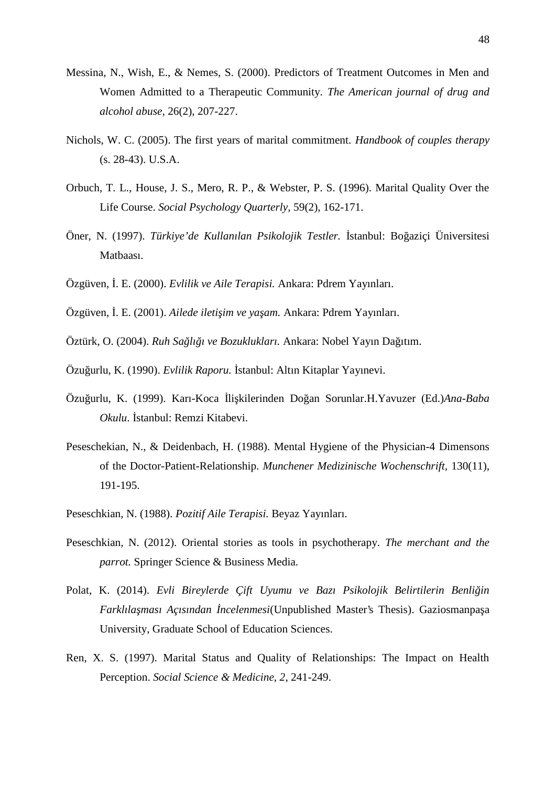- Messina, N., Wish, E., & Nemes, S. (2000). Predictors of Treatment Outcomes in Men and Women Admitted to a Therapeutic Community. *The American journal of drug and alcohol abuse,* 26(2), 207-227.
- Nichols, W. C. (2005). The first years of marital commitment. *Handbook of couples therapy* (s. 28-43). U.S.A.
- Orbuch, T. L., House, J. S., Mero, R. P., & Webster, P. S. (1996). Marital Quality Over the Life Course. *Social Psychology Quarterly,* 59(2), 162-171.
- Öner, N. (1997). *Türkiye'de Kullanılan Psikolojik Testler.* İstanbul: Boğaziçi Üniversitesi Matbaası.
- Özgüven, İ. E. (2000). *Evlilik ve Aile Terapisi.* Ankara: Pdrem Yayınları.
- Özgüven, . E. (2001). *Ailede ileti im ve ya am.* Ankara: Pdrem Yayınları.
- Öztürk, O. (2004). *Ruh Sağlığı ve Bozuklukları.* Ankara: Nobel Yayın Dağıtım.
- Özu urlu, K. (1990). *Evlilik Raporu.* stanbul: Altın Kitaplar Yayınevi.
- Özuğurlu, K. (1999). Karı-Koca İlişkilerinden Doğan Sorunlar.H.Yavuzer (Ed.)*Ana-Baba Okulu.* stanbul: Remzi Kitabevi.
- Peseschekian, N., & Deidenbach, H. (1988). Mental Hygiene of the Physician-4 Dimensons of the Doctor-Patient-Relationship. *Munchener Medizinische Wochenschrift,* 130(11), 191-195.
- Peseschkian, N. (1988). *Pozitif Aile Terapisi.* Beyaz Yayınları.
- Peseschkian, N. (2012). Oriental stories as tools in psychotherapy. *The merchant and the parrot.* Springer Science & Business Media.
- Polat, K. (2014). *Evli Bireylerde Çift Uyumu ve Bazı Psikolojik Belirtilerin Benli in* Farklıla ması Açısından ncelenmesi(Unpublished Master's Thesis). Gaziosmanpa a University, Graduate School of Education Sciences.
- Ren, X. S. (1997). Marital Status and Quality of Relationships: The Impact on Health Perception. *Social Science & Medicine, 2*, 241-249.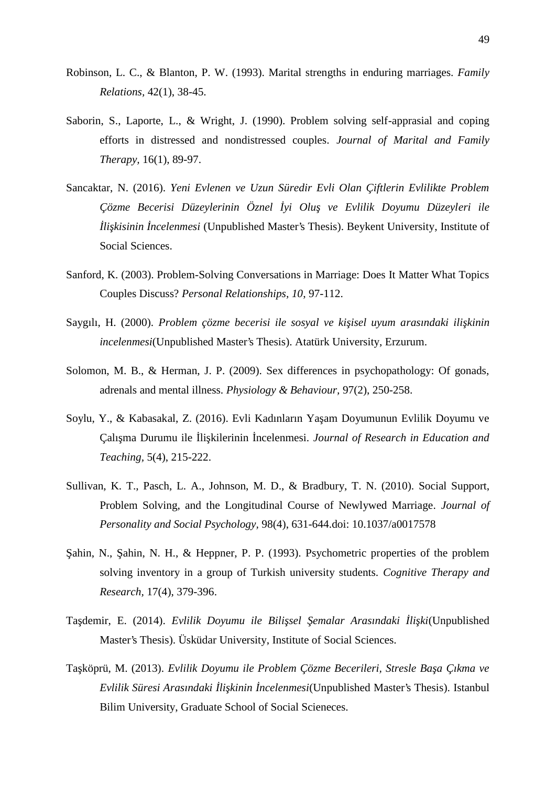- Robinson, L. C., & Blanton, P. W. (1993). Marital strengths in enduring marriages. *Family Relations,* 42(1), 38-45.
- Saborin, S., Laporte, L., & Wright, J. (1990). Problem solving self-apprasial and coping efforts in distressed and nondistressed couples. *Journal of Marital and Family Therapy,* 16(1), 89-97.
- Sancaktar, N. (2016). *Yeni Evlenen ve Uzun Süredir Evli Olan Çiftlerin Evlilikte Problem Çözme Becerisi Düzeylerinin Öznel İyi Oluş ve Evlilik Doyumu Düzeyleri ile li kisinin ncelenmesi* (Unpublished Master's Thesis). Beykent University, Institute of Social Sciences.
- Sanford, K. (2003). Problem-Solving Conversations in Marriage: Does It Matter What Topics Couples Discuss? *Personal Relationships, 10*, 97-112.
- Saygılı, H. (2000). *Problem çözme becerisi ile sosyal ve ki isel uyum arasındaki ili kinin incelenmesi*(Unpublished Master's Thesis). Atatürk University, Erzurum.
- Solomon, M. B., & Herman, J. P. (2009). Sex differences in psychopathology: Of gonads, adrenals and mental illness. *Physiology & Behaviour,* 97(2), 250-258.
- Soylu, Y., & Kabasakal, Z. (2016). Evli Kadınların Ya am Doyumunun Evlilik Doyumu ve Çalışma Durumu ile İlişkilerinin İncelenmesi. *Journal of Research in Education and Teaching,* 5(4), 215-222.
- Sullivan, K. T., Pasch, L. A., Johnson, M. D., & Bradbury, T. N. (2010). Social Support, Problem Solving, and the Longitudinal Course of Newlywed Marriage. *Journal of Personality and Social Psychology,* 98(4), 631-644.doi: 10.1037/a0017578
- ahin, N., ahin, N. H., & Heppner, P. P. (1993). Psychometric properties of the problem solving inventory in a group of Turkish university students. *Cognitive Therapy and Research,* 17(4), 379-396.
- Ta demir, E. (2014). *Evlilik Doyumu ile Bili sel emalar Arasındaki li ki*(Unpublished Master's Thesis). Üsküdar University, Institute of Social Sciences.
- Ta köprü, M. (2013). *Evlilik Doyumu ile Problem Çözme Becerileri, Stresle Ba a Çıkma ve Evlilik Süresi Arasındaki İlişkinin İncelenmesi*(Unpublished Master's Thesis). Istanbul Bilim University, Graduate School of Social Scieneces.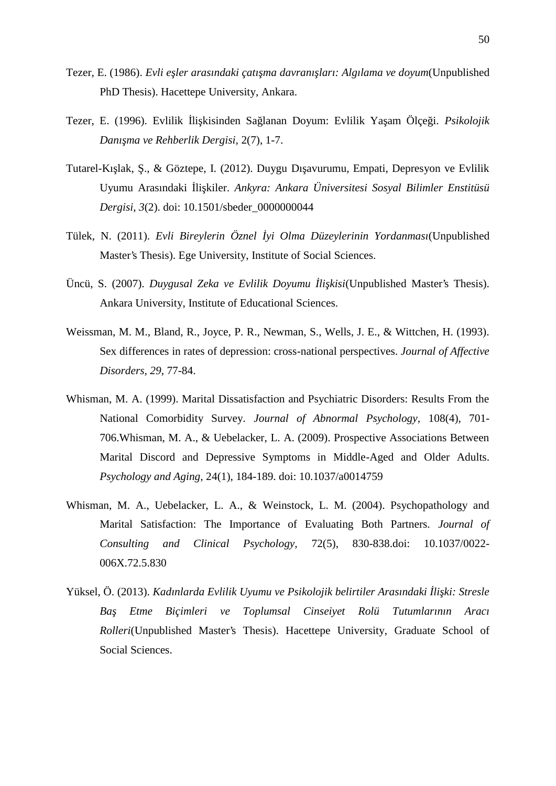- Tezer, E. (1986). *Evli e ler arasındaki çatı ma davranı ları: Algılama ve doyum*(Unpublished PhD Thesis). Hacettepe University, Ankara.
- Tezer, E. (1996). Evlilik İlişkisinden Sağlanan Doyum: Evlilik Yaşam Ölçeği. *Psikolojik Danışma ve Rehberlik Dergisi,* 2(7), 1-7.
- Tutarel-Kı lak, "& Göztepe, I. (2012). Duygu Dı avurumu, Empati, Depresyon ve Evlilik Uyumu Arasındaki İlişkiler. *Ankyra: Ankara Üniversitesi Sosyal Bilimler Enstitüsü Dergisi, 3*(2). doi: 10.1501/sbeder\_0000000044
- Tülek, N. (2011). *Evli Bireylerin Öznel yi Olma Düzeylerinin Yordanması*(Unpublished Master's Thesis). Ege University, Institute of Social Sciences.
- Üncü, S. (2007). *Duygusal Zeka ve Evlilik Doyumu li kisi*(Unpublished Master's Thesis). Ankara University, Institute of Educational Sciences.
- Weissman, M. M., Bland, R., Joyce, P. R., Newman, S., Wells, J. E., & Wittchen, H. (1993). Sex differences in rates of depression: cross-national perspectives. *Journal of Affective Disorders, 29*, 77-84.
- Whisman, M. A. (1999). Marital Dissatisfaction and Psychiatric Disorders: Results From the National Comorbidity Survey. *Journal of Abnormal Psychology,* 108(4), 701- 706.Whisman, M. A., & Uebelacker, L. A. (2009). Prospective Associations Between Marital Discord and Depressive Symptoms in Middle-Aged and Older Adults. *Psychology and Aging,* 24(1), 184-189. doi: 10.1037/a0014759
- Whisman, M. A., Uebelacker, L. A., & Weinstock, L. M. (2004). Psychopathology and Marital Satisfaction: The Importance of Evaluating Both Partners. *Journal of Consulting and Clinical Psychology,* 72(5), 830-838.doi: 10.1037/0022- 006X.72.5.830
- Yüksel, Ö. (2013). *Kadınlarda Evlilik Uyumu ve Psikolojik belirtiler Arasındaki li ki: Stresle Baş Etme Biçimleri ve Toplumsal Cinseiyet Rolü Tutumlarının Aracı Rolleri*(Unpublished Master's Thesis). Hacettepe University, Graduate School of Social Sciences.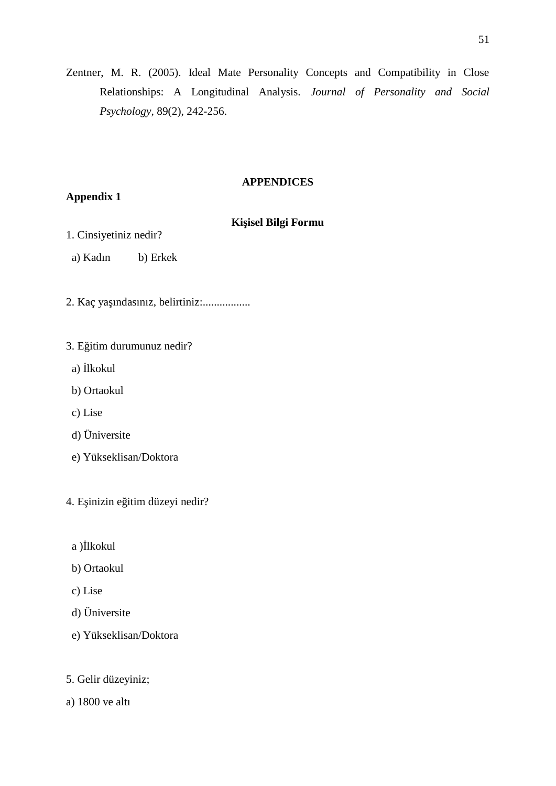Zentner, M. R. (2005). Ideal Mate Personality Concepts and Compatibility in Close Relationships: A Longitudinal Analysis. *Journal of Personality and Social Psychology,* 89(2), 242-256.

#### **APPENDICES**

### **Appendix 1**

## **Ki** isel Bilgi Formu

- 1. Cinsiyetiniz nedir?
- a) Kadın b) Erkek
- 2. Kaç yaşındasınız, belirtiniz:.................
- 3. E itim durumunuz nedir?
- a) İlkokul
- b) Ortaokul
- c) Lise
- d) Üniversite
- e) Yükseklisan/Doktora
- 4. E inizin e itim düzeyi nedir?
	- a ) lkokul
	- b) Ortaokul
	- c) Lise
	- d) Üniversite
	- e) Yükseklisan/Doktora
- 5. Gelir düzeyiniz;
- a) 1800 ve altı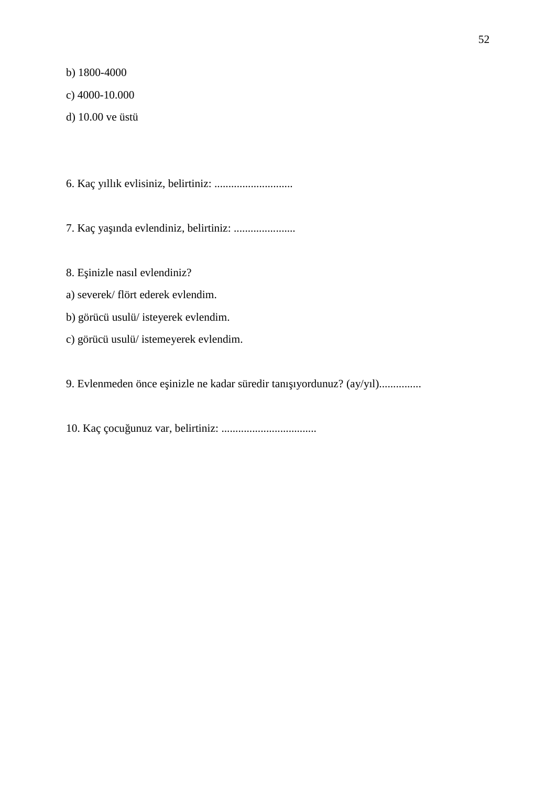b) 1800-4000

c) 4000-10.000

d) 10.00 ve üstü

6. Kaç yıllık evlisiniz, belirtiniz: ............................

7. Kaç yaşında evlendiniz, belirtiniz: ......................

8. E inizle nasıl evlendiniz?

- a) severek/ flört ederek evlendim.
- b) görücü usulü/ isteyerek evlendim.
- c) görücü usulü/ istemeyerek evlendim.

9. Evlenmeden önce eşinizle ne kadar süredir tanışıyordunuz? (ay/yıl)...............

10. Kaç çocuğunuz var, belirtiniz: ..................................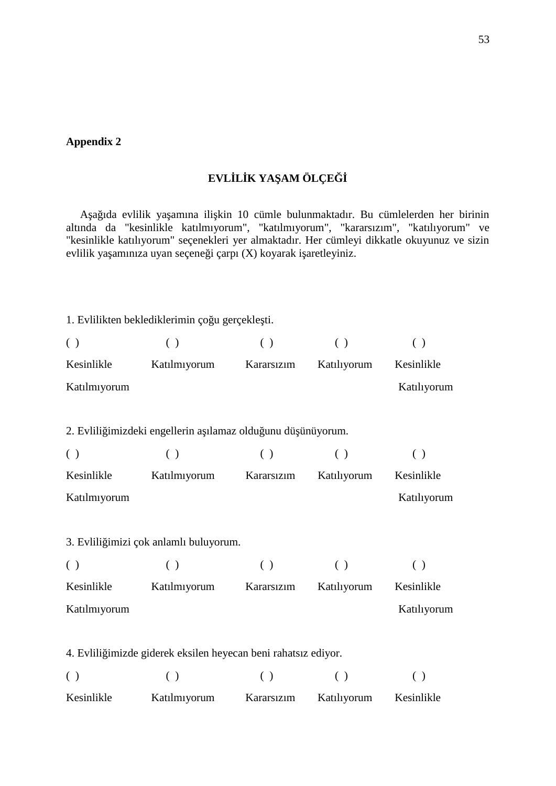#### **Appendix 2**

## **EVLİLİK YAŞAM ÖLÇEĞİ**

A a ıda evlilik ya amına ili kin 10 cümle bulunmaktadır. Bu cümlelerden her birinin altında da "kesinlikle katılmıyorum", "katılmıyorum", "kararsızım", "katılıyorum" ve "kesinlikle katılıyorum" seçenekleri yer almaktadır. Her cümleyi dikkatle okuyunuz ve sizin evlilik ya amınıza uyan seçene i çarpı  $(X)$  koyarak i aretleyiniz.

1. Evlilikten beklediklerimin ço u gerçekle ti.

| $\left( \begin{array}{c} \end{array} \right)$ | ( )                                                            | ( )        | ( )                | ( )         |  |
|-----------------------------------------------|----------------------------------------------------------------|------------|--------------------|-------------|--|
| Kesinlikle                                    | Katılmıyorum                                                   | Kararsızım | Katılıyorum        | Kesinlikle  |  |
| Katılmıyorum                                  |                                                                |            |                    | Katılıyorum |  |
|                                               |                                                                |            |                    |             |  |
|                                               | 2. Evlili imizdeki engellerin a ılamaz oldu unu dü ünüyorum.   |            |                    |             |  |
| ( )                                           | ( )                                                            | ( )        | ( )                | ( )         |  |
| Kesinlikle                                    | Katılmıyorum                                                   | Kararsızım | Katılıyorum        | Kesinlikle  |  |
| Katılmıyorum                                  |                                                                |            |                    | Katılıyorum |  |
|                                               |                                                                |            |                    |             |  |
|                                               | 3. Evlili imizi çok anlamlı buluyorum.                         |            |                    |             |  |
| ( )                                           | ( )                                                            | ( )        | $\left( \ \right)$ | ( )         |  |
| Kesinlikle                                    | Katılmıyorum                                                   | Kararsızım | Katılıyorum        | Kesinlikle  |  |
| Katılmıyorum                                  |                                                                |            |                    | Katılıyorum |  |
|                                               |                                                                |            |                    |             |  |
|                                               | 4. Evlili imizde giderek eksilen heyecan beni rahatsız ediyor. |            |                    |             |  |
| ( )                                           | ( )                                                            | ( )        | ( )                | ( )         |  |
| Kesinlikle                                    | Katılmıyorum                                                   | Kararsızım | Katılıyorum        | Kesinlikle  |  |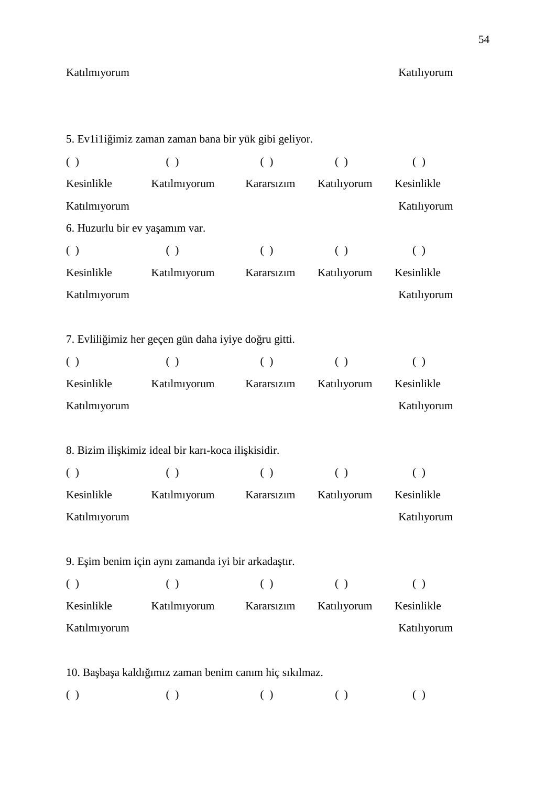#### Katılmıyorum Katılıyorum

5. Ev1i1i imiz zaman zaman bana bir yük gibi geliyor.  $( \ )$  ( ) ( ) ( ) ( ) ( ) Kesinlikle Katılmıyorum Kararsızım Katılıyorum Kesinlikle Katılmıyorum Katılıyorum 6. Huzurlu bir ev ya amım var.  $( \ )$  ( ) ( ) ( ) ( ) ( ) Kesinlikle Katılmıyorum Kararsızım Katılıyorum Kesinlikle Katılmıyorum Katılıyorum 7. Evlili imiz her geçen gün daha iyiye do ru gitti.  $( \ )$  ( ) ( ) ( ) ( ) ( ) Kesinlikle Katılmıyorum Kararsızım Katılıyorum Kesinlikle Katılmıyorum Katılıyorum 8. Bizim ili kimiz ideal bir karı-koca ili kisidir.  $( \ )$  ( ) ( ) ( ) ( ) ( ) Kesinlikle Katılmıyorum Kararsızım Katılıyorum Kesinlikle Katılmıyorum Katılıyorum 9. E im benim için aynı zamanda iyi bir arkada tır.  $( \ )$  ( ) ( ) ( ) ( ) ( ) Kesinlikle Katılmıyorum Kararsızım Katılıyorum Kesinlikle Katılmıyorum Katılıyorum 10. Ba ba a kaldı imiz zaman benim canım hiç sıkılmaz.  $( \begin{array}{cccc} ( \end{array})$  ( ) ( ) ( ) ( )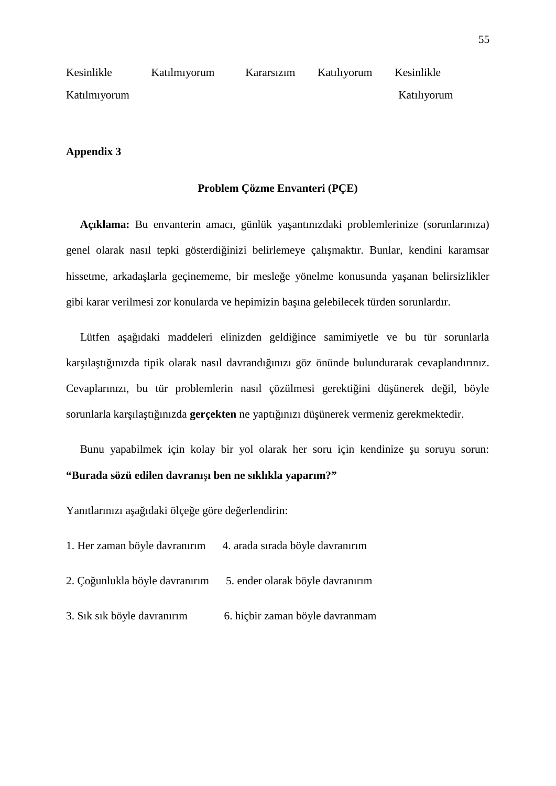| Kesinlikle   | Katılmıyorum | Kararsızım | Katılıyorum | Kesinlikle  |
|--------------|--------------|------------|-------------|-------------|
| Katılmıyorum |              |            |             | Katiliyorum |

#### **Appendix 3**

#### **Problem Çözme Envanteri (PÇE)**

Açıklama: Bu envanterin amacı, günlük ya antınızdaki problemlerinize (sorunlarınıza) genel olarak nasıl tepki gösterdi inizi belirlemeye çalı maktır. Bunlar, kendini karamsar hissetme, arkada larla geçinememe, bir mesle e yönelme konusunda ya anan belirsizlikler gibi karar verilmesi zor konularda ve hepimizin ba ına gelebilecek türden sorunlardır.

Lütfen a a ıdaki maddeleri elinizden geldi ince samimiyetle ve bu tür sorunlarla kar ıla tı ınızda tipik olarak nasıl davrandı ınızı göz önünde bulundurarak cevaplandırınız. Cevaplarınızı, bu tür problemlerin nasıl çözülmesi gerekti ini dü ünerek de il, böyle sorunlarla kar ıla tı ınızda **gerçekten** ne yaptı ınızı dü ünerek vermeniz gerekmektedir.

Bunu yapabilmek için kolay bir yol olarak her soru için kendinize u soruyu sorun: **"Burada sözü edilen davranı ı ben ne sıklıkla yaparım?"**

Yanıtlarınızı a a idaki ölçe e göre de erlendirin:

- 1. Her zaman böyle davranırım 4. arada sırada böyle davranırım
- 2. Ço unlukla böyle davranırım 5. ender olarak böyle davranırım
- 3. Sık sık böyle davranırım 6. hiçbir zaman böyle davranmam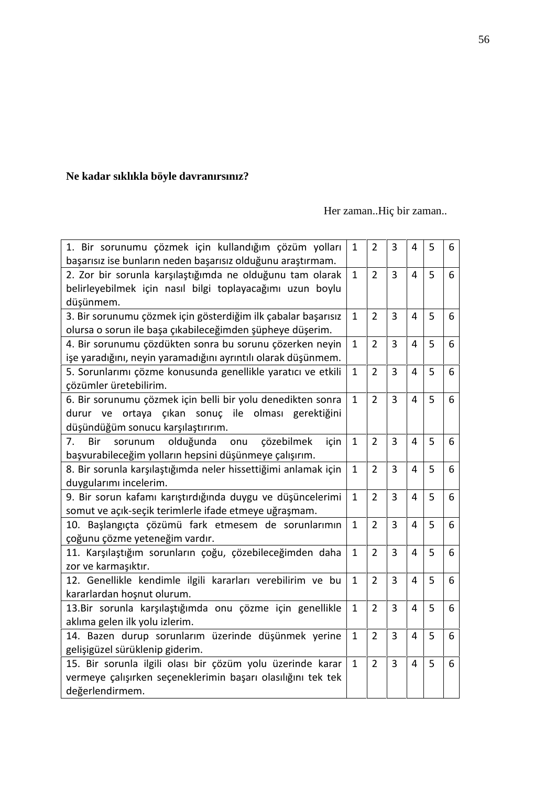# **Ne kadar sıklıkla böyle davranırsınız?**

## Her zaman..Hiç bir zaman..

| 1. Bir sorunumu çözmek için kullandığım çözüm yolları<br>başarısız ise bunların neden başarısız olduğunu araştırmam.                                             | $\mathbf{1}$ | $\overline{2}$ | 3 | 4              | 5 | 6 |  |
|------------------------------------------------------------------------------------------------------------------------------------------------------------------|--------------|----------------|---|----------------|---|---|--|
| 2. Zor bir sorunla karşılaştığımda ne olduğunu tam olarak<br>belirleyebilmek için nasıl bilgi toplayacağımı uzun boylu<br>düşünmem.                              | $\mathbf{1}$ | $\overline{2}$ | 3 | $\overline{4}$ | 5 | 6 |  |
| 3. Bir sorunumu çözmek için gösterdiğim ilk çabalar başarısız<br>olursa o sorun ile başa çıkabileceğimden şüpheye düşerim.                                       | $\mathbf{1}$ | $\overline{2}$ | 3 | $\overline{4}$ | 5 | 6 |  |
| 4. Bir sorunumu çözdükten sonra bu sorunu çözerken neyin<br>işe yaradığını, neyin yaramadığını ayrıntılı olarak düşünmem.                                        | $\mathbf{1}$ | $\overline{2}$ | 3 | $\overline{4}$ | 5 | 6 |  |
| 5. Sorunlarımı çözme konusunda genellikle yaratıcı ve etkili<br>çözümler üretebilirim.                                                                           | $\mathbf{1}$ | $\overline{2}$ | 3 | $\overline{4}$ | 5 | 6 |  |
| 6. Bir sorunumu çözmek için belli bir yolu denedikten sonra<br>ortaya<br>çıkan sonuç ile olması gerektiğini<br>durur<br>ve<br>düşündüğüm sonucu karşılaştırırım. | $\mathbf{1}$ | $\overline{2}$ | 3 | $\overline{4}$ | 5 | 6 |  |
| olduğunda<br>Bir<br>sorunum<br>onu<br>çözebilmek<br>7.<br>için<br>başvurabileceğim yolların hepsini düşünmeye çalışırım.                                         | $\mathbf{1}$ | $\overline{2}$ | 3 | $\overline{4}$ | 5 | 6 |  |
| 8. Bir sorunla karşılaştığımda neler hissettiğimi anlamak için<br>duygularımı incelerim.                                                                         | $\mathbf{1}$ | $\overline{2}$ | 3 | $\overline{4}$ | 5 | 6 |  |
| 9. Bir sorun kafamı karıştırdığında duygu ve düşüncelerimi<br>somut ve açık-seçik terimlerle ifade etmeye uğraşmam.                                              | $\mathbf{1}$ | $\overline{2}$ | 3 | $\overline{4}$ | 5 | 6 |  |
| 10. Başlangıçta çözümü fark etmesem de sorunlarımın<br>çoğunu çözme yeteneğim vardır.                                                                            | $\mathbf{1}$ | $\overline{2}$ | 3 | $\overline{4}$ | 5 | 6 |  |
| 11. Karşılaştığım sorunların çoğu, çözebileceğimden daha<br>zor ve karmaşıktır.                                                                                  | $\mathbf{1}$ | $\overline{2}$ | 3 | 4              | 5 | 6 |  |
| 12. Genellikle kendimle ilgili kararları verebilirim ve bu<br>kararlardan hoşnut olurum.                                                                         | $\mathbf{1}$ | $\overline{2}$ | 3 | $\overline{4}$ | 5 | 6 |  |
| 13.Bir sorunla karşılaştığımda onu çözme için genellikle<br>aklıma gelen ilk yolu izlerim.                                                                       | $\mathbf{1}$ | $\overline{2}$ | 3 | 4              | 5 | 6 |  |
| 14. Bazen durup sorunlarım üzerinde düşünmek yerine<br>gelişigüzel sürüklenip giderim.                                                                           | $\mathbf{1}$ | $\overline{2}$ | 3 | $\overline{4}$ | 5 | 6 |  |
| 15. Bir sorunla ilgili olası bir çözüm yolu üzerinde karar<br>vermeye çalışırken seçeneklerimin başarı olasılığını tek tek<br>değerlendirmem.                    | $\mathbf{1}$ | $\overline{2}$ | 3 | 4              | 5 | 6 |  |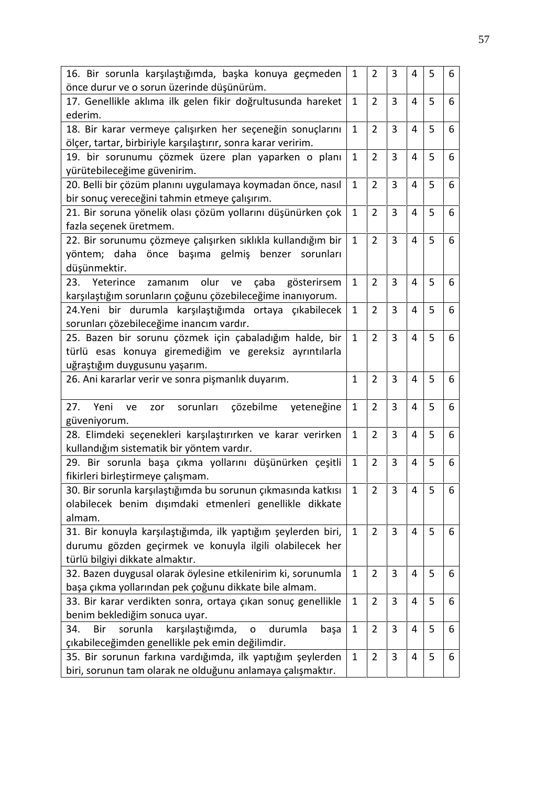| 16. Bir sorunla karşılaştığımda, başka konuya geçmeden<br>önce durur ve o sorun üzerinde düşünürüm.                                                         | $\mathbf{1}$ | $\overline{2}$ | 3 | $\overline{4}$ | 5 | 6 |
|-------------------------------------------------------------------------------------------------------------------------------------------------------------|--------------|----------------|---|----------------|---|---|
| 17. Genellikle aklıma ilk gelen fikir doğrultusunda hareket<br>ederim.                                                                                      | $\mathbf{1}$ | $\overline{2}$ | 3 | $\overline{4}$ | 5 | 6 |
| 18. Bir karar vermeye çalışırken her seçeneğin sonuçlarını<br>ölçer, tartar, birbiriyle karşılaştırır, sonra karar veririm.                                 | $\mathbf{1}$ | $\overline{2}$ | 3 | 4              | 5 | 6 |
| 19. bir sorunumu çözmek üzere plan yaparken o planı<br>yürütebileceğime güvenirim.                                                                          | $\mathbf{1}$ | $\overline{2}$ | 3 | $\overline{4}$ | 5 | 6 |
| 20. Belli bir çözüm planını uygulamaya koymadan önce, nasıl<br>bir sonuç vereceğini tahmin etmeye çalışırım.                                                | $\mathbf{1}$ | $\overline{2}$ | 3 | 4              | 5 | 6 |
| 21. Bir soruna yönelik olası çözüm yollarını düşünürken çok<br>fazla seçenek üretmem.                                                                       | $\mathbf{1}$ | $\overline{2}$ | 3 | 4              | 5 | 6 |
| 22. Bir sorunumu çözmeye çalışırken sıklıkla kullandığım bir<br>yöntem; daha önce başıma gelmiş<br>benzer sorunları<br>düşünmektir.                         | $\mathbf{1}$ | $\overline{2}$ | 3 | $\overline{4}$ | 5 | 6 |
| 23.<br>Yeterince<br>olur<br>zamanım<br>çaba<br>gösterirsem<br>ve<br>karşılaştığım sorunların çoğunu çözebileceğime inanıyorum.                              | $\mathbf{1}$ | $\overline{2}$ | 3 | $\overline{4}$ | 5 | 6 |
| 24.Yeni bir durumla karşılaştığımda ortaya çıkabilecek<br>sorunları çözebileceğime inancım vardır.                                                          | $\mathbf{1}$ | $\overline{2}$ | 3 | $\overline{4}$ | 5 | 6 |
| 25. Bazen bir sorunu çözmek için çabaladığım halde, bir<br>türlü esas konuya giremediğim ve gereksiz ayrıntılarla<br>uğraştığım duygusunu yaşarım.          | $\mathbf{1}$ | $\overline{2}$ | 3 | $\overline{4}$ | 5 | 6 |
| 26. Ani kararlar verir ve sonra pişmanlık duyarım.                                                                                                          | $\mathbf{1}$ | $\overline{2}$ | 3 | $\overline{4}$ | 5 | 6 |
| 27.<br>Yeni<br>sorunları<br>çözebilme<br>yeteneğine<br>ve<br>zor<br>güveniyorum.                                                                            | $\mathbf{1}$ | $\overline{2}$ | 3 | $\overline{4}$ | 5 | 6 |
| 28. Elimdeki seçenekleri karşılaştırırken ve karar verirken<br>kullandığım sistematik bir yöntem vardır.                                                    | $\mathbf{1}$ | $\overline{2}$ | 3 | $\overline{4}$ | 5 | 6 |
| 29. Bir sorunla başa çıkma yollarını düşünürken çeşitli<br>fikirleri birleştirmeye çalışmam.                                                                | $\mathbf{1}$ | $\overline{2}$ | 3 | 4              | 5 | 6 |
| 30. Bir sorunla karşılaştığımda bu sorunun çıkmasında katkısı<br>olabilecek benim dışımdaki etmenleri genellikle dikkate<br>almam.                          | $\mathbf{1}$ | $\overline{2}$ | 3 | $\overline{4}$ | 5 | 6 |
| 31. Bir konuyla karşılaştığımda, ilk yaptığım şeylerden biri,<br>durumu gözden geçirmek ve konuyla ilgili olabilecek her<br>türlü bilgiyi dikkate almaktır. | $\mathbf{1}$ | $\overline{2}$ | 3 | 4              | 5 | 6 |
| 32. Bazen duygusal olarak öylesine etkilenirim ki, sorunumla<br>başa çıkma yollarından pek çoğunu dikkate bile almam.                                       | $\mathbf{1}$ | $\overline{2}$ | 3 | 4              | 5 | 6 |
| 33. Bir karar verdikten sonra, ortaya çıkan sonuç genellikle<br>benim beklediğim sonuca uyar.                                                               | $\mathbf{1}$ | $\overline{2}$ | 3 | 4              | 5 | 6 |
| sorunla<br>karşılaştığımda,<br>Bir<br>34.<br>durumla<br>$\mathbf O$<br>başa<br>çıkabileceğimden genellikle pek emin değilimdir.                             | $\mathbf{1}$ | $\overline{2}$ | 3 | 4              | 5 | 6 |
| 35. Bir sorunun farkına vardığımda, ilk yaptığım şeylerden<br>biri, sorunun tam olarak ne olduğunu anlamaya çalışmaktır.                                    | $\mathbf{1}$ | $\overline{2}$ | 3 | 4              | 5 | 6 |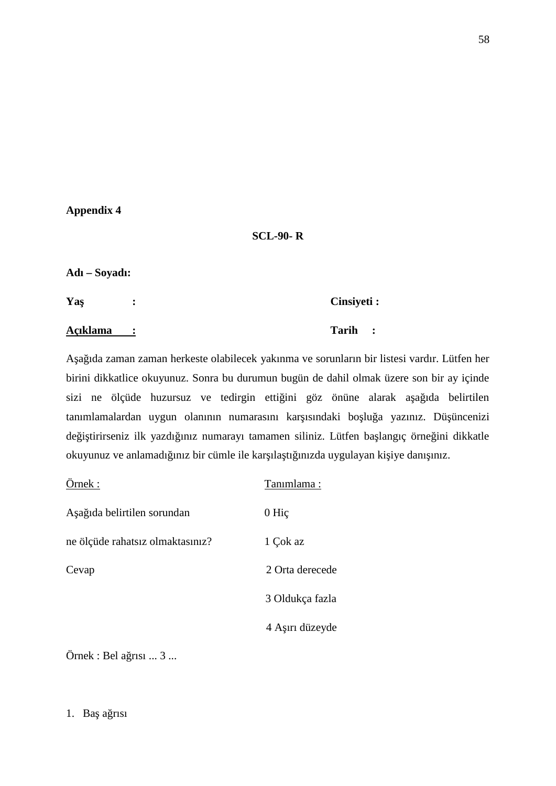#### **Appendix 4**

#### **SCL-90- R**

#### **Adı – Soyadı:**

**Yaş : Cinsiyeti : Açıklama : Tarih :**

Aşağıda zaman zaman herkeste olabilecek yakınma ve sorunların bir listesi vardır. Lütfen her birini dikkatlice okuyunuz. Sonra bu durumun bugün de dahil olmak üzere son bir ay içinde sizi ne ölçüde huzursuz ve tedirgin etti ini göz önüne alarak a a ıda belirtilen tanımlamalardan uygun olanının numarasını kar ısındaki bolu a yazınız. Dü üncenizi de i tirirseniz ilk yazdı ınız numarayı tamamen siliniz. Lütfen ba langıç örne ini dikkatle okuyunuz ve anlamadı iniz bir cümle ile kar ila ti inizda uygulayan ki iye danı iniz.

| Örnek:                           | Tanımlama:      |
|----------------------------------|-----------------|
| A a ida belirtilen sorundan      | $0$ Hic         |
| ne ölçüde rahatsız olmaktasınız? | 1 Çok az        |
| Cevap                            | 2 Orta derecede |
|                                  | 3 Oldukça fazla |
|                                  | 4 A in düzeyde  |
|                                  |                 |

 $Örnek : Bela$ rısı ... 3 ...

1. Ba $a$  risi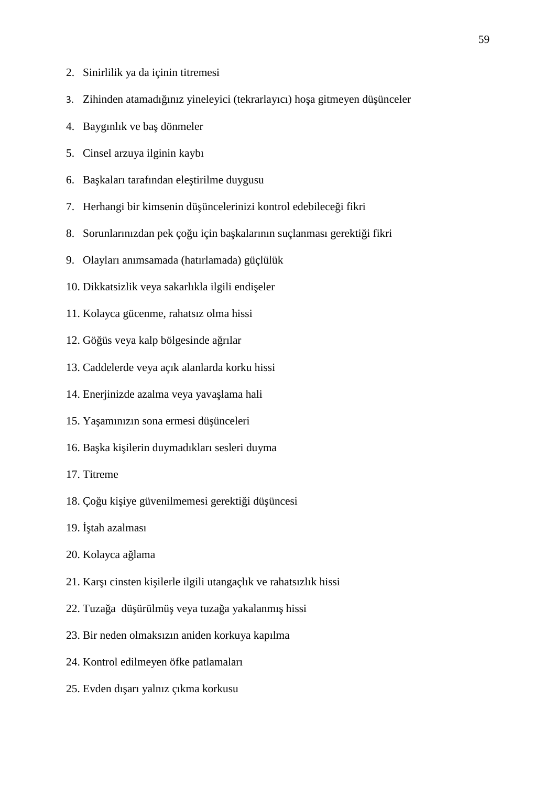- 2. Sinirlilik ya da içinin titremesi
- 3. Zihinden atamadı iniz yineleyici (tekrarlayıcı) hoşa gitmeyen düşünceler
- 4. Baygınlık ve ba dönmeler
- 5. Cinsel arzuya ilginin kaybı
- 6. Ba kaları tarafından ele tirilme duygusu
- 7. Herhangi bir kimsenin dü üncelerinizi kontrol edebilece i fikri
- 8. Sorunlarınızdan pek çoğu için ba kalarının suçlanması gerekti i fikri
- 9. Olayları anımsamada (hatırlamada) güçlülük
- 10. Dikkatsizlik veya sakarlıkla ilgili endi eler
- 11. Kolayca gücenme, rahatsız olma hissi
- 12. Gö üs veya kalp bölgesinde a rılar
- 13. Caddelerde veya açık alanlarda korku hissi
- 14. Enerjinizde azalma veya yava lama hali
- 15. Ya amınızın sona ermesi dü ünceleri
- 16. Ba ka ki ilerin duymadıkları sesleri duyma
- 17. Titreme
- 18. Ço u ki iye güvenilmemesi gerekti i dü üncesi
- 19. tah azalması
- 20. Kolayca a lama
- 21. Kar i cinsten ki ilerle ilgili utangaçlık ve rahatsızlık hissi
- 22. Tuza a dü ürülmü veya tuza a yakalanmı hissi
- 23. Bir neden olmaksızın aniden korkuya kapılma
- 24. Kontrol edilmeyen öfke patlamaları
- 25. Evden dı arı yalnız çıkma korkusu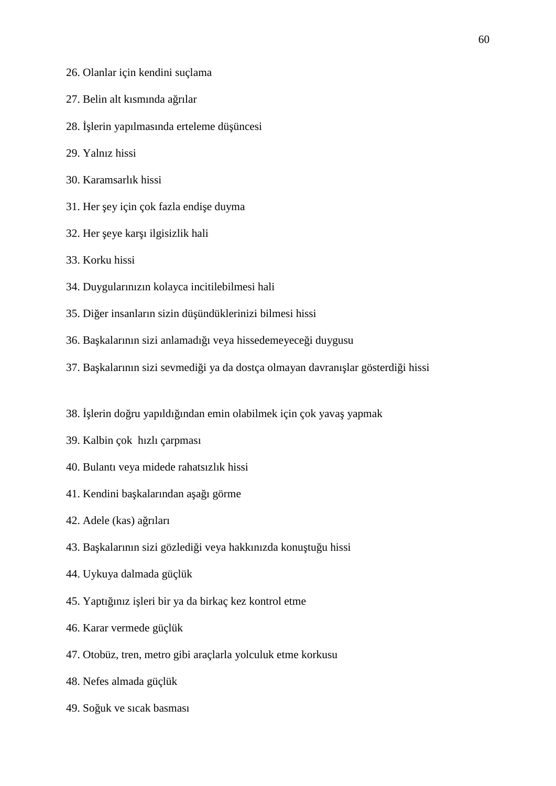- 26. Olanlar için kendini suçlama
- 27. Belin alt kısmında a rılar
- 28. lerin yapılmasında erteleme dü üncesi
- 29. Yalnız hissi
- 30. Karamsarlık hissi
- 31. Her ey için çok fazla endi e duyma
- 32. Her eye kar 1 ilgisizlik hali
- 33. Korku hissi
- 34. Duygularınızın kolayca incitilebilmesi hali
- 35. Di er insanların sizin dü ündüklerinizi bilmesi hissi
- 36. Ba kalarının sizi anlamadı 1 veya hissedemeyece i duygusu
- 37. Ba kalarının sizi sevmedi i ya da dostça olmayan davranı lar gösterdi i hissi
- 38. lerin do ru yapıldı ından emin olabilmek için çok yava yapmak
- 39. Kalbin çok hızlı çarpması
- 40. Bulantı veya midede rahatsızlık hissi
- 41. Kendini ba kalarından a a 1 görme
- 42. Adele (kas) a rıları
- 43. Ba kalarının sizi gözledi i veya hakkınızda konu tu u hissi
- 44. Uykuya dalmada güçlük
- 45. Yaptı iniz i leri bir ya da birkaç kez kontrol etme
- 46. Karar vermede güçlük
- 47. Otobüz, tren, metro gibi araçlarla yolculuk etme korkusu
- 48. Nefes almada güçlük
- 49. So uk ve sıcak basması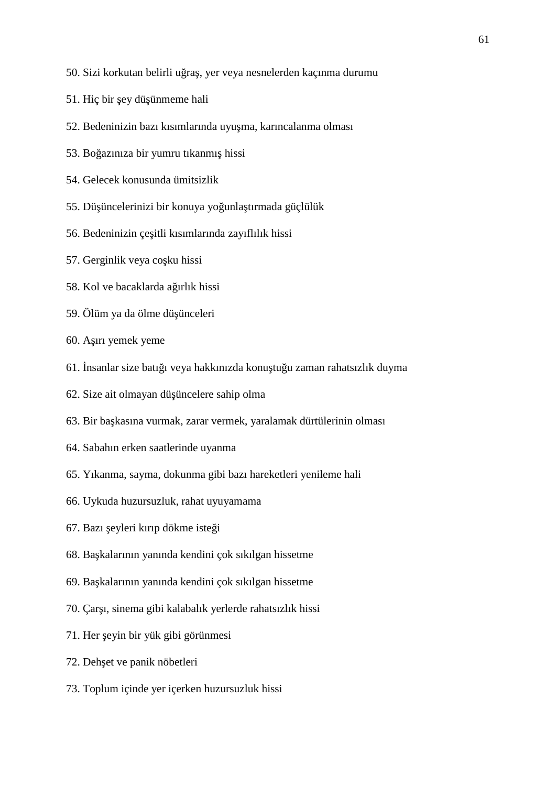- 50. Sizi korkutan belirli uğraş, yer veya nesnelerden kaçınma durumu
- 51. Hiç bir ey dü ünmeme hali
- 52. Bedeninizin bazı kısımlarında uyu ma, karıncalanma olması
- 53. Bo azınıza bir yumru tıkanmı hissi
- 54. Gelecek konusunda ümitsizlik
- 55. Dü üncelerinizi bir konuya yoşunla tırmada güçlülük
- 56. Bedeninizin çe itli kısımlarında zayıflılık hissi
- 57. Gerginlik veya co ku hissi
- 58. Kol ve bacaklarda a ırlık hissi
- 59. Ölüm ya da ölme dü ünceleri
- 60. A ırı yemek yeme
- 61. nsanlar size batı 1 veya hakkınızda konu tu u zaman rahatsızlık duyma
- 62. Size ait olmayan dü üncelere sahip olma
- 63. Bir ba kasına vurmak, zarar vermek, yaralamak dürtülerinin olması
- 64. Sabahın erken saatlerinde uyanma
- 65. Yıkanma, sayma, dokunma gibi bazı hareketleri yenileme hali
- 66. Uykuda huzursuzluk, rahat uyuyamama
- 67. Bazı eyleri kırıp dökme iste i
- 68. Ba kalarının yanında kendini çok sıkılgan hissetme
- 69. Ba kalarının yanında kendini çok sıkılgan hissetme
- 70. Çar 1, sinema gibi kalabalık yerlerde rahatsızlık hissi
- 71. Her eyin bir yük gibi görünmesi
- 72. Deh et ve panik nöbetleri
- 73. Toplum içinde yer içerken huzursuzluk hissi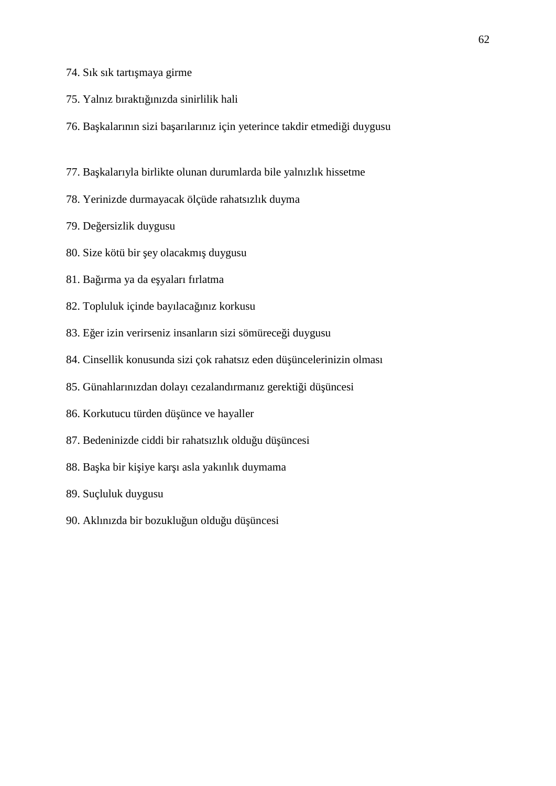- 74. Sık sık tartı maya girme
- 75. Yalnız bıraktığınızda sinirlilik hali
- 76. Ba kalarının sizi ba arılarınız için yeterince takdir etmedi i duygusu
- 77. Ba kalarıyla birlikte olunan durumlarda bile yalnızlık hissetme
- 78. Yerinizde durmayacak ölçüde rahatsızlık duyma
- 79. De ersizlik duygusu
- 80. Size kötü bir ey olacakmı duygusu
- 81. Ba irma ya da e yaları fırlatma
- 82. Topluluk içinde bayılaca ınız korkusu
- 83. E er izin verirseniz insanların sizi sömürece i duygusu
- 84. Cinsellik konusunda sizi çok rahatsız eden dü üncelerinizin olması
- 85. Günahlarınızdan dolayı cezalandırmanız gerekti i dü üncesi
- 86. Korkutucu türden dü ünce ve hayaller
- 87. Bedeninizde ciddi bir rahatsızlık oldu u dü üncesi
- 88. Ba ka bir ki iye kar 1 asla yakınlık duymama
- 89. Suçluluk duygusu
- 90. Aklınızda bir bozuklu un oldu u dü üncesi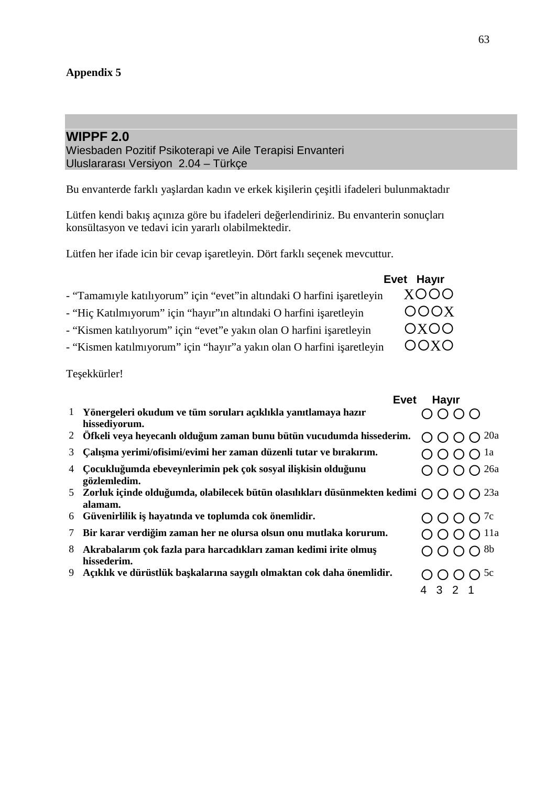## **WIPPF 2.0**

Wiesbaden Pozitif Psikoterapi ve Aile Terapisi Envanteri Uluslararası Versiyon 2.04 – Türkçe

Bu envanterde farklı ya lardan kadın ve erkek ki ilerin çe itli ifadeleri bulunmaktadır

Lütfen kendi bakı açınıza göre bu ifadeleri de erlendiriniz. Bu envanterin sonuçları konsültasyon ve tedavi icin yararlı olabilmektedir.

Lütfen her ifade icin bir cevap i aretleyin. Dört farklı seçenek mevcuttur.

|                                                                         | Evet Hayır  |  |  |
|-------------------------------------------------------------------------|-------------|--|--|
| - "Tamamıyle katılıyorum" için "evet"in altındaki O harfini i aretleyin | XOOO        |  |  |
| - "Hiç Katılmıyorum" için "hayır"ın altındaki O harfini i aretleyin     | <b>OOOX</b> |  |  |
| - "Kismen katılıyorum" için "evet" e yakın olan O harfini i aretleyin   | OXOO        |  |  |
| - "Kismen katılmıyorum" için "hayır"a yakın olan O harfini i aretleyin  | OOXO        |  |  |

Te ekkürler!

|   | <b>Evet</b>                                                                                                          | <b>Hayır</b>                       |  |
|---|----------------------------------------------------------------------------------------------------------------------|------------------------------------|--|
|   | 1 Yönergeleri okudum ve tüm soruları açıklıkla yanıtlamaya hazır<br>hissediyorum.                                    | 0000                               |  |
|   | 2 Öfkeli veya heyecanlı oldu um zaman bunu bütün vucudumda hissederim.                                               | $O$ $O$ $O$ $20a$                  |  |
|   | 3 Calı ma yerimi/ofisimi/evimi her zaman düzenli tutar ve bırakırım.                                                 | $O$ $O$ $O$ $\Omega$ <sup>1a</sup> |  |
|   | Cocuklu umda ebeveynlerimin pek çok sosyal ili kisin oldu unu<br>gözlemledim.                                        | $O$ $O$ $O$ $O$ $^{26a}$           |  |
|   | 5 Zorluk içinde oldu umda, olabilecek bütün olasılıkları düsünmekten kedimi $\bigcap \bigcap \bigcap$ 23a<br>alamam. |                                    |  |
|   | 6 Güvenirlilik i hayatında ve toplumda cok önemlidir.                                                                | $O$ O O $7c$                       |  |
|   | 7 Bir karar verdi im zaman her ne olursa olsun onu mutlaka korurum.                                                  | $O$ $O$ $O$ $O$ $11a$              |  |
| 8 | Akrabalarım çok fazla para harcadıkları zaman kedimi irite olmu<br>hissederim.                                       | $O$ $O$ $O$ $O$ $8b$               |  |
| 9 | Açıklık ve dürüstlük ba kalarına saygılı olmaktan cok daha önemlidir.                                                | $O$ O O $O$ $5c$<br>4 3 2          |  |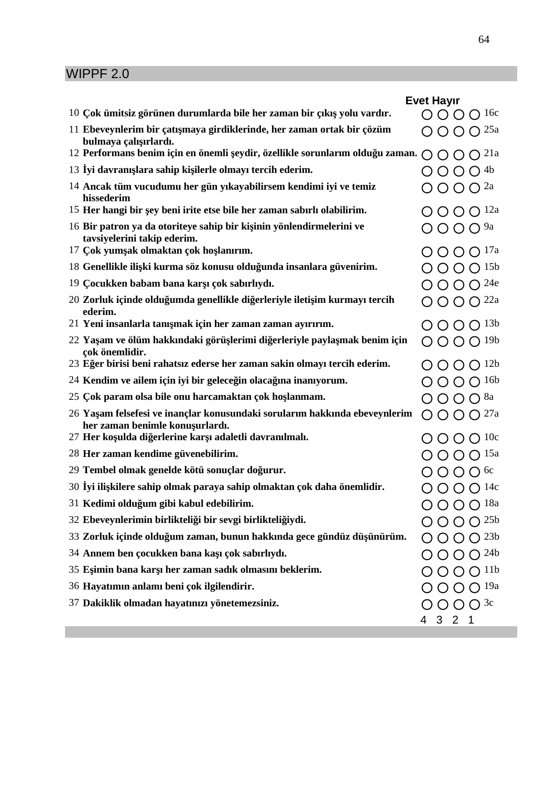# WIPPF 2.0

|                                                                                                                                                                                 | <b>Evet Hayır</b>                           |                  |                 |  |  |  |
|---------------------------------------------------------------------------------------------------------------------------------------------------------------------------------|---------------------------------------------|------------------|-----------------|--|--|--|
| 10 Çok ümitsiz görünen durumlarda bile her zaman bir çıkı yolu vardır.                                                                                                          | $O$ O O O 16c                               |                  |                 |  |  |  |
| 11 Ebeveynlerim bir çatı maya girdiklerinde, her zaman ortak bir çözüm<br>bulmaya çalı ırlardı.<br>12 Performans benim için en önemli eydir, özellikle sorunlarım oldu u zaman. | $O$ $O$ $O$ $O$ $^{25a}$                    |                  |                 |  |  |  |
|                                                                                                                                                                                 | $O$ $O$ $O$ $2$ <sup>1a</sup>               |                  |                 |  |  |  |
| 13 yi davranı lara sahip ki ilerle olmayı tercih ederim.                                                                                                                        | $O$ O O $^{4b}$                             |                  |                 |  |  |  |
| 14 Ancak tüm vucudumu her gün yıkayabilirsem kendimi iyi ve temiz<br>hissederim                                                                                                 | $\bigcirc$ $\bigcirc$ $\bigcirc$ $2a$       |                  |                 |  |  |  |
| 15 Her hangi bir ey beni irite etse bile her zaman sabırlı olabilirim.                                                                                                          | $O$ O O $O$ 12a                             |                  |                 |  |  |  |
| 16 Bir patron ya da otoriteye sahip bir ki inin yönlendirmelerini ve<br>tavsiyelerini takip ederim.                                                                             | $O$ O O $9a$                                |                  |                 |  |  |  |
| 17 Çok yum ak olmaktan çok ho lanırım.                                                                                                                                          | $O$ O O O $^{17a}$                          |                  |                 |  |  |  |
| 18 Genellikle ili ki kurma söz konusu oldu unda insanlara güvenirim.                                                                                                            | O O                                         | $\bigcap$        | $\bigcap$ 15b   |  |  |  |
| 19 Çocukken babam bana kar ı çok sabırlıydı.                                                                                                                                    | $O$ O O O <sup>24e</sup>                    |                  |                 |  |  |  |
| 20 Zorluk içinde oldu umda genellikle di erleriyle ileti im kurmayı tercih<br>ederim.                                                                                           | $O$ O O $O$ $^{22a}$                        |                  |                 |  |  |  |
| 21 Yeni insanlarla tanı mak için her zaman zaman ayırırım.                                                                                                                      | $O$ O O O $^{13b}$                          |                  |                 |  |  |  |
| 22 Ya am ve ölüm hakkındaki görü lerimi di erleriyle payla mak benim için<br>çok önemlidir.                                                                                     | O O                                         |                  | $O$ $O$ $19b$   |  |  |  |
| 23 E er birisi beni rahatsız ederse her zaman sakin olmayı tercih ederim.                                                                                                       | $O O O O^{12b}$                             |                  |                 |  |  |  |
| 24 Kendim ve ailem için iyi bir gelece in olaca ına inanıyorum.                                                                                                                 | $\left( \right)$                            | $\left( \right)$ | $\bigcap$ 16b   |  |  |  |
| 25 Çok param olsa bile onu harcamaktan çok ho lanmam.                                                                                                                           | $O$ $O$ $O$ $O$ $8a$                        |                  |                 |  |  |  |
| 26 Ya am felsefesi ve inançlar konusundaki sorularım hakkında ebeveynlerim<br>her zaman benimle konu urlardı.                                                                   | $O$ $O$ $O$ $O$ $^{27a}$                    |                  |                 |  |  |  |
| 27 Her ko ulda di erlerine kar ı adaletli davranılmalı.                                                                                                                         | $O$ O O O $10c$                             |                  |                 |  |  |  |
| 28 Her zaman kendime güvenebilirim.                                                                                                                                             | $\bigcap$ $\bigcap$ $\bigcap$ $\bigcap$ 15a |                  |                 |  |  |  |
| 29 Tembel olmak genelde kötü sonuçlar do urur.                                                                                                                                  | $O$ $O$ $O$ $O$ 6c                          |                  |                 |  |  |  |
| 30 yi ili kilere sahip olmak paraya sahip olmaktan çok daha önemlidir.                                                                                                          | $O$ $O$ $O$ $O$ $14c$                       |                  |                 |  |  |  |
| 31 Kedimi oldu um gibi kabul edebilirim.                                                                                                                                        | $O$ O O $O$ 18a                             |                  |                 |  |  |  |
| 32 Ebeveynlerimin birlikteli i bir sevgi birlikteli iydi.                                                                                                                       |                                             |                  | 25 <sub>b</sub> |  |  |  |
| 33 Zorluk içinde oldu um zaman, bunun hakkında gece gündüz dü ünürüm.                                                                                                           |                                             |                  | 23 <sub>b</sub> |  |  |  |
| 34 Annem ben çocukken bana ka ı çok sabırlıydı.                                                                                                                                 |                                             |                  | $\bigcap$ 24b   |  |  |  |
| 35 E imin bana kar ı her zaman sadık olmasını beklerim.                                                                                                                         |                                             |                  | $\bigcap$ 11b   |  |  |  |
| 36 Hayatımın anlamı beni çok ilgilendirir.                                                                                                                                      | $\bigcirc$                                  |                  | $\bigcap$ 19a   |  |  |  |
| 37 Dakiklik olmadan hayatınızı yönetemezsiniz.                                                                                                                                  | $O$ O O O 3c<br>4 3 2 1                     |                  |                 |  |  |  |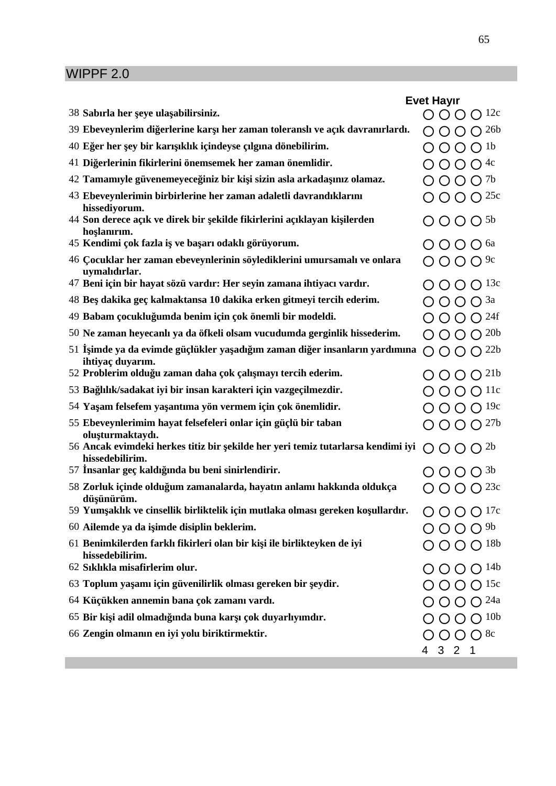# WIPPF 2.0

|    |                                                                                                    | <b>Evet Hayir</b>                                         |                  |                  |  |
|----|----------------------------------------------------------------------------------------------------|-----------------------------------------------------------|------------------|------------------|--|
|    | 38 Sabırla her eye ula abilirsiniz.                                                                | O O O                                                     |                  | $\bigcap$ 12c    |  |
|    | 39 Ebeveynlerim di erlerine kar ı her zaman toleranslı ve açık davranırlardı.                      |                                                           |                  | $\bigcap$ 26b    |  |
|    | 40 E er her ey bir karı ıklık içindeyse çılgına dönebilirim.                                       | $O$ $O$ $O$ $O$ $^{1b}$                                   |                  |                  |  |
|    | 41 Di erlerinin fikirlerini önemsemek her zaman önemlidir.                                         | $\bigcirc$ O O O <sup>4c</sup>                            |                  |                  |  |
|    | 42 Tamamıyle güvenemeyece iniz bir ki i sizin asla arkada ınız olamaz.                             | $\bigcirc$ $\bigcirc$ $\bigcirc$ $\bigcirc$ $^{7b}$       |                  |                  |  |
|    | 43 Ebeveynlerimin birbirlerine her zaman adaletli davrandıklarını<br>hissediyorum.                 | $\bigcirc$ $\bigcirc$ $\bigcirc$ $25c$                    |                  |                  |  |
|    | 44 Son derece açık ve direk bir ekilde fikirlerini açıklayan ki ilerden<br>ho lanırım.             | $O$ $O$ $O$ $O$ $5b$                                      |                  |                  |  |
|    | 45 Kendimi çok fazla i ve ba arı odaklı görüyorum.                                                 | O O O <sup>6a</sup>                                       |                  |                  |  |
|    | 46 Çocuklar her zaman ebeveynlerinin söylediklerini umursamalı ve onlara<br>uymalıdırlar.          | $\bigcirc$ $\bigcirc$ $\bigcirc$ $\bigcirc$ <sup>9c</sup> |                  |                  |  |
|    | 47 Beni için bir hayat sözü vardır: Her seyin zamana ihtiyacı vardır.                              | $O$ O O O 13c                                             |                  |                  |  |
|    | 48 Be dakika geç kalmaktansa 10 dakika erken gitmeyi tercih ederim.                                | $O$ $O$ $O$ $O$ $3a$                                      |                  |                  |  |
|    | 49 Babam çocuklu umda benim için çok önemli bir modeldi.                                           | $O$ O O O <sup>24f</sup>                                  |                  |                  |  |
|    | 50 Ne zaman heyecanlı ya da öfkeli olsam vucudumda gerginlik hissederim.                           | $O$ O O O $^{20b}$                                        |                  |                  |  |
| 51 | imde ya da evimde güçlükler ya adı ım zaman di er insanların yardımına<br>ihtiyaç duyarım.         | $O$ O O O <sup>22b</sup>                                  |                  |                  |  |
|    | 52 Problerim oldu u zaman daha çok çalı mayı tercih ederim.                                        | $\left($                                                  | $\left( \right)$ | $\bigcap$ 21b    |  |
|    | 53 Ba lılık/sadakat iyi bir insan karakteri için vazgeçilmezdir.                                   | $O$ $O$ $O$ $O$ $11c$                                     |                  |                  |  |
|    | 54 Ya am felsefem ya antıma yön vermem için çok önemlidir.                                         | $O$ O O O $19c$                                           |                  |                  |  |
|    | 55 Ebeveynlerimim hayat felsefeleri onlar için güçlü bir taban<br>olu turmaktaydı.                 | $O$ O O O $^{27b}$                                        |                  |                  |  |
|    | 56 Ancak evimdeki herkes titiz bir ekilde her yeri temiz tutarlarsa kendimi iyi<br>hissedebilirim. | $O$ O O $O^{2b}$                                          |                  |                  |  |
|    | 57 nsanlar geç kaldı ında bu beni sinirlendirir.                                                   | $O$ $O$ $O$ $O$ $3b$                                      |                  |                  |  |
|    | 58 Zorluk içinde oldu um zamanalarda, hayatın anlamı hakkında oldukça<br>dü ünürüm.                | $\bigcirc$ $\bigcirc$ $\bigcirc$ $^{23c}$                 |                  |                  |  |
|    | 59 Yum aklık ve cinsellik birliktelik için mutlaka olması gereken ko ullardır.                     | $O$ O O O $^{17c}$                                        |                  |                  |  |
|    | 60 Ailemde ya da i imde disiplin beklerim.                                                         | $O$ O O O <sup>9b</sup>                                   |                  |                  |  |
|    | 61 Benimkilerden farklı fikirleri olan bir ki i ile birlikteyken de iyi<br>hissedebilirim.         | $O$ O O O $^{18b}$                                        |                  |                  |  |
|    | 62 Sıklıkla misafirlerim olur.                                                                     | $O$ O O O $^{14b}$                                        |                  |                  |  |
|    | 63 Toplum ya amı için güvenilirlik olması gereken bir eydir.                                       | $O$ O O O 15c                                             |                  |                  |  |
|    | 64 Küçükken annemin bana çok zamanı vardı.                                                         | $O$ O O O $^{24a}$                                        |                  |                  |  |
|    | 65 Bir ki i adil olmadı ında buna kar ı çok duyarlıyımdır.                                         |                                                           |                  | $O$ O O $^{10b}$ |  |
|    | 66 Zengin olmanın en iyi yolu biriktirmektir.                                                      | $O$ O O O $8c$<br>4 3 2 1                                 |                  |                  |  |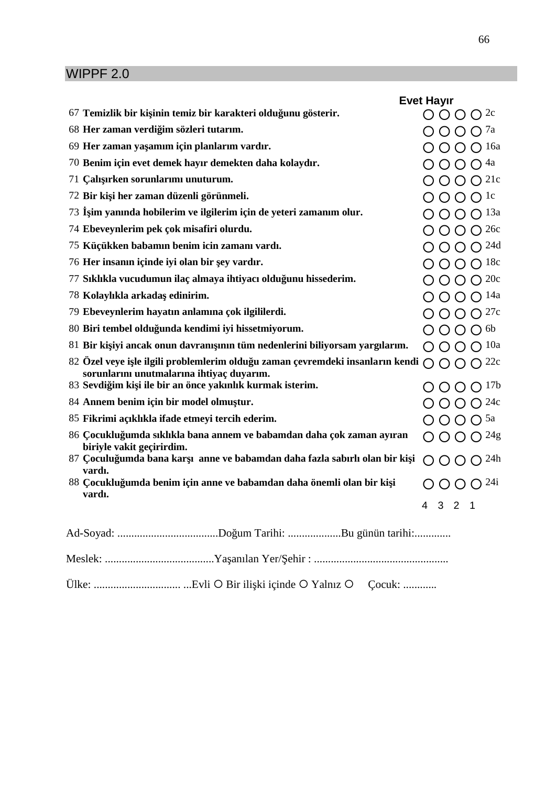# WIPPF 2.0

|    |                                                                                                                                  | <b>Evet Hayır</b>                               |                |  |  |  |
|----|----------------------------------------------------------------------------------------------------------------------------------|-------------------------------------------------|----------------|--|--|--|
|    | 67 Temizlik bir ki inin temiz bir karakteri oldu unu gösterir.                                                                   | $O$ O O $2c$                                    |                |  |  |  |
|    | 68 Her zaman verdi im sözleri tutarım.                                                                                           | $O$ O O $7a$                                    |                |  |  |  |
|    | 69 Her zaman ya amım için planlarım vardır.                                                                                      | $\bigcirc$ $\bigcirc$ $\bigcirc$ $\bigcirc$ 16a |                |  |  |  |
|    | 70 Benim için evet demek hayır demekten daha kolaydır.                                                                           | $O$ $O$ $O$ $O$ $4a$                            |                |  |  |  |
|    | 71 Çalı ırken sorunlarımı unuturum.                                                                                              | $O$ O O O <sup>21c</sup>                        |                |  |  |  |
|    | 72 Bir ki i her zaman düzenli görünmeli.                                                                                         | $O$ $O$ $O$ $O$ $1c$                            |                |  |  |  |
| 73 | im yanında hobilerim ve ilgilerim için de yeteri zamanım olur.                                                                   | $O$ $O$ $O$ $O$ $13a$                           |                |  |  |  |
|    | 74 Ebeveynlerim pek çok misafiri olurdu.                                                                                         | $O$ O O $O$ 26c                                 |                |  |  |  |
|    | 75 Küçükken babamın benim icin zamanı vardı.                                                                                     | $O$ $O$ $O$ $O$ $^{24d}$                        |                |  |  |  |
|    | 76 Her insanın içinde iyi olan bir ey vardır.                                                                                    | $O$ O O O $18c$                                 |                |  |  |  |
|    | 77 Sıklıkla vucudumun ilaç almaya ihtiyacı oldu unu hissederim.                                                                  | $O$ O O O $^{20c}$                              |                |  |  |  |
|    | 78 Kolaylıkla arkada edinirim.                                                                                                   | $O$ O O O $^{14a}$                              |                |  |  |  |
|    | 79 Ebeveynlerim hayatın anlamına çok ilgililerdi.                                                                                | $O$ O O $O$ $27c$                               |                |  |  |  |
|    | 80 Biri tembel oldu unda kendimi iyi hissetmiyorum.                                                                              | $O$ $O$ $O$ $O$ $6b$                            |                |  |  |  |
|    | 81 Bir ki iyi ancak onun davranı ının tüm nedenlerini biliyorsam yargılarım.                                                     | $O$ O O $O$ $10a$                               |                |  |  |  |
|    | 82 Özel veye i le ilgili problemlerim oldu u zaman çevremdeki insanların kendi $\bigcirc$ $\bigcirc$ $\bigcirc$ $\bigcirc$ $22c$ |                                                 |                |  |  |  |
|    | sorunlarını unutmalarına ihtiyaç duyarım.<br>83 Sevdi im ki i ile bir an önce yakınlık kurmak isterim.                           | $O$ O O O $^{17b}$                              |                |  |  |  |
|    | 84 Annem benim için bir model olmu tur.                                                                                          | $O$ O O O <sup>24c</sup>                        |                |  |  |  |
|    | 85 Fikrimi açıklıkla ifade etmeyi tercih ederim.                                                                                 | $O$ $O$ $O$ $O$ $5a$                            |                |  |  |  |
|    | 86 Çocuklu umda sıklıkla bana annem ve babamdan daha çok zaman ayıran                                                            | $O$ O O O $^{24}$ g                             |                |  |  |  |
|    | biriyle vakit geçirirdim.                                                                                                        |                                                 |                |  |  |  |
|    | 87 Çoculu umda bana kar 1 anne ve babamdan daha fazla sabırlı olan bir ki i<br>vardı.                                            | $O$ O O $O$ <sup>24h</sup>                      |                |  |  |  |
|    | 88 Çocuklu umda benim için anne ve babamdan daha önemli olan bir ki i<br>vardı.                                                  | $O$ O O $O24i$                                  |                |  |  |  |
|    |                                                                                                                                  | $4 \quad 3 \quad 2$                             | $\overline{1}$ |  |  |  |
|    |                                                                                                                                  |                                                 |                |  |  |  |
|    |                                                                                                                                  |                                                 |                |  |  |  |
|    |                                                                                                                                  |                                                 |                |  |  |  |
|    |                                                                                                                                  |                                                 |                |  |  |  |

Ülke: ............................... ...Evli Bir ilişki içinde Yalnız Çocuk: ............